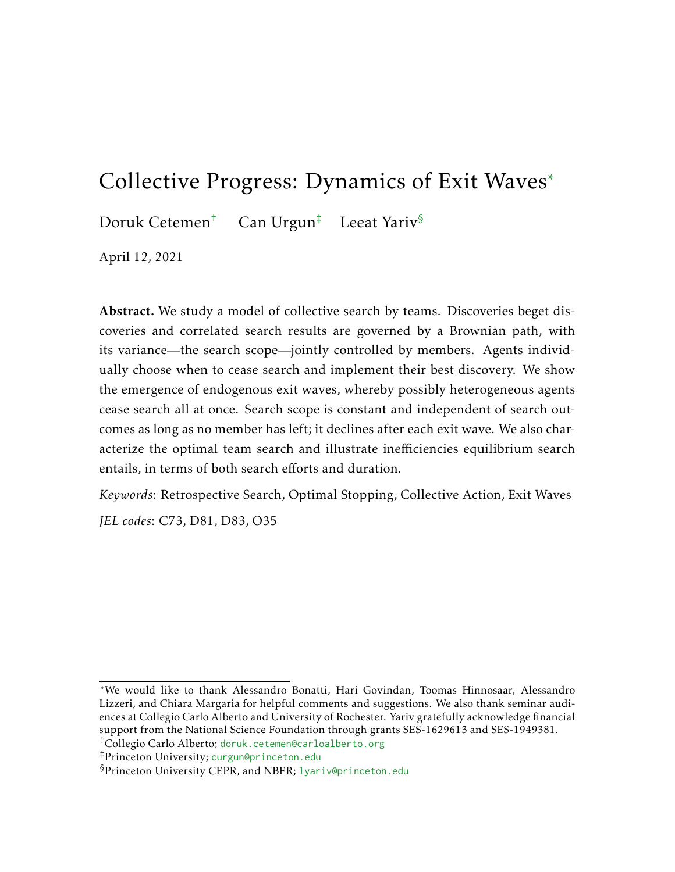# Collective Progress: Dynamics of Exit Waves\*

Doruk Cetemen<sup>†</sup> Can Urgun<sup>‡</sup> Leeat Yariv<sup>§</sup>

April 12, 2021

Abstract. We study a model of collective search by teams. Discoveries beget discoveries and correlated search results are governed by a Brownian path, with its variance—the search scope—jointly controlled by members. Agents individually choose when to cease search and implement their best discovery. We show the emergence of endogenous exit waves, whereby possibly heterogeneous agents cease search all at once. Search scope is constant and independent of search outcomes as long as no member has left; it declines after each exit wave. We also characterize the optimal team search and illustrate inefficiencies equilibrium search entails, in terms of both search efforts and duration.

*Keywords*: Retrospective Search, Optimal Stopping, Collective Action, Exit Waves

*JEL codes*: C73, D81, D83, O35

\*We would like to thank Alessandro Bonatti, Hari Govindan, Toomas Hinnosaar, Alessandro Lizzeri, and Chiara Margaria for helpful comments and suggestions. We also thank seminar audiences at Collegio Carlo Alberto and University of Rochester. Yariv gratefully acknowledge financial support from the National Science Foundation through grants SES-1629613 and SES-1949381.

<sup>†</sup>Collegio Carlo Alberto; [doruk.cetemen@carloalberto.org](mailto:doruk.cetemen@carloalberto.org)

<sup>‡</sup>Princeton University; [curgun@princeton.edu](mailto:curgun@princeton.edu)

<sup>§</sup>Princeton University CEPR, and NBER; [lyariv@princeton.edu](mailto:lyariv@princeton.edu)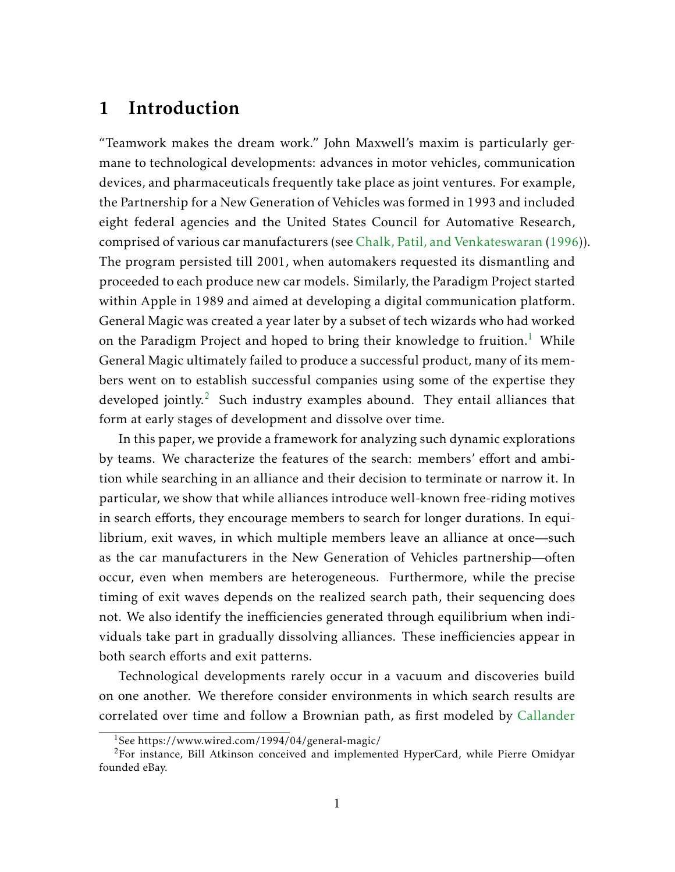# 1 Introduction

"Teamwork makes the dream work." John Maxwell's maxim is particularly germane to technological developments: advances in motor vehicles, communication devices, and pharmaceuticals frequently take place as joint ventures. For example, the Partnership for a New Generation of Vehicles was formed in 1993 and included eight federal agencies and the United States Council for Automative Research, comprised of various car manufacturers (see [Chalk, Patil, and Venkateswaran](#page-54-0) [\(1996\)](#page-54-0)). The program persisted till 2001, when automakers requested its dismantling and proceeded to each produce new car models. Similarly, the Paradigm Project started within Apple in 1989 and aimed at developing a digital communication platform. General Magic was created a year later by a subset of tech wizards who had worked on the Paradigm Project and hoped to bring their knowledge to fruition.<sup>[1](#page-1-0)</sup> While General Magic ultimately failed to produce a successful product, many of its members went on to establish successful companies using some of the expertise they developed jointly.<sup>[2](#page-1-1)</sup> Such industry examples abound. They entail alliances that form at early stages of development and dissolve over time.

In this paper, we provide a framework for analyzing such dynamic explorations by teams. We characterize the features of the search: members' effort and ambition while searching in an alliance and their decision to terminate or narrow it. In particular, we show that while alliances introduce well-known free-riding motives in search efforts, they encourage members to search for longer durations. In equilibrium, exit waves, in which multiple members leave an alliance at once—such as the car manufacturers in the New Generation of Vehicles partnership—often occur, even when members are heterogeneous. Furthermore, while the precise timing of exit waves depends on the realized search path, their sequencing does not. We also identify the inefficiencies generated through equilibrium when individuals take part in gradually dissolving alliances. These inefficiencies appear in both search efforts and exit patterns.

Technological developments rarely occur in a vacuum and discoveries build on one another. We therefore consider environments in which search results are correlated over time and follow a Brownian path, as first modeled by [Callander](#page-54-1)

<span id="page-1-1"></span><span id="page-1-0"></span><sup>1</sup>See https://www.wired.com/1994/04/general-magic/

<sup>&</sup>lt;sup>2</sup>For instance, Bill Atkinson conceived and implemented HyperCard, while Pierre Omidyar founded eBay.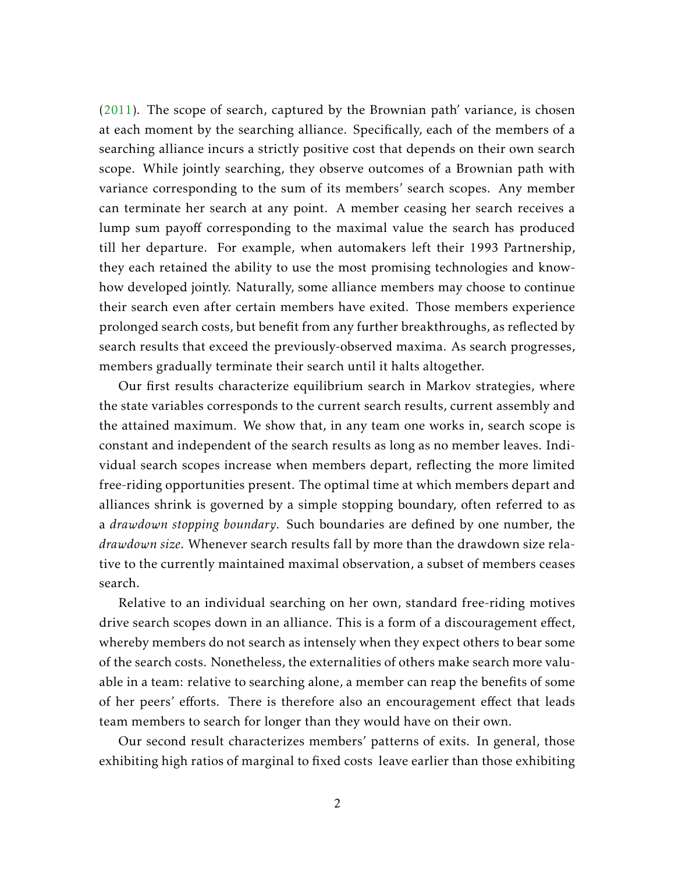[\(2011\)](#page-54-1). The scope of search, captured by the Brownian path' variance, is chosen at each moment by the searching alliance. Specifically, each of the members of a searching alliance incurs a strictly positive cost that depends on their own search scope. While jointly searching, they observe outcomes of a Brownian path with variance corresponding to the sum of its members' search scopes. Any member can terminate her search at any point. A member ceasing her search receives a lump sum payoff corresponding to the maximal value the search has produced till her departure. For example, when automakers left their 1993 Partnership, they each retained the ability to use the most promising technologies and knowhow developed jointly. Naturally, some alliance members may choose to continue their search even after certain members have exited. Those members experience prolonged search costs, but benefit from any further breakthroughs, as reflected by search results that exceed the previously-observed maxima. As search progresses, members gradually terminate their search until it halts altogether.

Our first results characterize equilibrium search in Markov strategies, where the state variables corresponds to the current search results, current assembly and the attained maximum. We show that, in any team one works in, search scope is constant and independent of the search results as long as no member leaves. Individual search scopes increase when members depart, reflecting the more limited free-riding opportunities present. The optimal time at which members depart and alliances shrink is governed by a simple stopping boundary, often referred to as a *drawdown stopping boundary*. Such boundaries are defined by one number, the *drawdown size*. Whenever search results fall by more than the drawdown size relative to the currently maintained maximal observation, a subset of members ceases search.

Relative to an individual searching on her own, standard free-riding motives drive search scopes down in an alliance. This is a form of a discouragement effect, whereby members do not search as intensely when they expect others to bear some of the search costs. Nonetheless, the externalities of others make search more valuable in a team: relative to searching alone, a member can reap the benefits of some of her peers' efforts. There is therefore also an encouragement effect that leads team members to search for longer than they would have on their own.

Our second result characterizes members' patterns of exits. In general, those exhibiting high ratios of marginal to fixed costs leave earlier than those exhibiting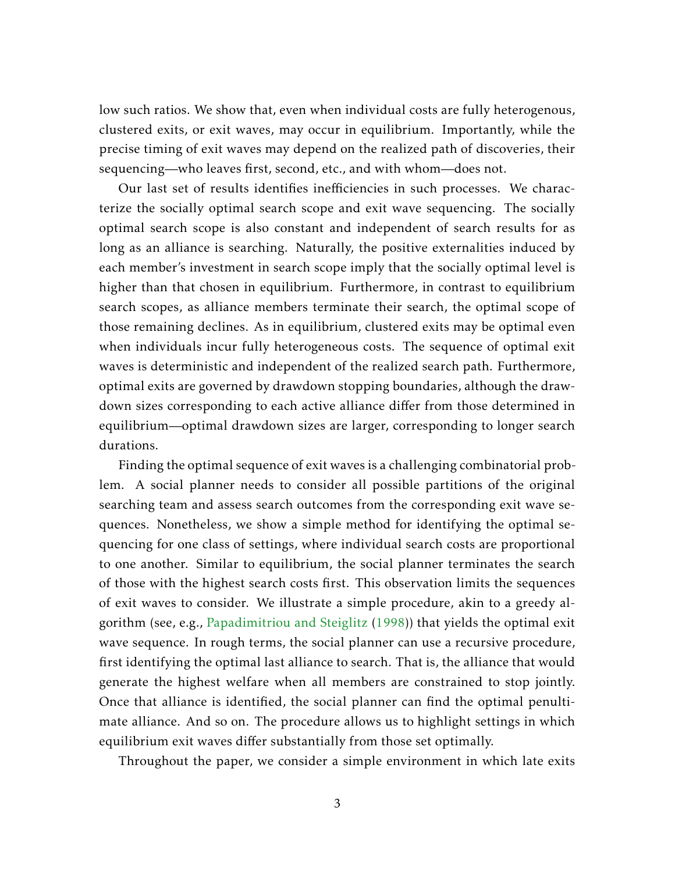low such ratios. We show that, even when individual costs are fully heterogenous, clustered exits, or exit waves, may occur in equilibrium. Importantly, while the precise timing of exit waves may depend on the realized path of discoveries, their sequencing—who leaves first, second, etc., and with whom—does not.

Our last set of results identifies inefficiencies in such processes. We characterize the socially optimal search scope and exit wave sequencing. The socially optimal search scope is also constant and independent of search results for as long as an alliance is searching. Naturally, the positive externalities induced by each member's investment in search scope imply that the socially optimal level is higher than that chosen in equilibrium. Furthermore, in contrast to equilibrium search scopes, as alliance members terminate their search, the optimal scope of those remaining declines. As in equilibrium, clustered exits may be optimal even when individuals incur fully heterogeneous costs. The sequence of optimal exit waves is deterministic and independent of the realized search path. Furthermore, optimal exits are governed by drawdown stopping boundaries, although the drawdown sizes corresponding to each active alliance differ from those determined in equilibrium—optimal drawdown sizes are larger, corresponding to longer search durations.

Finding the optimal sequence of exit waves is a challenging combinatorial problem. A social planner needs to consider all possible partitions of the original searching team and assess search outcomes from the corresponding exit wave sequences. Nonetheless, we show a simple method for identifying the optimal sequencing for one class of settings, where individual search costs are proportional to one another. Similar to equilibrium, the social planner terminates the search of those with the highest search costs first. This observation limits the sequences of exit waves to consider. We illustrate a simple procedure, akin to a greedy algorithm (see, e.g., [Papadimitriou and Steiglitz](#page-55-0) [\(1998\)](#page-55-0)) that yields the optimal exit wave sequence. In rough terms, the social planner can use a recursive procedure, first identifying the optimal last alliance to search. That is, the alliance that would generate the highest welfare when all members are constrained to stop jointly. Once that alliance is identified, the social planner can find the optimal penultimate alliance. And so on. The procedure allows us to highlight settings in which equilibrium exit waves differ substantially from those set optimally.

Throughout the paper, we consider a simple environment in which late exits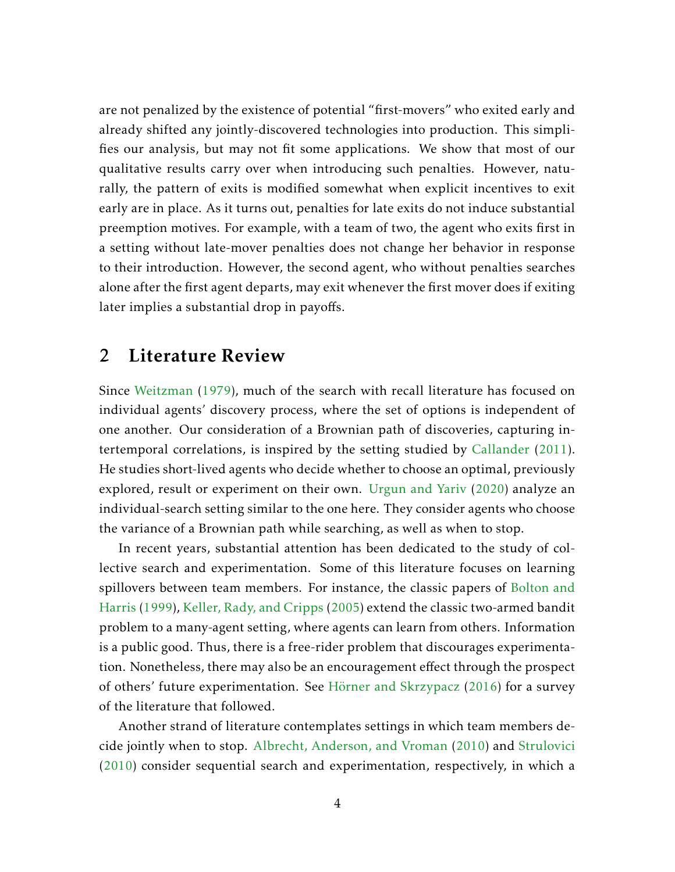are not penalized by the existence of potential "first-movers" who exited early and already shifted any jointly-discovered technologies into production. This simplifies our analysis, but may not fit some applications. We show that most of our qualitative results carry over when introducing such penalties. However, naturally, the pattern of exits is modified somewhat when explicit incentives to exit early are in place. As it turns out, penalties for late exits do not induce substantial preemption motives. For example, with a team of two, the agent who exits first in a setting without late-mover penalties does not change her behavior in response to their introduction. However, the second agent, who without penalties searches alone after the first agent departs, may exit whenever the first mover does if exiting later implies a substantial drop in payoffs.

### 2 Literature Review

Since [Weitzman](#page-55-1) [\(1979\)](#page-55-1), much of the search with recall literature has focused on individual agents' discovery process, where the set of options is independent of one another. Our consideration of a Brownian path of discoveries, capturing intertemporal correlations, is inspired by the setting studied by [Callander](#page-54-1) [\(2011\)](#page-54-1). He studies short-lived agents who decide whether to choose an optimal, previously explored, result or experiment on their own. [Urgun and Yariv](#page-55-2) [\(2020\)](#page-55-2) analyze an individual-search setting similar to the one here. They consider agents who choose the variance of a Brownian path while searching, as well as when to stop.

In recent years, substantial attention has been dedicated to the study of collective search and experimentation. Some of this literature focuses on learning spillovers between team members. For instance, the classic papers of [Bolton and](#page-54-2) [Harris](#page-54-2) [\(1999\)](#page-54-2), [Keller, Rady, and Cripps](#page-55-3) [\(2005\)](#page-55-3) extend the classic two-armed bandit problem to a many-agent setting, where agents can learn from others. Information is a public good. Thus, there is a free-rider problem that discourages experimentation. Nonetheless, there may also be an encouragement effect through the prospect of others' future experimentation. See [Hörner and Skrzypacz](#page-55-4) [\(2016\)](#page-55-4) for a survey of the literature that followed.

Another strand of literature contemplates settings in which team members decide jointly when to stop. [Albrecht, Anderson, and Vroman](#page-54-3) [\(2010\)](#page-54-3) and [Strulovici](#page-55-5) [\(2010\)](#page-55-5) consider sequential search and experimentation, respectively, in which a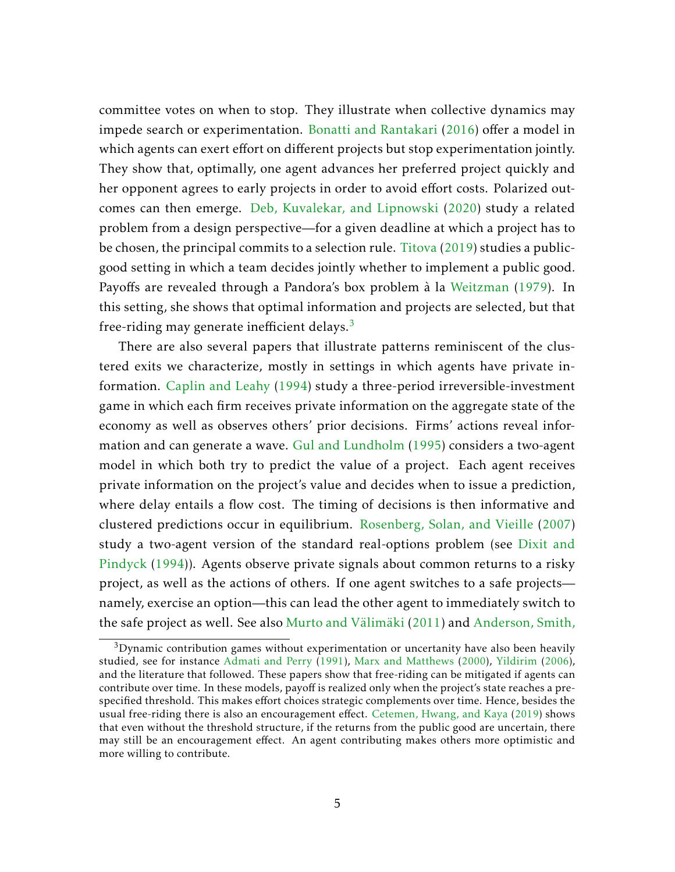committee votes on when to stop. They illustrate when collective dynamics may impede search or experimentation. [Bonatti and Rantakari](#page-54-4) [\(2016\)](#page-54-4) offer a model in which agents can exert effort on different projects but stop experimentation jointly. They show that, optimally, one agent advances her preferred project quickly and her opponent agrees to early projects in order to avoid effort costs. Polarized outcomes can then emerge. [Deb, Kuvalekar, and Lipnowski](#page-54-5) [\(2020\)](#page-54-5) study a related problem from a design perspective—for a given deadline at which a project has to be chosen, the principal commits to a selection rule. [Titova](#page-55-6) [\(2019\)](#page-55-6) studies a publicgood setting in which a team decides jointly whether to implement a public good. Payoffs are revealed through a Pandora's box problem à la [Weitzman](#page-55-1) [\(1979\)](#page-55-1). In this setting, she shows that optimal information and projects are selected, but that free-riding may generate inefficient delays. $3$ 

There are also several papers that illustrate patterns reminiscent of the clustered exits we characterize, mostly in settings in which agents have private information. [Caplin and Leahy](#page-54-6) [\(1994\)](#page-54-6) study a three-period irreversible-investment game in which each firm receives private information on the aggregate state of the economy as well as observes others' prior decisions. Firms' actions reveal information and can generate a wave. [Gul and Lundholm](#page-55-7) [\(1995\)](#page-55-7) considers a two-agent model in which both try to predict the value of a project. Each agent receives private information on the project's value and decides when to issue a prediction, where delay entails a flow cost. The timing of decisions is then informative and clustered predictions occur in equilibrium. [Rosenberg, Solan, and Vieille](#page-55-8) [\(2007\)](#page-55-8) study a two-agent version of the standard real-options problem (see [Dixit and](#page-54-7) [Pindyck](#page-54-7) [\(1994\)](#page-54-7)). Agents observe private signals about common returns to a risky project, as well as the actions of others. If one agent switches to a safe projects namely, exercise an option—this can lead the other agent to immediately switch to the safe project as well. See also [Murto and Välimäki](#page-55-9) [\(2011\)](#page-55-9) and [Anderson, Smith,](#page-54-8)

<span id="page-5-0"></span> $3$ [Dynamic contribution games without experimentation or uncertanity have also been heavily](#page-54-8) [studied, see for instance](#page-54-8) [Admati and Perry](#page-54-9) [\(1991\)](#page-54-9), [Marx and Matthews](#page-55-10) [\(2000\)](#page-55-10), [Yildirim](#page-55-11) [\(2006\)](#page-55-11), [and the literature that followed. These papers show that free-riding can be mitigated if agents can](#page-54-8) contribute over time. In these models, payoff [is realized only when the project's state reaches a pre](#page-54-8)specified threshold. This makes eff[ort choices strategic complements over time. Hence, besides the](#page-54-8) [usual free-riding there is also an encouragement e](#page-54-8)ffect. [Cetemen, Hwang, and Kaya](#page-54-10) [\(2019\)](#page-54-10) shows [that even without the threshold structure, if the returns from the public good are uncertain, there](#page-54-8) may still be an encouragement eff[ect. An agent contributing makes others more optimistic and](#page-54-8) [more willing to contribute.](#page-54-8)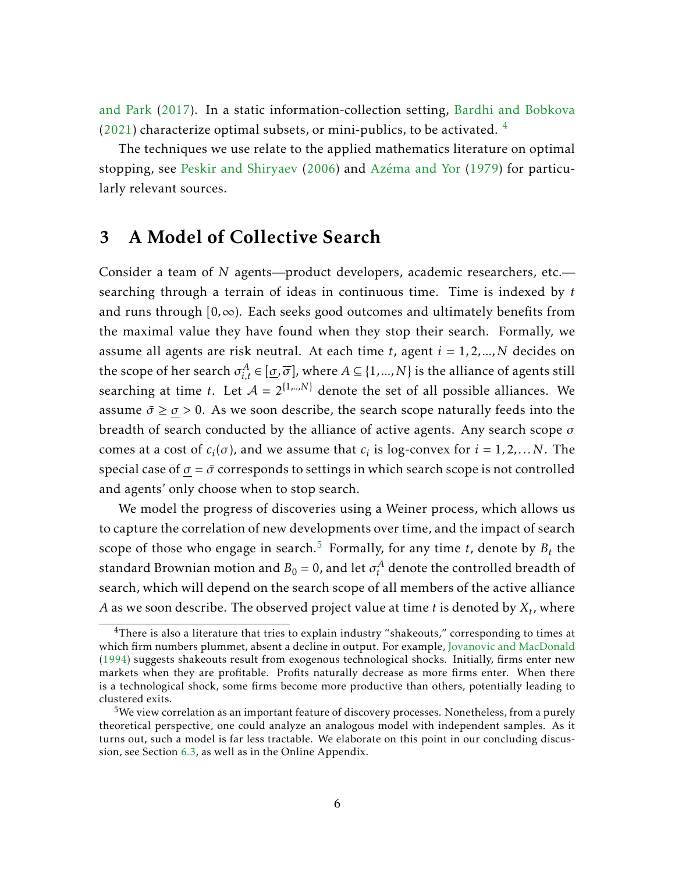[and Park](#page-54-8) [\(2017\)](#page-54-8). In a static information-collection setting, [Bardhi and Bobkova](#page-54-11)  $(2021)$  characterize optimal subsets, or mini-publics, to be activated.  $4$ 

The techniques we use relate to the applied mathematics literature on optimal stopping, see [Peskir and Shiryaev](#page-55-12) [\(2006\)](#page-55-12) and [Azéma and Yor](#page-54-12) [\(1979\)](#page-54-12) for particularly relevant sources.

### 3 A Model of Collective Search

Consider a team of *N* agents—product developers, academic researchers, etc. searching through a terrain of ideas in continuous time. Time is indexed by *t* and runs through  $[0, \infty)$ . Each seeks good outcomes and ultimately benefits from the maximal value they have found when they stop their search. Formally, we assume all agents are risk neutral. At each time *t*, agent *i* = 1*,*2*,...,N* decides on the scope of her search  $\sigma_{i,t}^A \in [\underline{\sigma}, \overline{\sigma}]$ , where  $A \subseteq \{1,...,N\}$  is the alliance of agents still searching at time *t*. Let  $A = 2^{\{1, \ldots, N\}}$  denote the set of all possible alliances. We assume  $\bar{\sigma} \geq \underline{\sigma} > 0$ . As we soon describe, the search scope naturally feeds into the breadth of search conducted by the alliance of active agents. Any search scope *σ* comes at a cost of  $c_i(\sigma)$ , and we assume that  $c_i$  is log-convex for  $i = 1, 2, ...N$ . The special case of  $\sigma = \bar{\sigma}$  corresponds to settings in which search scope is not controlled and agents' only choose when to stop search.

We model the progress of discoveries using a Weiner process, which allows us to capture the correlation of new developments over time, and the impact of search scope of those who engage in search.<sup>[5](#page-6-1)</sup> Formally, for any time  $t$ , denote by  $B_t$  the standard Brownian motion and  $B_0 = 0$ , and let  $\sigma_t^A$  denote the controlled breadth of search, which will depend on the search scope of all members of the active alliance *A* as we soon describe. The observed project value at time *t* is denoted by *X<sup>t</sup>* , where

<span id="page-6-0"></span> $4$ There is also a literature that tries to explain industry "shakeouts," corresponding to times at which firm numbers plummet, absent a decline in output. For example, [Jovanovic and MacDonald](#page-55-13) [\(1994\)](#page-55-13) suggests shakeouts result from exogenous technological shocks. Initially, firms enter new markets when they are profitable. Profits naturally decrease as more firms enter. When there is a technological shock, some firms become more productive than others, potentially leading to clustered exits.

<span id="page-6-1"></span> $5$ We view correlation as an important feature of discovery processes. Nonetheless, from a purely theoretical perspective, one could analyze an analogous model with independent samples. As it turns out, such a model is far less tractable. We elaborate on this point in our concluding discussion, see Section [6.3,](#page-31-0) as well as in the Online Appendix.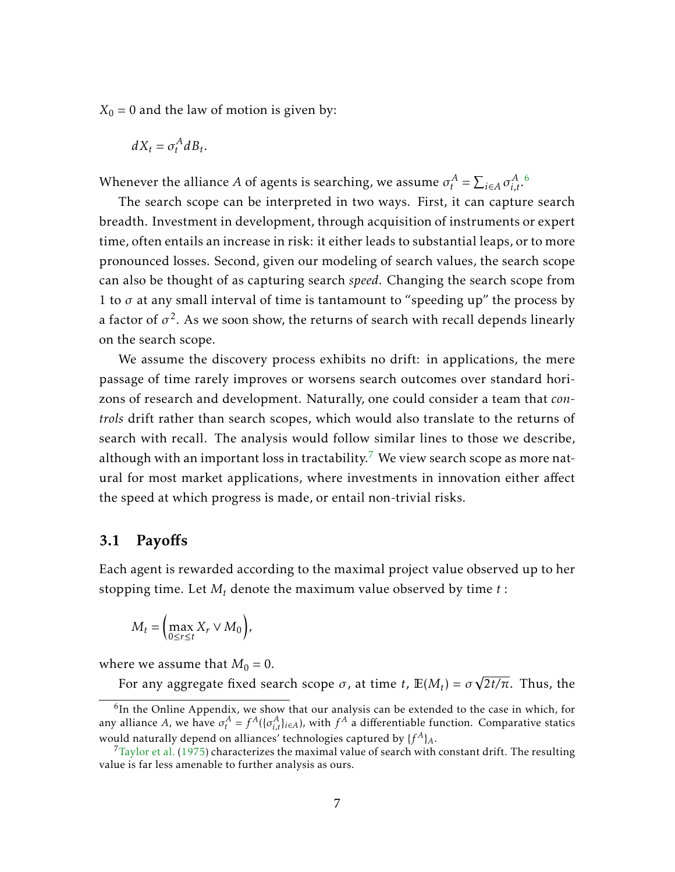$X_0 = 0$  and the law of motion is given by:

$$
dX_t = \sigma_t^A dB_t.
$$

Whenever the alliance *A* of agents is searching, we assume  $\sigma_t^A = \sum_{i \in A} \sigma_{i,t}^A$ .

The search scope can be interpreted in two ways. First, it can capture search breadth. Investment in development, through acquisition of instruments or expert time, often entails an increase in risk: it either leads to substantial leaps, or to more pronounced losses. Second, given our modeling of search values, the search scope can also be thought of as capturing search *speed*. Changing the search scope from 1 to  $\sigma$  at any small interval of time is tantamount to "speeding up" the process by a factor of  $\sigma^2.$  As we soon show, the returns of search with recall depends linearly on the search scope.

We assume the discovery process exhibits no drift: in applications, the mere passage of time rarely improves or worsens search outcomes over standard horizons of research and development. Naturally, one could consider a team that *controls* drift rather than search scopes, which would also translate to the returns of search with recall. The analysis would follow similar lines to those we describe, although with an important loss in tractability.<sup>[7](#page-7-1)</sup> We view search scope as more natural for most market applications, where investments in innovation either affect the speed at which progress is made, or entail non-trivial risks.

#### 3.1 Payoffs

Each agent is rewarded according to the maximal project value observed up to her stopping time. Let *M<sup>t</sup>* denote the maximum value observed by time *t* :

$$
M_t = \left(\max_{0 \le r \le t} X_r \vee M_0\right),
$$

where we assume that  $M_0 = 0$ .

For any aggregate fixed search scope  $\sigma$ , at time *t*,  $\mathbb{E}(M_t) = \sigma$ √ 2*t/π*. Thus, the

<span id="page-7-0"></span><sup>&</sup>lt;sup>6</sup>In the Online Appendix, we show that our analysis can be extended to the case in which, for any alliance *A*, we have  $\sigma_t^A = f^A((\sigma_{i,t}^A)_{i \in A})$ , with  $f^A$  a differentiable function. Comparative statics would naturally depend on alliances' technologies captured by  $\{f^A\}_A$ .

<span id="page-7-1"></span> $7$ [Taylor et al.](#page-55-14) [\(1975\)](#page-55-14) characterizes the maximal value of search with constant drift. The resulting value is far less amenable to further analysis as ours.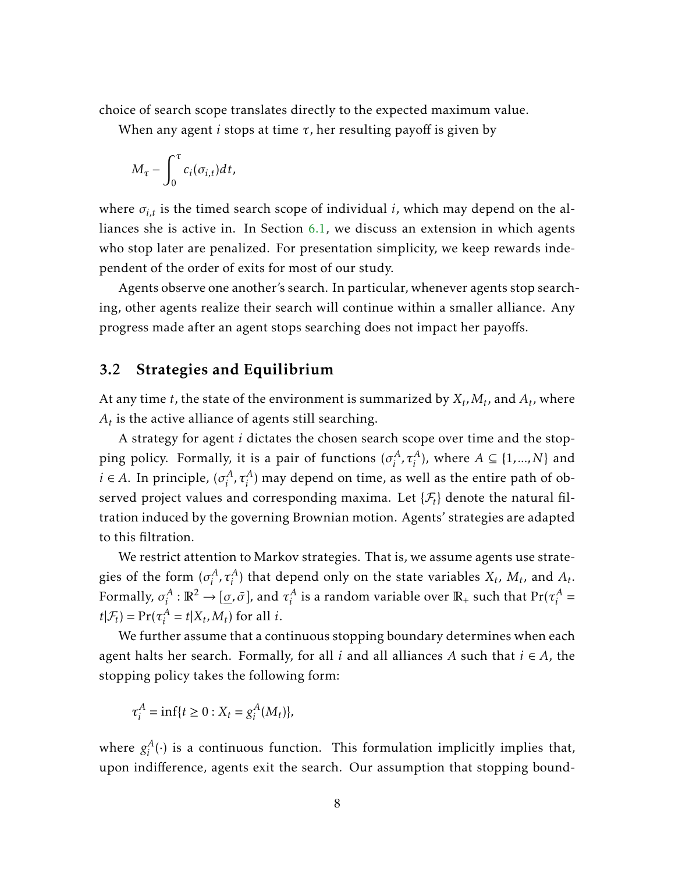choice of search scope translates directly to the expected maximum value.

When any agent *i* stops at time *τ*, her resulting payoff is given by

$$
M_{\tau}-\int_0^{\tau}c_i(\sigma_{i,t})dt,
$$

where *σi,t* is the timed search scope of individual *i*, which may depend on the alliances she is active in. In Section [6.1,](#page-28-0) we discuss an extension in which agents who stop later are penalized. For presentation simplicity, we keep rewards independent of the order of exits for most of our study.

Agents observe one another's search. In particular, whenever agents stop searching, other agents realize their search will continue within a smaller alliance. Any progress made after an agent stops searching does not impact her payoffs.

#### 3.2 Strategies and Equilibrium

At any time *t*, the state of the environment is summarized by  $X_t, M_t$ , and  $A_t$ , where *At* is the active alliance of agents still searching.

A strategy for agent *i* dictates the chosen search scope over time and the stopping policy. Formally, it is a pair of functions  $(\sigma_i^A)$  $\{A^A_i, \tau^A_i\}$ , where  $A \subseteq \{1, ..., N\}$  and  $i \in A$ . In principle,  $(\sigma_i^A)$  $\mathcal{L}_i^A$ ,  $\tau_i^A$ ) may depend on time, as well as the entire path of observed project values and corresponding maxima. Let  $\{\mathcal{F}_t\}$  denote the natural filtration induced by the governing Brownian motion. Agents' strategies are adapted to this filtration.

We restrict attention to Markov strategies. That is, we assume agents use strategies of the form  $(\sigma_i^A)$ *i*<sup>*A*</sup>,  $\tau_i^A$ ) that depend only on the state variables  $X_t$ ,  $M_t$ , and  $A_t$ . Formally,  $\sigma^A_i$  $\mathbf{r}_i^A: \mathbb{R}^2 \to [\underline{\sigma}, \bar{\sigma}],$  and  $\tau_i^A$  $\frac{A}{i}$  is a random variable over  $\mathbb{R}_+$  such that  $\Pr(\tau_i^A)$  $i^A$  =  $t|\mathcal{F}_t) = \Pr(\tau_i^A)$  $i_t^A = t | X_t, M_t)$  for all *i*.

We further assume that a continuous stopping boundary determines when each agent halts her search. Formally, for all *i* and all alliances *A* such that *i* ∈ *A*, the stopping policy takes the following form:

$$
\tau_i^A = \inf\{t \ge 0 : X_t = g_i^A(M_t)\},\
$$

where  $g_i^A$  $i<sup>A</sup>(·)$  is a continuous function. This formulation implicitly implies that, upon indifference, agents exit the search. Our assumption that stopping bound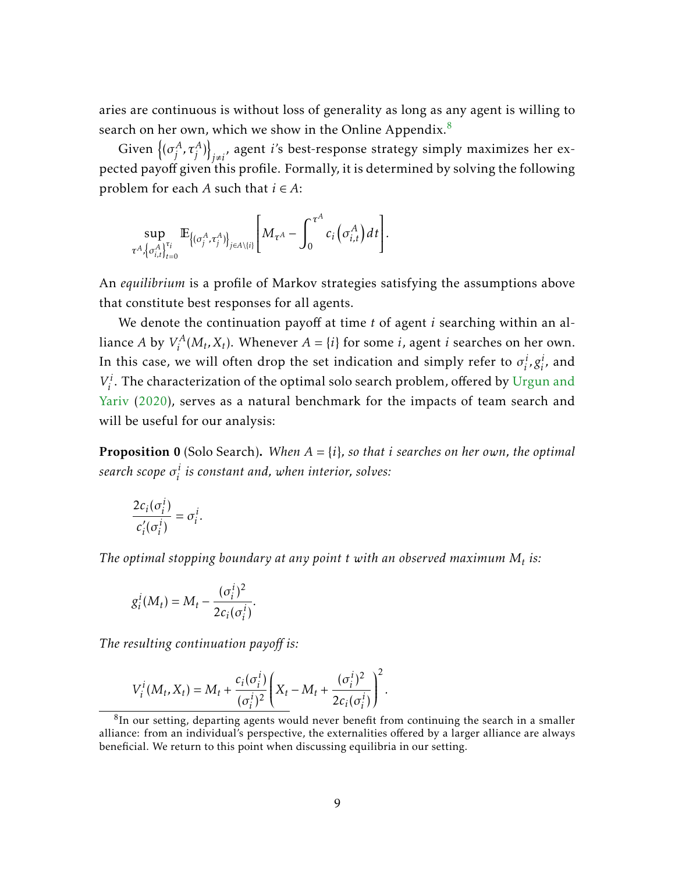aries are continuous is without loss of generality as long as any agent is willing to search on her own, which we show in the Online Appendix. $8$ 

Given  $\big\{(\sigma_i^A)$  $\left\{\begin{matrix} A & A \end{matrix}\right\}$  $_{j\neq i^{'}}$  agent *i'*s best-response strategy simply maximizes her expected payoff given this profile. Formally, it is determined by solving the following problem for each *A* such that *i* ∈ *A*:

$$
\sup_{\tau^A, \{\sigma^A_{i,t}\}_{t=0}^{\tau_i}} \mathbb{E}_{\{(\sigma^A_j, \tau^A_j)\}_{j\in A\setminus\{i\}}}\bigg[M_{\tau^A} - \int_0^{\tau^A} c_i \bigg(\sigma^A_{i,t}\bigg) dt\bigg].
$$

An *equilibrium* is a profile of Markov strategies satisfying the assumptions above that constitute best responses for all agents.

We denote the continuation payoff at time *t* of agent *i* searching within an alliance  $A$  by  $V_i^A$  $I_i^A(M_t, X_t)$ . Whenever  $A = \{i\}$  for some *i*, agent *i* searches on her own. In this case, we will often drop the set indication and simply refer to  $\sigma_i^i$  $i$ ,  $g_i^i$ , and  $V_i^i$ <sup>*i*</sup>. The characterization of the optimal solo search problem, offered by [Urgun and](#page-55-2) [Yariv](#page-55-2) [\(2020\)](#page-55-2), serves as a natural benchmark for the impacts of team search and will be useful for our analysis:

**Proposition 0** (Solo Search). When  $A = \{i\}$ , so that *i* searches on her own, the optimal *search scope σ i i is constant and, when interior, solves:*

$$
\frac{2c_i(\sigma_i^i)}{c_i'(\sigma_i^i)} = \sigma_i^i
$$

*The optimal stopping boundary at any point t with an observed maximum M<sup>t</sup> is:*

$$
g_i^i(M_t) = M_t - \frac{(\sigma_i^i)^2}{2c_i(\sigma_i^i)}.
$$

*.*

*The resulting continuation payoff is:*

$$
V_i^i(M_t, X_t) = M_t + \frac{c_i(\sigma_i^i)}{(\sigma_i^i)^2} \left(X_t - M_t + \frac{(\sigma_i^i)^2}{2c_i(\sigma_i^i)}\right)^2.
$$

<span id="page-9-0"></span> ${}^{8}$ In our setting, departing agents would never benefit from continuing the search in a smaller alliance: from an individual's perspective, the externalities offered by a larger alliance are always beneficial. We return to this point when discussing equilibria in our setting.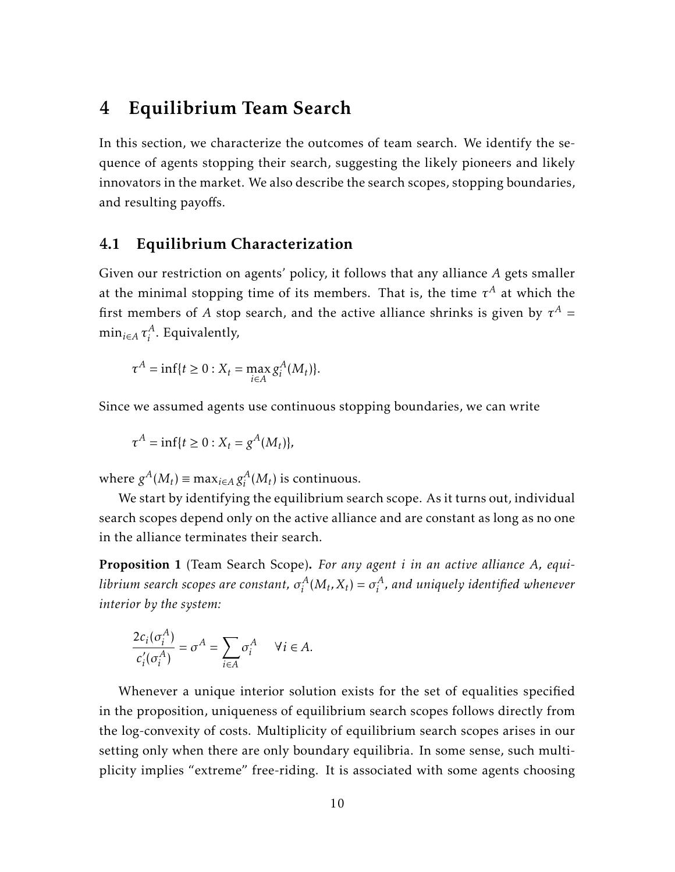# <span id="page-10-0"></span>4 Equilibrium Team Search

In this section, we characterize the outcomes of team search. We identify the sequence of agents stopping their search, suggesting the likely pioneers and likely innovators in the market. We also describe the search scopes, stopping boundaries, and resulting payoffs.

### 4.1 Equilibrium Characterization

Given our restriction on agents' policy, it follows that any alliance *A* gets smaller at the minimal stopping time of its members. That is, the time  $\tau^A$  at which the first members of  $A$  stop search, and the active alliance shrinks is given by  $\tau^A$  =  $\min_{i \in A} \tau^A_i$  $i<sup>A</sup>$ . Equivalently,

$$
\tau^A = \inf\{t \ge 0 : X_t = \max_{i \in A} g_i^A(M_t)\}.
$$

Since we assumed agents use continuous stopping boundaries, we can write

$$
\tau^A = \inf\{t \ge 0 : X_t = g^A(M_t)\},\
$$

where  $g^A(M_t) \equiv \max_{i \in A} g_i^A$  $i^A_i(M_t)$  is continuous.

We start by identifying the equilibrium search scope. As it turns out, individual search scopes depend only on the active alliance and are constant as long as no one in the alliance terminates their search.

<span id="page-10-1"></span>Proposition 1 (Team Search Scope). *For any agent i in an active alliance A, equilibrium search scopes are constant, σ A*  $\sigma_i^A(M_t, X_t) = \sigma_i^A$ *i , and uniquely identified whenever interior by the system:*

$$
\frac{2c_i(\sigma_i^A)}{c'_i(\sigma_i^A)} = \sigma^A = \sum_{i \in A} \sigma_i^A \quad \forall i \in A.
$$

Whenever a unique interior solution exists for the set of equalities specified in the proposition, uniqueness of equilibrium search scopes follows directly from the log-convexity of costs. Multiplicity of equilibrium search scopes arises in our setting only when there are only boundary equilibria. In some sense, such multiplicity implies "extreme" free-riding. It is associated with some agents choosing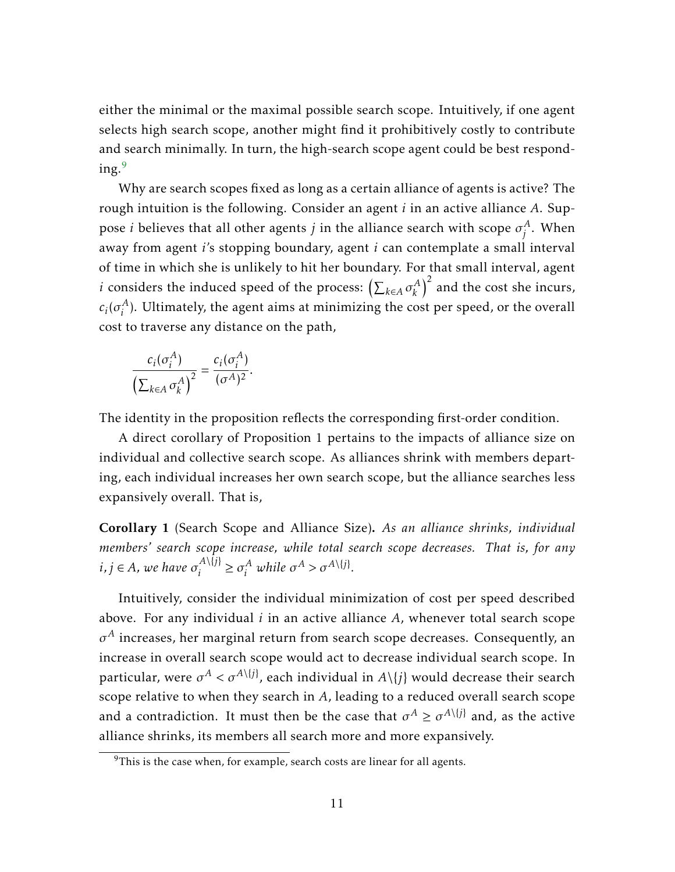either the minimal or the maximal possible search scope. Intuitively, if one agent selects high search scope, another might find it prohibitively costly to contribute and search minimally. In turn, the high-search scope agent could be best respond- $ing.<sup>9</sup>$  $ing.<sup>9</sup>$  $ing.<sup>9</sup>$ 

Why are search scopes fixed as long as a certain alliance of agents is active? The rough intuition is the following. Consider an agent *i* in an active alliance *A*. Suppose *i* believes that all other agents  $j$  in the alliance search with scope  $\sigma_i^A$ *j* . When away from agent *i*'s stopping boundary, agent *i* can contemplate a small interval of time in which she is unlikely to hit her boundary. For that small interval, agent *i* considers the induced speed of the process:  $\left(\sum_{k \in A} \sigma_k^A\right)$  $\left(\begin{matrix} A \\ k \end{matrix}\right)^2$  and the cost she incurs,  $c_i$ ( $\sigma_i^A$  $i<sup>A</sup>$ ). Ultimately, the agent aims at minimizing the cost per speed, or the overall cost to traverse any distance on the path,

$$
\frac{c_i(\sigma_i^A)}{\left(\sum_{k\in A}\sigma_k^A\right)^2}=\frac{c_i(\sigma_i^A)}{(\sigma^A)^2}.
$$

The identity in the proposition reflects the corresponding first-order condition.

A direct corollary of Proposition 1 pertains to the impacts of alliance size on individual and collective search scope. As alliances shrink with members departing, each individual increases her own search scope, but the alliance searches less expansively overall. That is,

<span id="page-11-1"></span>Corollary 1 (Search Scope and Alliance Size). *As an alliance shrinks, individual members' search scope increase, while total search scope decreases. That is, for any*  $i, j \in A$ , we have  $\sigma_i^{A \setminus \{j\}}$  $\sigma_i^{A \setminus \{j\}} \geq \sigma_i^A$  *while*  $\sigma^A > \sigma^{A \setminus \{j\}}$ .

Intuitively, consider the individual minimization of cost per speed described above. For any individual *i* in an active alliance *A*, whenever total search scope  $\sigma^A$  increases, her marginal return from search scope decreases. Consequently, an increase in overall search scope would act to decrease individual search scope. In particular, were  $\sigma^A < \sigma^{A \setminus \{j\}}$ , each individual in  $A \setminus \{j\}$  would decrease their search scope relative to when they search in *A*, leading to a reduced overall search scope and a contradiction. It must then be the case that  $\sigma^A \geq \sigma^{A\setminus\{j\}}$  and, as the active alliance shrinks, its members all search more and more expansively.

<span id="page-11-0"></span> $9$ This is the case when, for example, search costs are linear for all agents.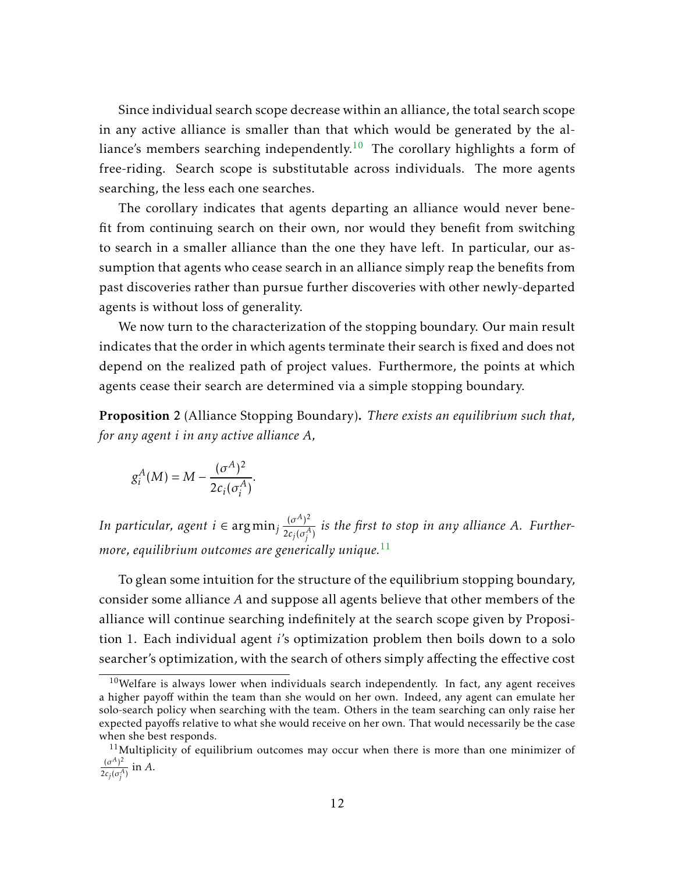Since individual search scope decrease within an alliance, the total search scope in any active alliance is smaller than that which would be generated by the al-liance's members searching independently.<sup>[10](#page-12-0)</sup> The corollary highlights a form of free-riding. Search scope is substitutable across individuals. The more agents searching, the less each one searches.

The corollary indicates that agents departing an alliance would never benefit from continuing search on their own, nor would they benefit from switching to search in a smaller alliance than the one they have left. In particular, our assumption that agents who cease search in an alliance simply reap the benefits from past discoveries rather than pursue further discoveries with other newly-departed agents is without loss of generality.

We now turn to the characterization of the stopping boundary. Our main result indicates that the order in which agents terminate their search is fixed and does not depend on the realized path of project values. Furthermore, the points at which agents cease their search are determined via a simple stopping boundary.

<span id="page-12-2"></span>Proposition 2 (Alliance Stopping Boundary). *There exists an equilibrium such that, for any agent i in any active alliance A,*

$$
g_i^A(M) = M - \frac{(\sigma^A)^2}{2c_i(\sigma_i^A)}.
$$

*In particular, agent i* ∈ argmin<sub>j</sub>  $\frac{(\sigma^A)^2}{2c_1(\sigma^A)}$  $\frac{10}{2c_j(\sigma_j^A)}$  is the first to stop in any alliance A. Further*more, equilibrium outcomes are generically unique.*[11](#page-12-1)

To glean some intuition for the structure of the equilibrium stopping boundary, consider some alliance *A* and suppose all agents believe that other members of the alliance will continue searching indefinitely at the search scope given by Proposition 1. Each individual agent *i*'s optimization problem then boils down to a solo searcher's optimization, with the search of others simply affecting the effective cost

<span id="page-12-0"></span> $10$ Welfare is always lower when individuals search independently. In fact, any agent receives a higher payoff within the team than she would on her own. Indeed, any agent can emulate her solo-search policy when searching with the team. Others in the team searching can only raise her expected payoffs relative to what she would receive on her own. That would necessarily be the case when she best responds.

<span id="page-12-1"></span> $11$ Multiplicity of equilibrium outcomes may occur when there is more than one minimizer of  $(\sigma^A)^2$ 

 $\frac{d^{(o)}_{i}}{2c_{j}(\sigma_{j}^{A})}$  in *A*.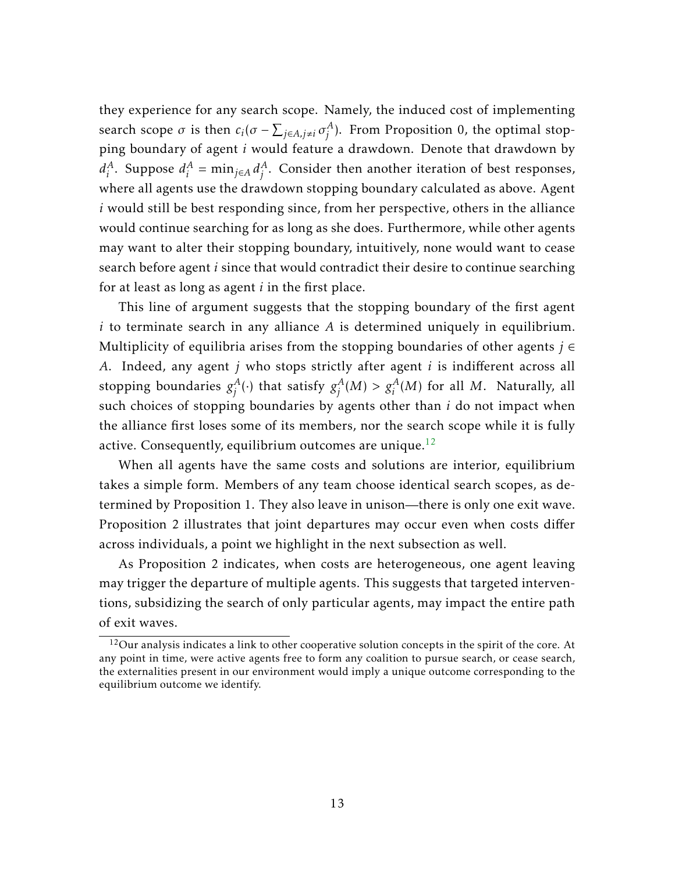they experience for any search scope. Namely, the induced cost of implementing search scope  $\sigma$  is then  $c_i(\sigma - \sum_{j \in A, j \neq i} \sigma_j^A)$  $j^A$ ). From Proposition 0, the optimal stopping boundary of agent *i* would feature a drawdown. Denote that drawdown by  $d_i^A$  $i^A$ . Suppose  $d_i^A$  $i^A$  = min<sub>j∈A</sub>  $d_j^A$  $j^A$ . Consider then another iteration of best responses, where all agents use the drawdown stopping boundary calculated as above. Agent *i* would still be best responding since, from her perspective, others in the alliance would continue searching for as long as she does. Furthermore, while other agents may want to alter their stopping boundary, intuitively, none would want to cease search before agent *i* since that would contradict their desire to continue searching for at least as long as agent *i* in the first place.

This line of argument suggests that the stopping boundary of the first agent *i* to terminate search in any alliance *A* is determined uniquely in equilibrium. Multiplicity of equilibria arises from the stopping boundaries of other agents *j* ∈ *A*. Indeed, any agent *j* who stops strictly after agent *i* is indifferent across all stopping boundaries *g A*  $j^A_j(\cdot)$  that satisfy  $g^A_j$  $j^A_j(M) > g^A_i(M)$  for all  $M$ . Naturally, all such choices of stopping boundaries by agents other than *i* do not impact when the alliance first loses some of its members, nor the search scope while it is fully active. Consequently, equilibrium outcomes are unique.<sup>[12](#page-13-0)</sup>

When all agents have the same costs and solutions are interior, equilibrium takes a simple form. Members of any team choose identical search scopes, as determined by Proposition 1. They also leave in unison—there is only one exit wave. Proposition 2 illustrates that joint departures may occur even when costs differ across individuals, a point we highlight in the next subsection as well.

As Proposition 2 indicates, when costs are heterogeneous, one agent leaving may trigger the departure of multiple agents. This suggests that targeted interventions, subsidizing the search of only particular agents, may impact the entire path of exit waves.

<span id="page-13-0"></span> $12$ Our analysis indicates a link to other cooperative solution concepts in the spirit of the core. At any point in time, were active agents free to form any coalition to pursue search, or cease search, the externalities present in our environment would imply a unique outcome corresponding to the equilibrium outcome we identify.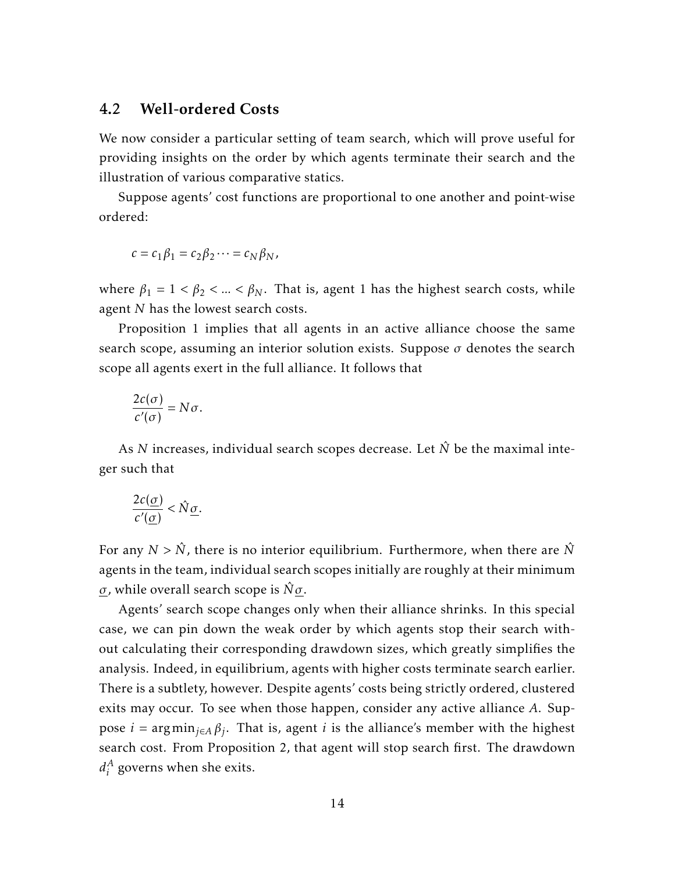#### <span id="page-14-0"></span>4.2 Well-ordered Costs

We now consider a particular setting of team search, which will prove useful for providing insights on the order by which agents terminate their search and the illustration of various comparative statics.

Suppose agents' cost functions are proportional to one another and point-wise ordered:

$$
c = c_1 \beta_1 = c_2 \beta_2 \cdots = c_N \beta_N,
$$

where  $\beta_1 = 1 < \beta_2 < ... < \beta_N$ . That is, agent 1 has the highest search costs, while agent *N* has the lowest search costs.

Proposition 1 implies that all agents in an active alliance choose the same search scope, assuming an interior solution exists. Suppose  $\sigma$  denotes the search scope all agents exert in the full alliance. It follows that

$$
\frac{2c(\sigma)}{c'(\sigma)}=N\sigma.
$$

As  $N$  increases, individual search scopes decrease. Let  $\hat{N}$  be the maximal integer such that

$$
\frac{2c(\underline{\sigma})}{c'(\underline{\sigma})} < \hat{N}\underline{\sigma}.
$$

For any  $N > \hat{N}$ , there is no interior equilibrium. Furthermore, when there are  $\hat{N}$ agents in the team, individual search scopes initially are roughly at their minimum *σ*, while overall search scope is  $\hat{N} \sigma$ .

Agents' search scope changes only when their alliance shrinks. In this special case, we can pin down the weak order by which agents stop their search without calculating their corresponding drawdown sizes, which greatly simplifies the analysis. Indeed, in equilibrium, agents with higher costs terminate search earlier. There is a subtlety, however. Despite agents' costs being strictly ordered, clustered exits may occur. To see when those happen, consider any active alliance *A*. Suppose *i* = argmin*j*∈*<sup>A</sup> β<sup>j</sup>* . That is, agent *i* is the alliance's member with the highest search cost. From Proposition 2, that agent will stop search first. The drawdown  $d_i^A$  $i<sup>A</sup>$  governs when she exits.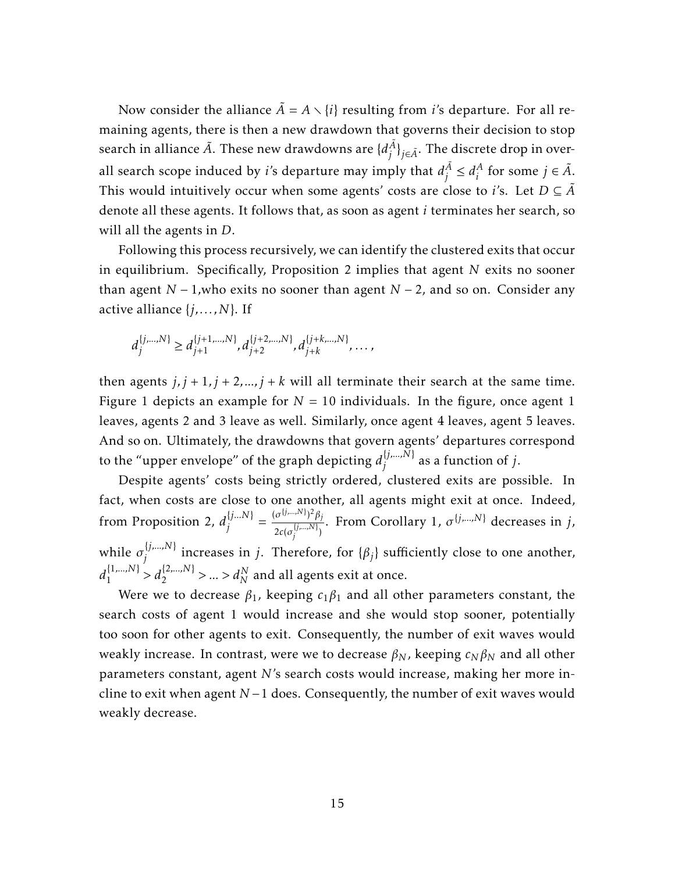Now consider the alliance  $\tilde{A} = A \setminus \{i\}$  resulting from *i*'s departure. For all remaining agents, there is then a new drawdown that governs their decision to stop search in alliance  $\tilde{A}$ . These new drawdowns are  $\{d^{\tilde{A}}_i\}$  $\{ \bar{A} \}_{\bar{j} \in \tilde{A}}.$  The discrete drop in overall search scope induced by *i*'s departure may imply that  $d_i^{\tilde{A}}$  $j^{\overline{A}} \leq d_i^{\overline{A}}$  $i^A$  for some  $j \in \tilde{A}$ . This would intuitively occur when some agents' costs are close to *i*'s. Let  $D \subseteq \tilde{A}$ denote all these agents. It follows that, as soon as agent *i* terminates her search, so will all the agents in *D*.

Following this process recursively, we can identify the clustered exits that occur in equilibrium. Specifically, Proposition 2 implies that agent *N* exits no sooner than agent *N* − 1*,*who exits no sooner than agent *N* − 2, and so on. Consider any active alliance {*j,...,N*}. If

$$
d_j^{\{j,\ldots,N\}} \geq d_{j+1}^{\{j+1,\ldots,N\}}, d_{j+2}^{\{j+2,\ldots,N\}}, d_{j+k}^{\{j+k,\ldots,N\}}, \ldots,
$$

then agents  $j, j + 1, j + 2, \ldots, j + k$  will all terminate their search at the same time. Figure 1 depicts an example for  $N = 10$  individuals. In the figure, once agent 1 leaves, agents 2 and 3 leave as well. Similarly, once agent 4 leaves, agent 5 leaves. And so on. Ultimately, the drawdowns that govern agents' departures correspond to the "upper envelope" of the graph depicting  $d_i^{[j,...,N]}$ *j* as a function of *j*.

Despite agents' costs being strictly ordered, clustered exits are possible. In fact, when costs are close to one another, all agents might exit at once. Indeed, from Proposition 2,  $d_i^{\{j...N\}}$  $\{j...N\}$   $=$   $\frac{(\sigma^{\{j,...,N\}})^2 \beta_j}{2c(\sigma^{\{j,...,N\}})}$  $2c(\sigma_i^{\{j,...,N\}})$ *j* ) . From Corollary 1, *σ* {*j,...,N*} decreases in *j*, while  $\sigma_i^{\{j,...,N\}}$  $\{f_j^{(j),...,N\}}$  increases in *j*. Therefore, for  $\{\beta_j\}$  sufficiently close to one another,  $d_1^{\{1,\dots,N\}}$  $\binom{\{1,...,N\}}{1} > d_2^{\{2,...,N\}} > ... > d_N^N$  and all agents exit at once.

Were we to decrease *β*<sup>1</sup> , keeping *c*1*β*<sup>1</sup> and all other parameters constant, the search costs of agent 1 would increase and she would stop sooner, potentially too soon for other agents to exit. Consequently, the number of exit waves would weakly increase. In contrast, were we to decrease  $\beta_N$ , keeping  $c_N \beta_N$  and all other parameters constant, agent *N*'s search costs would increase, making her more incline to exit when agent *N* −1 does. Consequently, the number of exit waves would weakly decrease.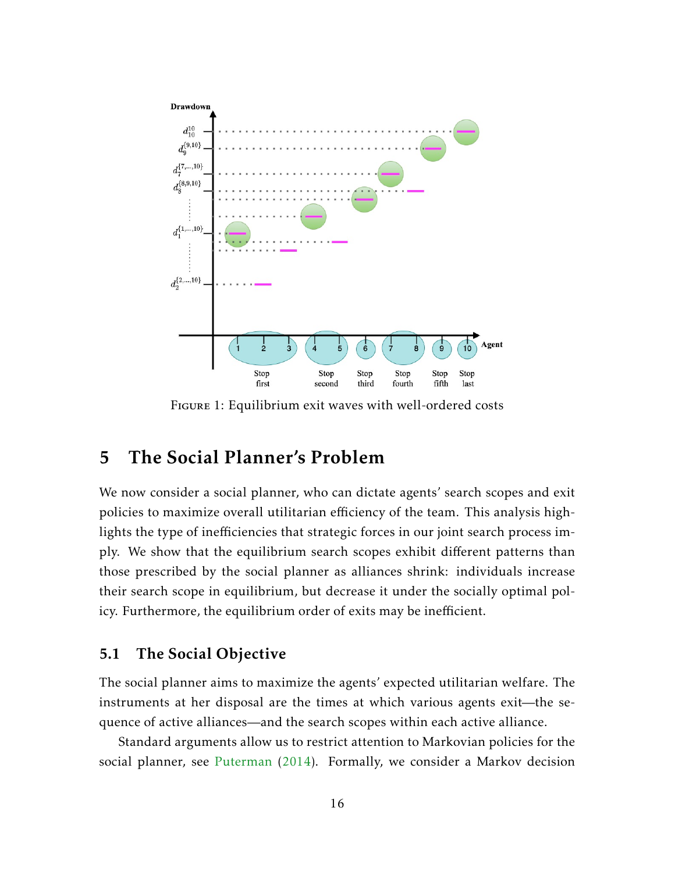

Figure 1: Equilibrium exit waves with well-ordered costs

# 5 The Social Planner's Problem

We now consider a social planner, who can dictate agents' search scopes and exit policies to maximize overall utilitarian efficiency of the team. This analysis highlights the type of inefficiencies that strategic forces in our joint search process imply. We show that the equilibrium search scopes exhibit different patterns than those prescribed by the social planner as alliances shrink: individuals increase their search scope in equilibrium, but decrease it under the socially optimal policy. Furthermore, the equilibrium order of exits may be inefficient.

#### 5.1 The Social Objective

The social planner aims to maximize the agents' expected utilitarian welfare. The instruments at her disposal are the times at which various agents exit—the sequence of active alliances—and the search scopes within each active alliance.

Standard arguments allow us to restrict attention to Markovian policies for the social planner, see [Puterman](#page-55-15) [\(2014\)](#page-55-15). Formally, we consider a Markov decision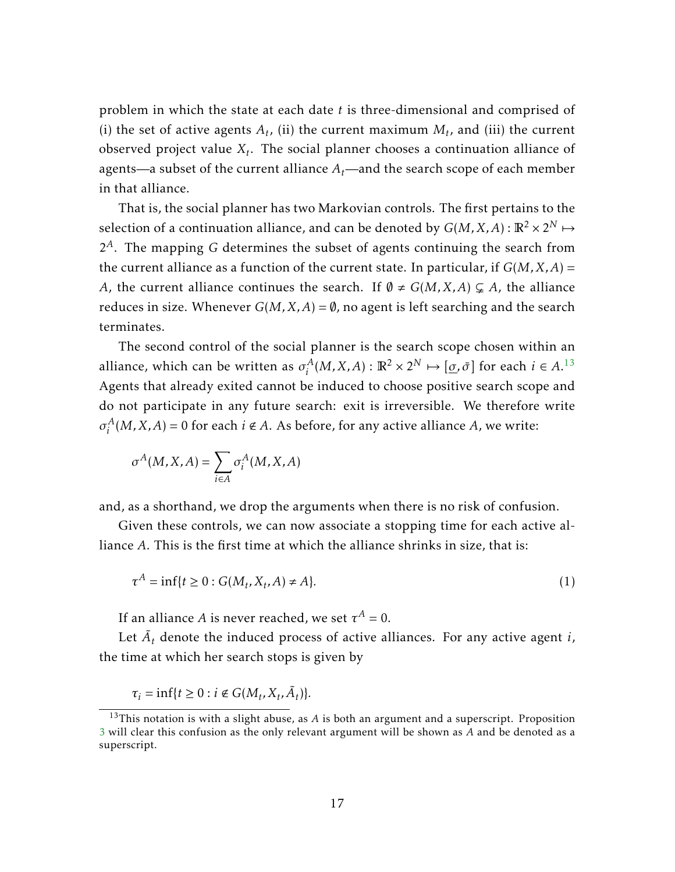problem in which the state at each date *t* is three-dimensional and comprised of (i) the set of active agents  $A_t$ , (ii) the current maximum  $M_t$ , and (iii) the current observed project value *X<sup>t</sup>* . The social planner chooses a continuation alliance of agents—a subset of the current alliance  $A_t$ —and the search scope of each member in that alliance.

That is, the social planner has two Markovian controls. The first pertains to the selection of a continuation alliance, and can be denoted by  $G(M,X,A)$  :  $\mathbb{R}^2 \times 2^N \mapsto$ 2 *<sup>A</sup>*. The mapping *G* determines the subset of agents continuing the search from the current alliance as a function of the current state. In particular, if  $G(M, X, A)$  = *A*, the current alliance continues the search. If  $\emptyset \neq G(M,X,A) \subsetneq A$ , the alliance reduces in size. Whenever  $G(M, X, A) = \emptyset$ , no agent is left searching and the search terminates.

The second control of the social planner is the search scope chosen within an alliance, which can be written as  $\sigma_i^A$  $\iota_i^A(M, X, A) : \mathbb{R}^2 \times 2^N \mapsto [\underline{\sigma}, \bar{\sigma}]$  for each  $i \in A$ .<sup>[13](#page-17-0)</sup> Agents that already exited cannot be induced to choose positive search scope and do not participate in any future search: exit is irreversible. We therefore write  $\sigma_i^A$  $i_A^A(M, X, A) = 0$  for each  $i \notin A$ . As before, for any active alliance *A*, we write:

$$
\sigma^A(M, X, A) = \sum_{i \in A} \sigma_i^A(M, X, A)
$$

and, as a shorthand, we drop the arguments when there is no risk of confusion.

Given these controls, we can now associate a stopping time for each active alliance *A*. This is the first time at which the alliance shrinks in size, that is:

<span id="page-17-1"></span>
$$
\tau^{A} = \inf\{t \ge 0 : G(M_t, X_t, A) \ne A\}.
$$
\n<sup>(1)</sup>

If an alliance *A* is never reached, we set  $\tau^A = 0$ .

Let  $\tilde{A}_t$  denote the induced process of active alliances. For any active agent *i*, the time at which her search stops is given by

 $\tau_i = \inf\{t \ge 0 : i \notin G(M_t, X_t, \tilde{A}_t)\}.$ 

<span id="page-17-0"></span><sup>&</sup>lt;sup>13</sup>This notation is with a slight abuse, as *A* is both an argument and a superscript. Proposition [3](#page-20-0) will clear this confusion as the only relevant argument will be shown as *A* and be denoted as a superscript.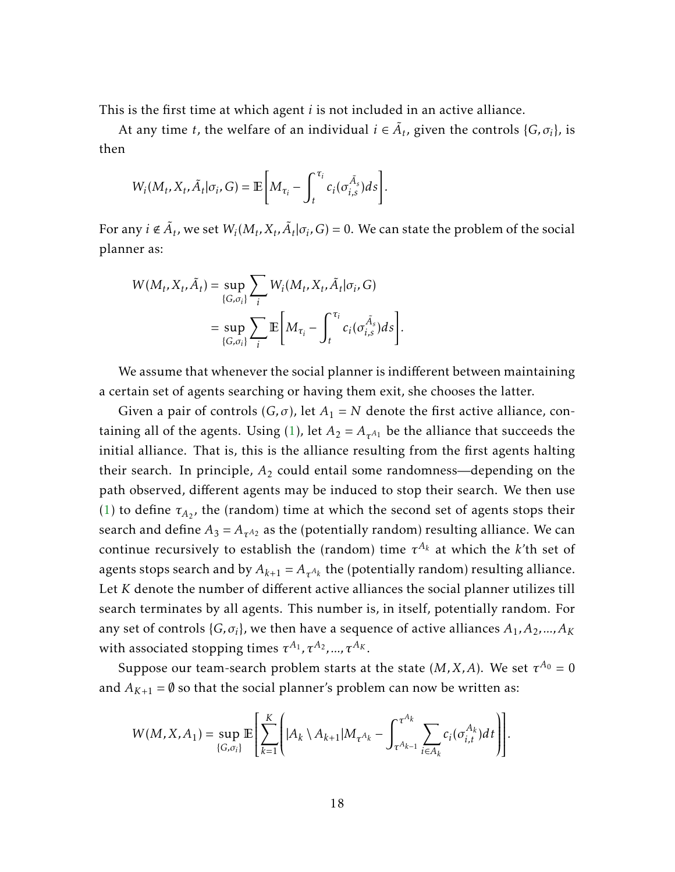This is the first time at which agent *i* is not included in an active alliance.

At any time *t*, the welfare of an individual  $i \in \tilde{A}_t$ , given the controls {*G*,  $\sigma_i$ }, is then

$$
W_i(M_t, X_t, \tilde{A}_t | \sigma_i, G) = \mathbb{E}\bigg[M_{\tau_i} - \int_t^{\tau_i} c_i(\sigma_{i,s}^{\tilde{A}_s})ds\bigg].
$$

For any  $i \notin \tilde{A}_t$ , we set  $W_i(M_t, X_t, \tilde{A}_t | \sigma_i, G) = 0$ . We can state the problem of the social planner as:

$$
W(M_t, X_t, \tilde{A}_t) = \sup_{\{G, \sigma_i\}} \sum_i W_i(M_t, X_t, \tilde{A}_t | \sigma_i, G)
$$
  

$$
= \sup_{\{G, \sigma_i\}} \sum_i \mathbb{E} \left[ M_{\tau_i} - \int_t^{\tau_i} c_i(\sigma_{i,s}^{\tilde{A}_s}) ds \right]
$$

We assume that whenever the social planner is indifferent between maintaining a certain set of agents searching or having them exit, she chooses the latter.

*.*

Given a pair of controls  $(G, \sigma)$ , let  $A_1 = N$  denote the first active alliance, con-taining all of the agents. Using [\(1\)](#page-17-1), let  $A_2 = A_{\tau^{A_1}}$  be the alliance that succeeds the initial alliance. That is, this is the alliance resulting from the first agents halting their search. In principle,  $A_2$  could entail some randomness—depending on the path observed, different agents may be induced to stop their search. We then use [\(1\)](#page-17-1) to define  $\tau_{A_2}$ , the (random) time at which the second set of agents stops their search and define  $A_3 = A_{\tau^{A_2}}$  as the (potentially random) resulting alliance. We can continue recursively to establish the (random) time  $\tau^{A_k}$  at which the *k*'th set of agents stops search and by  $A_{k+1} = A_{\tau^{A_k}}$  the (potentially random) resulting alliance. Let *K* denote the number of different active alliances the social planner utilizes till search terminates by all agents. This number is, in itself, potentially random. For any set of controls  $\{G, \sigma_i\}$ , we then have a sequence of active alliances  $A_1, A_2, ..., A_K$ with associated stopping times  $\tau^{A_1}, \tau^{A_2}, ..., \tau^{A_K}.$ 

Suppose our team-search problem starts at the state (M, X, A). We set  $\tau^{A_0}=0$ and  $A_{K+1} = \emptyset$  so that the social planner's problem can now be written as:

$$
W(M, X, A_1) = \sup_{\{G, \sigma_i\}} \mathbb{E} \left[ \sum_{k=1}^K \left[ |A_k \setminus A_{k+1}| M_{\tau^{A_k}} - \int_{\tau^{A_{k-1}}}^{\tau^{A_k}} \sum_{i \in A_k} c_i(\sigma_{i,t}^{A_k}) dt \right] \right].
$$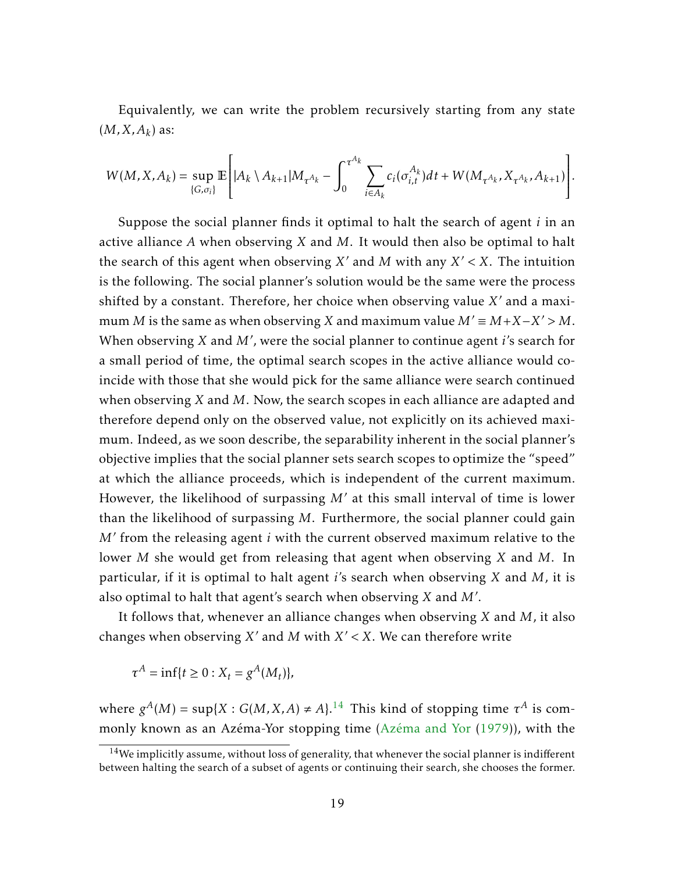Equivalently, we can write the problem recursively starting from any state  $(M, X, A_k)$  as:

$$
W(M, X, A_k) = \sup_{\{G, \sigma_i\}} \mathbb{E}\left[ |A_k \setminus A_{k+1}| M_{\tau^{A_k}} - \int_0^{\tau^{A_k}} \sum_{i \in A_k} c_i(\sigma_{i,t}^{A_k}) dt + W(M_{\tau^{A_k}}, X_{\tau^{A_k}}, A_{k+1}) \right].
$$

Suppose the social planner finds it optimal to halt the search of agent *i* in an active alliance *A* when observing *X* and *M*. It would then also be optimal to halt the search of this agent when observing  $X'$  and  $M$  with any  $X' < X$ . The intuition is the following. The social planner's solution would be the same were the process shifted by a constant. Therefore, her choice when observing value X' and a maximum *M* is the same as when observing *X* and maximum value  $M' \equiv M + X - X' > M$ . When observing *X* and *M'*, were the social planner to continue agent *i's* search for a small period of time, the optimal search scopes in the active alliance would coincide with those that she would pick for the same alliance were search continued when observing *X* and *M*. Now, the search scopes in each alliance are adapted and therefore depend only on the observed value, not explicitly on its achieved maximum. Indeed, as we soon describe, the separability inherent in the social planner's objective implies that the social planner sets search scopes to optimize the "speed" at which the alliance proceeds, which is independent of the current maximum. However, the likelihood of surpassing M' at this small interval of time is lower than the likelihood of surpassing *M*. Furthermore, the social planner could gain M' from the releasing agent *i* with the current observed maximum relative to the lower *M* she would get from releasing that agent when observing *X* and *M*. In particular, if it is optimal to halt agent *i*'s search when observing *X* and *M*, it is also optimal to halt that agent's search when observing  $X$  and  $M'$ .

It follows that, whenever an alliance changes when observing *X* and *M*, it also changes when observing  $X'$  and  $M$  with  $X' < X$ . We can therefore write

$$
\tau^A = \inf\{t \ge 0 : X_t = g^A(M_t)\},\
$$

where  $g^A(M) = \sup\{X : G(M, X, A) \neq A\}$ .<sup>[14](#page-19-0)</sup> This kind of stopping time  $\tau^A$  is commonly known as an Azéma-Yor stopping time [\(Azéma and Yor](#page-54-12) [\(1979\)](#page-54-12)), with the

<span id="page-19-0"></span><sup>&</sup>lt;sup>14</sup>We implicitly assume, without loss of generality, that whenever the social planner is indifferent between halting the search of a subset of agents or continuing their search, she chooses the former.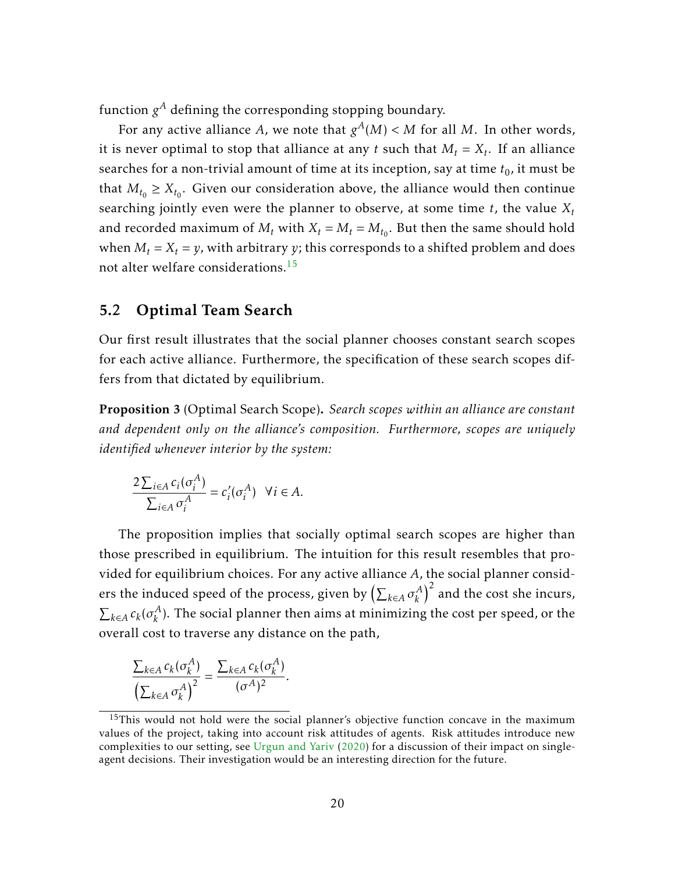function  $g^A$  defining the corresponding stopping boundary.

For any active alliance A, we note that  $g^A(M) < M$  for all M. In other words, it is never optimal to stop that alliance at any  $t$  such that  $M_t = X_t$ . If an alliance searches for a non-trivial amount of time at its inception, say at time  $t_0$ , it must be that  $M_{t_0} \geq X_{t_0}$ . Given our consideration above, the alliance would then continue searching jointly even were the planner to observe, at some time *t*, the value *X<sup>t</sup>* and recorded maximum of  $M_t$  with  $X_t = M_t = M_{t_0}$ . But then the same should hold when  $M_t = X_t = y$ , with arbitrary *y*; this corresponds to a shifted problem and does not alter welfare considerations.<sup>[15](#page-20-1)</sup>

### 5.2 Optimal Team Search

Our first result illustrates that the social planner chooses constant search scopes for each active alliance. Furthermore, the specification of these search scopes differs from that dictated by equilibrium.

<span id="page-20-0"></span>Proposition 3 (Optimal Search Scope). *Search scopes within an alliance are constant and dependent only on the alliance's composition. Furthermore, scopes are uniquely identified whenever interior by the system:*

$$
\frac{2\sum_{i\in A}c_i(\sigma_i^A)}{\sum_{i\in A}\sigma_i^A} = c'_i(\sigma_i^A) \quad \forall i \in A.
$$

The proposition implies that socially optimal search scopes are higher than those prescribed in equilibrium. The intuition for this result resembles that provided for equilibrium choices. For any active alliance *A*, the social planner considers the induced speed of the process, given by  $\left(\sum_{k \in A} \sigma_k^A\right)$  $\binom{A}{k}^2$  and the cost she incurs,  $\sum_{k \in A} c_k (\sigma_k^A)$  $\mathcal{L}_k^A$ ). The social planner then aims at minimizing the cost per speed, or the overall cost to traverse any distance on the path,

$$
\frac{\sum_{k\in A} c_k(\sigma_k^A)}{\left(\sum_{k\in A} \sigma_k^A\right)^2} = \frac{\sum_{k\in A} c_k(\sigma_k^A)}{(\sigma^A)^2}.
$$

<span id="page-20-1"></span> $15$ This would not hold were the social planner's objective function concave in the maximum values of the project, taking into account risk attitudes of agents. Risk attitudes introduce new complexities to our setting, see [Urgun and Yariv](#page-55-2) [\(2020\)](#page-55-2) for a discussion of their impact on singleagent decisions. Their investigation would be an interesting direction for the future.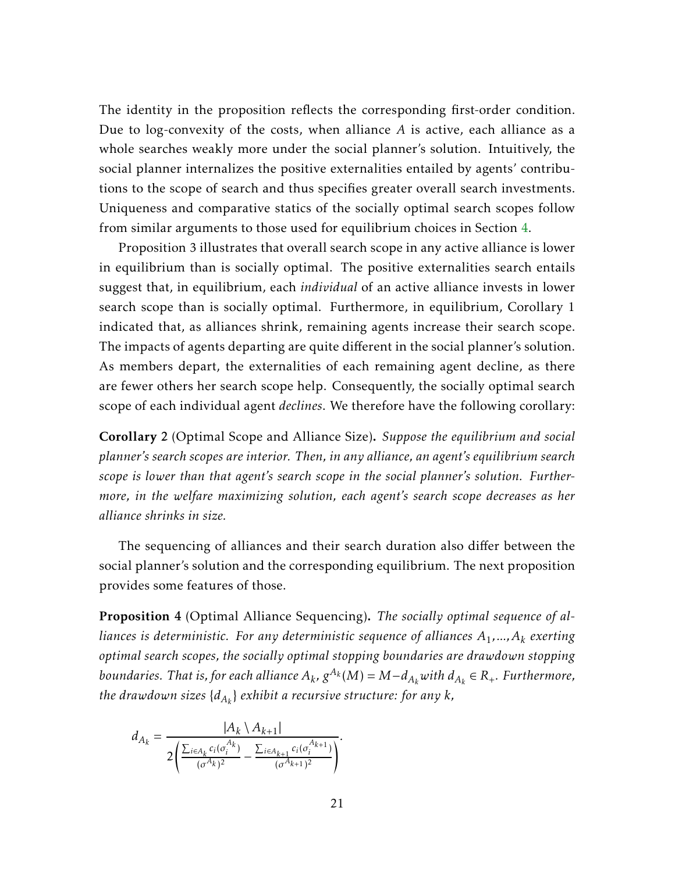The identity in the proposition reflects the corresponding first-order condition. Due to log-convexity of the costs, when alliance *A* is active, each alliance as a whole searches weakly more under the social planner's solution. Intuitively, the social planner internalizes the positive externalities entailed by agents' contributions to the scope of search and thus specifies greater overall search investments. Uniqueness and comparative statics of the socially optimal search scopes follow from similar arguments to those used for equilibrium choices in Section [4.](#page-10-0)

Proposition 3 illustrates that overall search scope in any active alliance is lower in equilibrium than is socially optimal. The positive externalities search entails suggest that, in equilibrium, each *individual* of an active alliance invests in lower search scope than is socially optimal. Furthermore, in equilibrium, Corollary 1 indicated that, as alliances shrink, remaining agents increase their search scope. The impacts of agents departing are quite different in the social planner's solution. As members depart, the externalities of each remaining agent decline, as there are fewer others her search scope help. Consequently, the socially optimal search scope of each individual agent *declines*. We therefore have the following corollary:

<span id="page-21-1"></span>Corollary 2 (Optimal Scope and Alliance Size). *Suppose the equilibrium and social planner's search scopes are interior. Then, in any alliance, an agent's equilibrium search scope is lower than that agent's search scope in the social planner's solution. Furthermore, in the welfare maximizing solution, each agent's search scope decreases as her alliance shrinks in size.*

The sequencing of alliances and their search duration also differ between the social planner's solution and the corresponding equilibrium. The next proposition provides some features of those.

<span id="page-21-0"></span>Proposition 4 (Optimal Alliance Sequencing). *The socially optimal sequence of alliances is deterministic. For any deterministic sequence of alliances A*<sup>1</sup> *,...,A<sup>k</sup> exerting optimal search scopes, the socially optimal stopping boundaries are drawdown stopping boundaries. That is, for each alliance*  $A_k$ *,*  $g^{A_k}(M) = M - d_{A_k}$  *with*  $d_{A_k} \in R_+$ *. Furthermore, the drawdown sizes* {*dA<sup>k</sup>* } *exhibit a recursive structure: for any k,*

$$
d_{A_k} = \frac{|A_k \setminus A_{k+1}|}{2\left(\frac{\sum_{i \in A_k} c_i(\sigma_i^{A_k})}{(\sigma^{A_k})^2} - \frac{\sum_{i \in A_{k+1}} c_i(\sigma_i^{A_{k+1}})}{(\sigma^{A_{k+1}})^2}\right)}.
$$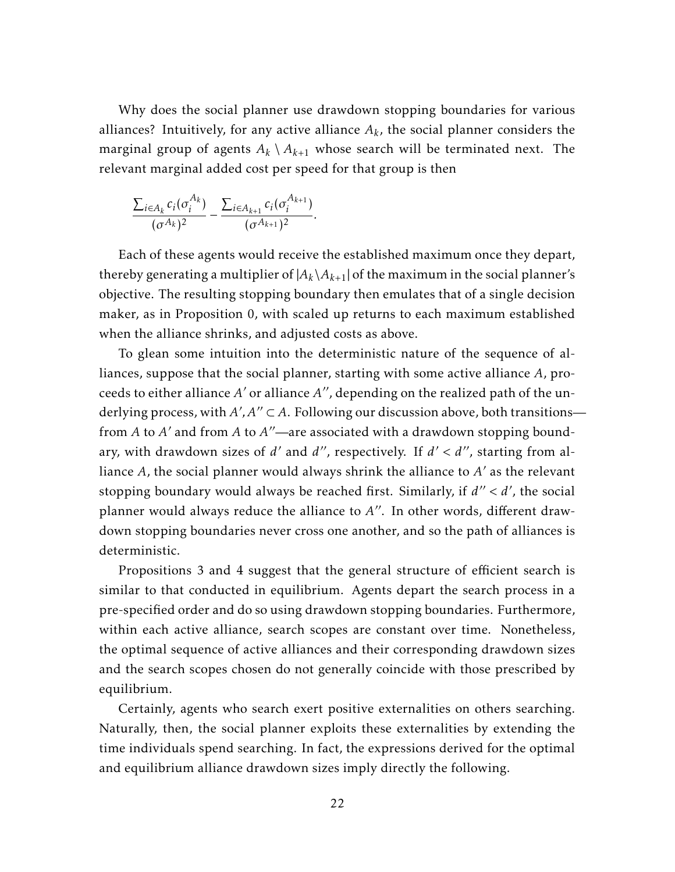Why does the social planner use drawdown stopping boundaries for various alliances? Intuitively, for any active alliance  $A_k$ , the social planner considers the marginal group of agents  $A_k \setminus A_{k+1}$  whose search will be terminated next. The relevant marginal added cost per speed for that group is then

$$
\frac{\sum_{i\in A_k} c_i(\sigma_i^{A_k})}{(\sigma^{A_k})^2} - \frac{\sum_{i\in A_{k+1}} c_i(\sigma_i^{A_{k+1}})}{(\sigma^{A_{k+1}})^2}.
$$

Each of these agents would receive the established maximum once they depart, thereby generating a multiplier of  $|A_k \setminus A_{k+1}|$  of the maximum in the social planner's objective. The resulting stopping boundary then emulates that of a single decision maker, as in Proposition 0, with scaled up returns to each maximum established when the alliance shrinks, and adjusted costs as above.

To glean some intuition into the deterministic nature of the sequence of alliances, suppose that the social planner, starting with some active alliance *A*, proceeds to either alliance  $A'$  or alliance  $A''$ , depending on the realized path of the underlying process, with  $A'$ ,  $A'' \subset A$ . Following our discussion above, both transitions from *A* to *A'* and from *A* to *A''*—are associated with a drawdown stopping boundary, with drawdown sizes of *d'* and *d"*, respectively. If  $d' < d''$ , starting from alliance A, the social planner would always shrink the alliance to A' as the relevant stopping boundary would always be reached first. Similarly, if  $d'' < d'$ , the social planner would always reduce the alliance to A<sup>"</sup>. In other words, different drawdown stopping boundaries never cross one another, and so the path of alliances is deterministic.

Propositions 3 and 4 suggest that the general structure of efficient search is similar to that conducted in equilibrium. Agents depart the search process in a pre-specified order and do so using drawdown stopping boundaries. Furthermore, within each active alliance, search scopes are constant over time. Nonetheless, the optimal sequence of active alliances and their corresponding drawdown sizes and the search scopes chosen do not generally coincide with those prescribed by equilibrium.

Certainly, agents who search exert positive externalities on others searching. Naturally, then, the social planner exploits these externalities by extending the time individuals spend searching. In fact, the expressions derived for the optimal and equilibrium alliance drawdown sizes imply directly the following.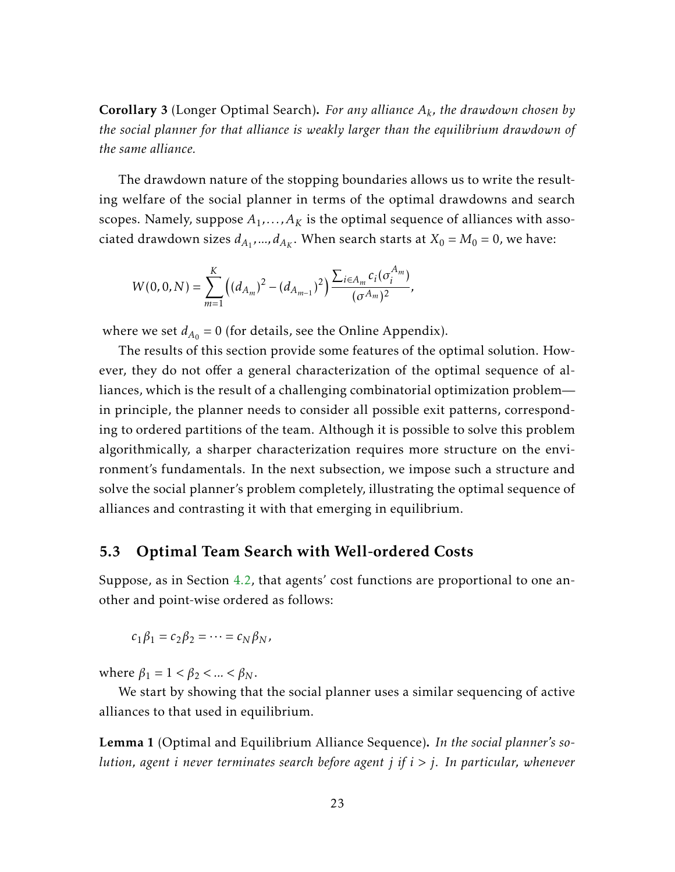<span id="page-23-0"></span>Corollary 3 (Longer Optimal Search). *For any alliance A<sup>k</sup> , the drawdown chosen by the social planner for that alliance is weakly larger than the equilibrium drawdown of the same alliance.*

The drawdown nature of the stopping boundaries allows us to write the resulting welfare of the social planner in terms of the optimal drawdowns and search scopes. Namely, suppose  $A_1,\ldots,A_K$  is the optimal sequence of alliances with associated drawdown sizes  $d_{A_1},...,d_{A_K}$ . When search starts at  $X_0 = M_0 = 0$ , we have:

$$
W(0,0,N)=\sum_{m=1}^K \Bigl((d_{A_m})^2-(d_{A_{m-1}})^2\Bigr)\frac{\sum_{i\in A_m} c_i(\sigma_i^{A_m})}{(\sigma^{A_m})^2},
$$

where we set  $d_{A_0} = 0$  (for details, see the Online Appendix).

The results of this section provide some features of the optimal solution. However, they do not offer a general characterization of the optimal sequence of alliances, which is the result of a challenging combinatorial optimization problem in principle, the planner needs to consider all possible exit patterns, corresponding to ordered partitions of the team. Although it is possible to solve this problem algorithmically, a sharper characterization requires more structure on the environment's fundamentals. In the next subsection, we impose such a structure and solve the social planner's problem completely, illustrating the optimal sequence of alliances and contrasting it with that emerging in equilibrium.

#### 5.3 Optimal Team Search with Well-ordered Costs

Suppose, as in Section [4.2,](#page-14-0) that agents' cost functions are proportional to one another and point-wise ordered as follows:

$$
c_1\beta_1=c_2\beta_2=\cdots=c_N\beta_N,
$$

where  $\beta_1 = 1 < \beta_2 < ... < \beta_N$ .

We start by showing that the social planner uses a similar sequencing of active alliances to that used in equilibrium.

<span id="page-23-1"></span>Lemma 1 (Optimal and Equilibrium Alliance Sequence). *In the social planner's solution, agent i never terminates search before agent j if i > j. In particular, whenever*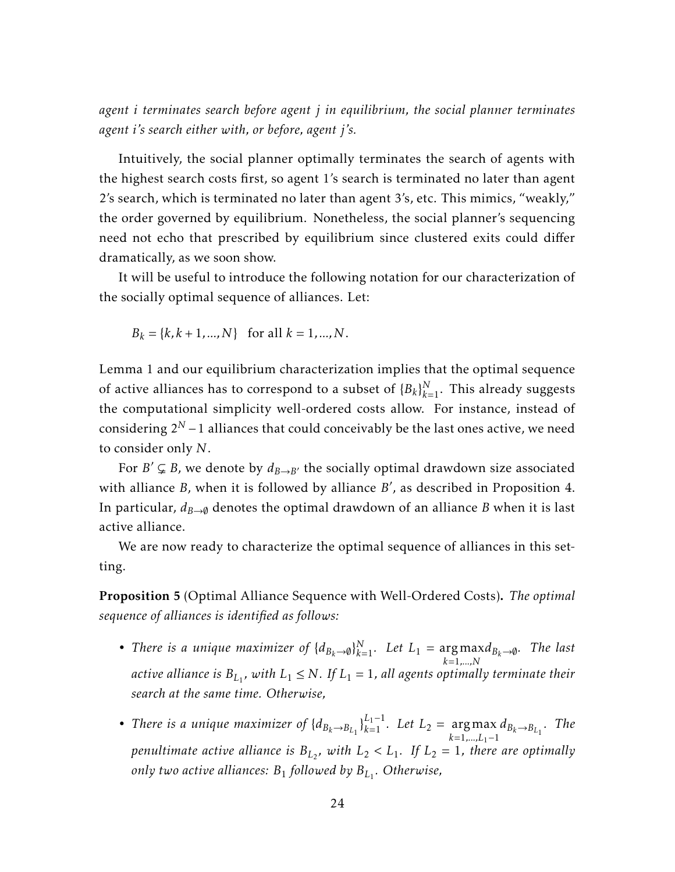*agent i terminates search before agent j in equilibrium, the social planner terminates agent i's search either with, or before, agent j's.*

Intuitively, the social planner optimally terminates the search of agents with the highest search costs first, so agent 1's search is terminated no later than agent 2's search, which is terminated no later than agent 3's, etc. This mimics, "weakly," the order governed by equilibrium. Nonetheless, the social planner's sequencing need not echo that prescribed by equilibrium since clustered exits could differ dramatically, as we soon show.

It will be useful to introduce the following notation for our characterization of the socially optimal sequence of alliances. Let:

$$
B_k = \{k, k+1, ..., N\}
$$
 for all  $k = 1, ..., N$ .

Lemma 1 and our equilibrium characterization implies that the optimal sequence of active alliances has to correspond to a subset of  $\{B_k\}_{k=1}^N$ . This already suggests the computational simplicity well-ordered costs allow. For instance, instead of considering 2*<sup>N</sup>* −1 alliances that could conceivably be the last ones active, we need to consider only *N*.

For  $B' \subsetneq B$ , we denote by  $d_{B \to B'}$  the socially optimal drawdown size associated with alliance *B*, when it is followed by alliance *B'*, as described in Proposition 4. In particular,  $d_{B\rightarrow\emptyset}$  denotes the optimal drawdown of an alliance *B* when it is last active alliance.

We are now ready to characterize the optimal sequence of alliances in this setting.

<span id="page-24-0"></span>Proposition 5 (Optimal Alliance Sequence with Well-Ordered Costs). *The optimal sequence of alliances is identified as follows:*

- *There is a unique maximizer of*  $\{d_{B_k\to\emptyset}\}_{k=1}^N$ . Let  $L_1 = \arg \max d_{B_k\to\emptyset}$ . The last *k*=1*,...,N* active alliance is  $B_{L_1}$ , with  $L_1 \leq N$ . If  $L_1 = 1$ , all agents optimally terminate their *search at the same time. Otherwise,*
- *There is a unique maximizer of*  ${d_{B_k \to B_{L_1}}}^{\{L_1-1\}}$ , Let  $L_2 = \argmax_{k=1}^{\{L_1-1\}}$  $arg \max_{k=1,...,L_1-1} d_{B_k \to B_{L_1}}$ . *The penultimate active alliance is*  $B_{L_2}$ *, with*  $L_2 < L_1$ *. If*  $L_2 = 1$ *, there are optimally only two active alliances: B*<sup>1</sup> *followed by BL*<sup>1</sup> *. Otherwise,*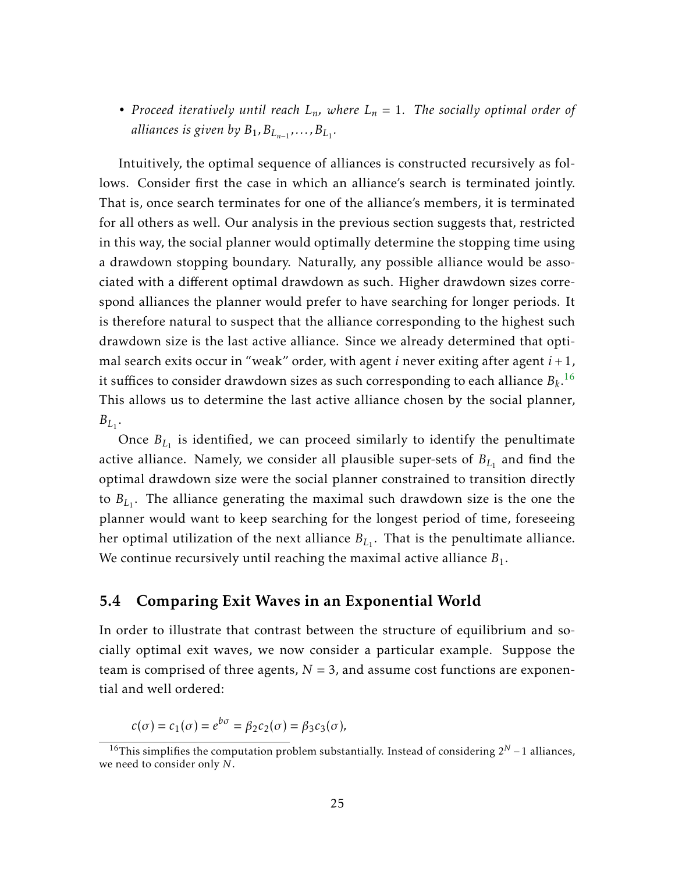• *Proceed iteratively until reach*  $L_n$ *, where*  $L_n = 1$ *. The socially optimal order of* alliances is given by  $B_1, B_{L_{n-1}}, \ldots, B_{L_1}.$ 

Intuitively, the optimal sequence of alliances is constructed recursively as follows. Consider first the case in which an alliance's search is terminated jointly. That is, once search terminates for one of the alliance's members, it is terminated for all others as well. Our analysis in the previous section suggests that, restricted in this way, the social planner would optimally determine the stopping time using a drawdown stopping boundary. Naturally, any possible alliance would be associated with a different optimal drawdown as such. Higher drawdown sizes correspond alliances the planner would prefer to have searching for longer periods. It is therefore natural to suspect that the alliance corresponding to the highest such drawdown size is the last active alliance. Since we already determined that optimal search exits occur in "weak" order, with agent *i* never exiting after agent *i* + 1, it suffices to consider drawdown sizes as such corresponding to each alliance  $B_k$ .  $^{16}$  $^{16}$  $^{16}$ This allows us to determine the last active alliance chosen by the social planner,  $B_{L_1}$ .

Once  $B_{L_1}$  is identified, we can proceed similarly to identify the penultimate active alliance. Namely, we consider all plausible super-sets of  $B_{L_1}$  and find the optimal drawdown size were the social planner constrained to transition directly to *BL*<sup>1</sup> . The alliance generating the maximal such drawdown size is the one the planner would want to keep searching for the longest period of time, foreseeing her optimal utilization of the next alliance  $B_{L_1}.$  That is the penultimate alliance. We continue recursively until reaching the maximal active alliance  $B_1$ .

#### 5.4 Comparing Exit Waves in an Exponential World

In order to illustrate that contrast between the structure of equilibrium and socially optimal exit waves, we now consider a particular example. Suppose the team is comprised of three agents,  $N = 3$ , and assume cost functions are exponential and well ordered:

$$
c(\sigma) = c_1(\sigma) = e^{b\sigma} = \beta_2 c_2(\sigma) = \beta_3 c_3(\sigma),
$$

<span id="page-25-0"></span><sup>&</sup>lt;sup>16</sup>This simplifies the computation problem substantially. Instead of considering  $2^N - 1$  alliances, we need to consider only *N*.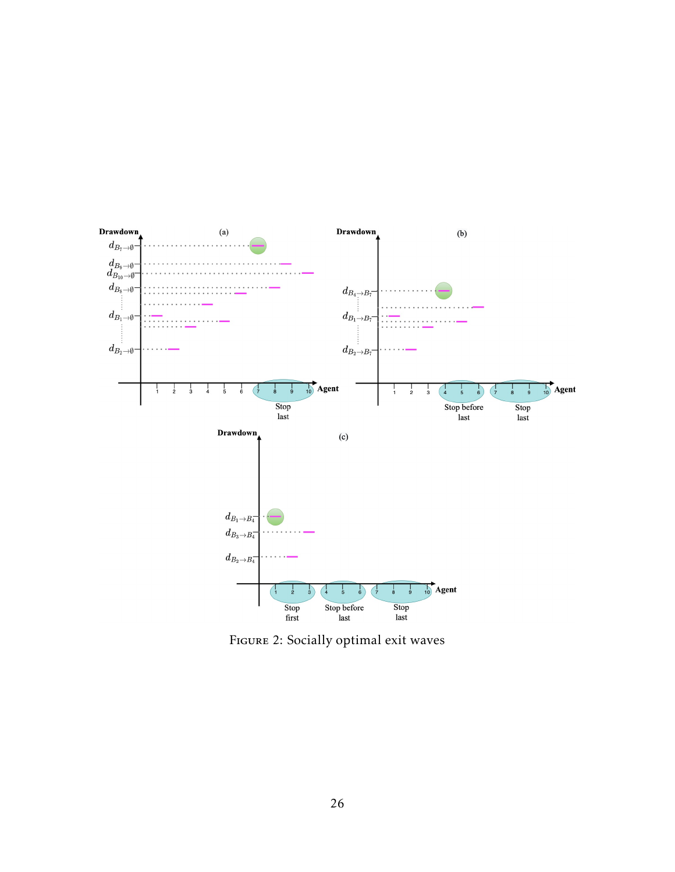

Figure 2: Socially optimal exit waves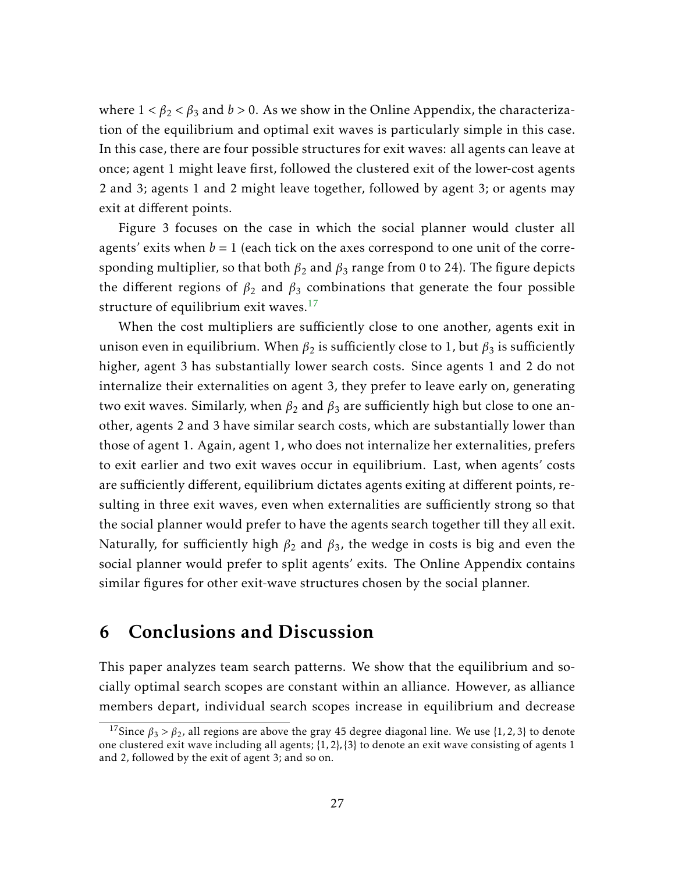where  $1 < \beta_2 < \beta_3$  and  $b > 0$ . As we show in the Online Appendix, the characterization of the equilibrium and optimal exit waves is particularly simple in this case. In this case, there are four possible structures for exit waves: all agents can leave at once; agent 1 might leave first, followed the clustered exit of the lower-cost agents 2 and 3; agents 1 and 2 might leave together, followed by agent 3; or agents may exit at different points.

Figure 3 focuses on the case in which the social planner would cluster all agents' exits when  $b = 1$  (each tick on the axes correspond to one unit of the corresponding multiplier, so that both  $\beta_2$  and  $\beta_3$  range from 0 to 24). The figure depicts the different regions of  $\beta_2$  and  $\beta_3$  combinations that generate the four possible structure of equilibrium exit waves. $17$ 

When the cost multipliers are sufficiently close to one another, agents exit in unison even in equilibrium. When  $\beta_2$  is sufficiently close to 1, but  $\beta_3$  is sufficiently higher, agent 3 has substantially lower search costs. Since agents 1 and 2 do not internalize their externalities on agent 3, they prefer to leave early on, generating two exit waves. Similarly, when  $\beta_2$  and  $\beta_3$  are sufficiently high but close to one another, agents 2 and 3 have similar search costs, which are substantially lower than those of agent 1. Again, agent 1, who does not internalize her externalities, prefers to exit earlier and two exit waves occur in equilibrium. Last, when agents' costs are sufficiently different, equilibrium dictates agents exiting at different points, resulting in three exit waves, even when externalities are sufficiently strong so that the social planner would prefer to have the agents search together till they all exit. Naturally, for sufficiently high *β*<sup>2</sup> and *β*<sup>3</sup> , the wedge in costs is big and even the social planner would prefer to split agents' exits. The Online Appendix contains similar figures for other exit-wave structures chosen by the social planner.

### 6 Conclusions and Discussion

This paper analyzes team search patterns. We show that the equilibrium and socially optimal search scopes are constant within an alliance. However, as alliance members depart, individual search scopes increase in equilibrium and decrease

<span id="page-27-0"></span><sup>&</sup>lt;sup>17</sup>Since  $\beta_3 > \beta_2$ , all regions are above the gray 45 degree diagonal line. We use {1, 2, 3} to denote one clustered exit wave including all agents; {1*,*2}*,*{3} to denote an exit wave consisting of agents 1 and 2, followed by the exit of agent 3; and so on.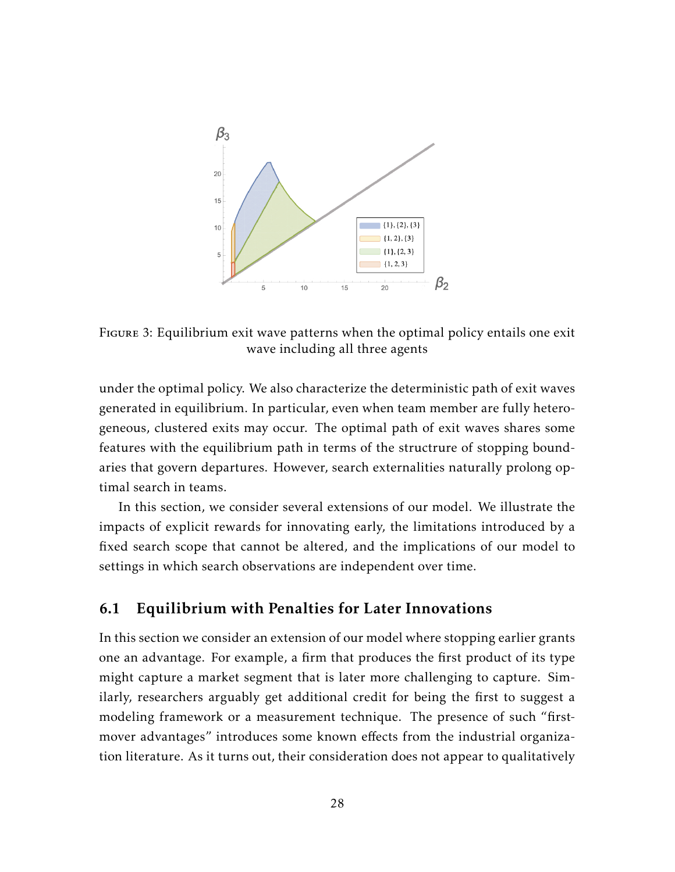

Figure 3: Equilibrium exit wave patterns when the optimal policy entails one exit wave including all three agents

under the optimal policy. We also characterize the deterministic path of exit waves generated in equilibrium. In particular, even when team member are fully heterogeneous, clustered exits may occur. The optimal path of exit waves shares some features with the equilibrium path in terms of the structrure of stopping boundaries that govern departures. However, search externalities naturally prolong optimal search in teams.

In this section, we consider several extensions of our model. We illustrate the impacts of explicit rewards for innovating early, the limitations introduced by a fixed search scope that cannot be altered, and the implications of our model to settings in which search observations are independent over time.

#### <span id="page-28-0"></span>6.1 Equilibrium with Penalties for Later Innovations

In this section we consider an extension of our model where stopping earlier grants one an advantage. For example, a firm that produces the first product of its type might capture a market segment that is later more challenging to capture. Similarly, researchers arguably get additional credit for being the first to suggest a modeling framework or a measurement technique. The presence of such "firstmover advantages" introduces some known effects from the industrial organization literature. As it turns out, their consideration does not appear to qualitatively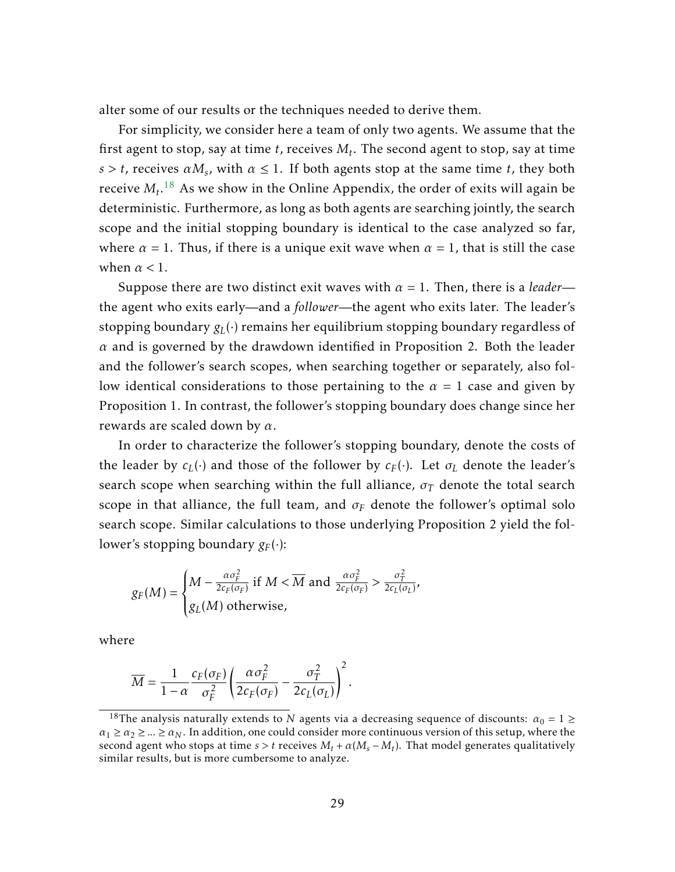alter some of our results or the techniques needed to derive them.

For simplicity, we consider here a team of only two agents. We assume that the first agent to stop, say at time *t*, receives *M<sup>t</sup>* . The second agent to stop, say at time  $s > t$ , receives  $\alpha M_s$ , with  $\alpha \leq 1$ . If both agents stop at the same time *t*, they both receive  $M_t.^{18}$  $M_t.^{18}$  $M_t.^{18}$  As we show in the Online Appendix, the order of exits will again be deterministic. Furthermore, as long as both agents are searching jointly, the search scope and the initial stopping boundary is identical to the case analyzed so far, where  $\alpha = 1$ . Thus, if there is a unique exit wave when  $\alpha = 1$ , that is still the case when *α <* 1.

Suppose there are two distinct exit waves with  $\alpha = 1$ . Then, there is a *leader* the agent who exits early—and a *follower*—the agent who exits later. The leader's stopping boundary  $g_L(\cdot)$  remains her equilibrium stopping boundary regardless of *α* and is governed by the drawdown identified in Proposition 2. Both the leader and the follower's search scopes, when searching together or separately, also follow identical considerations to those pertaining to the *α* = 1 case and given by Proposition 1. In contrast, the follower's stopping boundary does change since her rewards are scaled down by *α*.

In order to characterize the follower's stopping boundary, denote the costs of the leader by  $c_L(\cdot)$  and those of the follower by  $c_F(\cdot)$ . Let  $\sigma_L$  denote the leader's search scope when searching within the full alliance,  $\sigma_T$  denote the total search scope in that alliance, the full team, and  $\sigma_F$  denote the follower's optimal solo search scope. Similar calculations to those underlying Proposition 2 yield the follower's stopping boundary  $g_F(\cdot)$ :

$$
g_F(M) = \begin{cases} M - \frac{\alpha \sigma_F^2}{2c_F(\sigma_F)} & \text{if } M < \overline{M} \text{ and } \frac{\alpha \sigma_F^2}{2c_F(\sigma_F)} > \frac{\sigma_T^2}{2c_L(\sigma_L)},\\ g_L(M) & \text{otherwise,} \end{cases}
$$

where

$$
\overline{M} = \frac{1}{1-\alpha} \frac{c_F(\sigma_F)}{\sigma_F^2} \left( \frac{\alpha \sigma_F^2}{2c_F(\sigma_F)} - \frac{\sigma_T^2}{2c_L(\sigma_L)} \right)^2.
$$

<span id="page-29-0"></span><sup>&</sup>lt;sup>18</sup>The analysis naturally extends to *N* agents via a decreasing sequence of discounts:  $\alpha_0 = 1 \geq$  $a_1 \ge a_2 \ge ... \ge a_N$ . In addition, one could consider more continuous version of this setup, where the second agent who stops at time  $s > t$  receives  $M_t + \alpha(M_s - M_t)$ . That model generates qualitatively similar results, but is more cumbersome to analyze.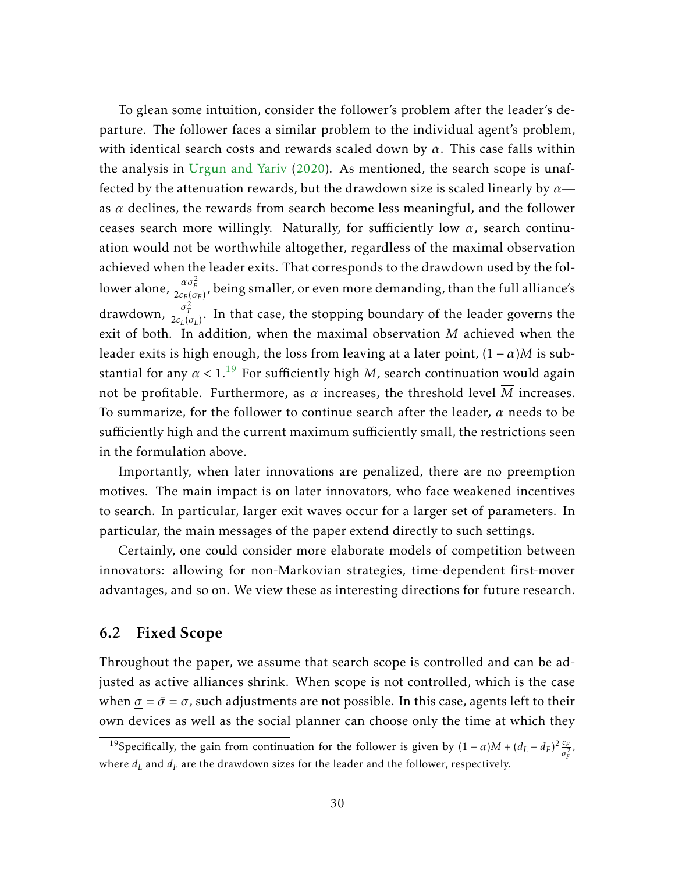To glean some intuition, consider the follower's problem after the leader's departure. The follower faces a similar problem to the individual agent's problem, with identical search costs and rewards scaled down by *α*. This case falls within the analysis in [Urgun and Yariv](#page-55-2) [\(2020\)](#page-55-2). As mentioned, the search scope is unaffected by the attenuation rewards, but the drawdown size is scaled linearly by *α* as *α* declines, the rewards from search become less meaningful, and the follower ceases search more willingly. Naturally, for sufficiently low *α*, search continuation would not be worthwhile altogether, regardless of the maximal observation achieved when the leader exits. That corresponds to the drawdown used by the follower alone,  $\frac{\alpha \sigma_F^2}{2 c_F(\sigma_F)}$ , being smaller, or even more demanding, than the full alliance's drawdown,  $\frac{\sigma_T^2}{2c_L(\sigma_L)}$ . In that case, the stopping boundary of the leader governs the exit of both. In addition, when the maximal observation *M* achieved when the leader exits is high enough, the loss from leaving at a later point,  $(1 - \alpha)M$  is substantial for any  $\alpha < 1$ <sup>[19](#page-30-0)</sup> For sufficiently high *M*, search continuation would again not be profitable. Furthermore, as  $\alpha$  increases, the threshold level  $\overline{M}$  increases. To summarize, for the follower to continue search after the leader, *α* needs to be sufficiently high and the current maximum sufficiently small, the restrictions seen in the formulation above.

Importantly, when later innovations are penalized, there are no preemption motives. The main impact is on later innovators, who face weakened incentives to search. In particular, larger exit waves occur for a larger set of parameters. In particular, the main messages of the paper extend directly to such settings.

Certainly, one could consider more elaborate models of competition between innovators: allowing for non-Markovian strategies, time-dependent first-mover advantages, and so on. We view these as interesting directions for future research.

#### 6.2 Fixed Scope

Throughout the paper, we assume that search scope is controlled and can be adjusted as active alliances shrink. When scope is not controlled, which is the case when  $\sigma = \bar{\sigma} = \sigma$ , such adjustments are not possible. In this case, agents left to their own devices as well as the social planner can choose only the time at which they

<span id="page-30-0"></span><sup>&</sup>lt;sup>19</sup>Specifically, the gain from continuation for the follower is given by  $(1 - \alpha)M + (d_L - d_F)^2 \frac{c_F}{\sigma^2}$  $\frac{\epsilon_F}{\sigma_F^2}$ , where *d<sup>L</sup>* and *d<sup>F</sup>* are the drawdown sizes for the leader and the follower, respectively.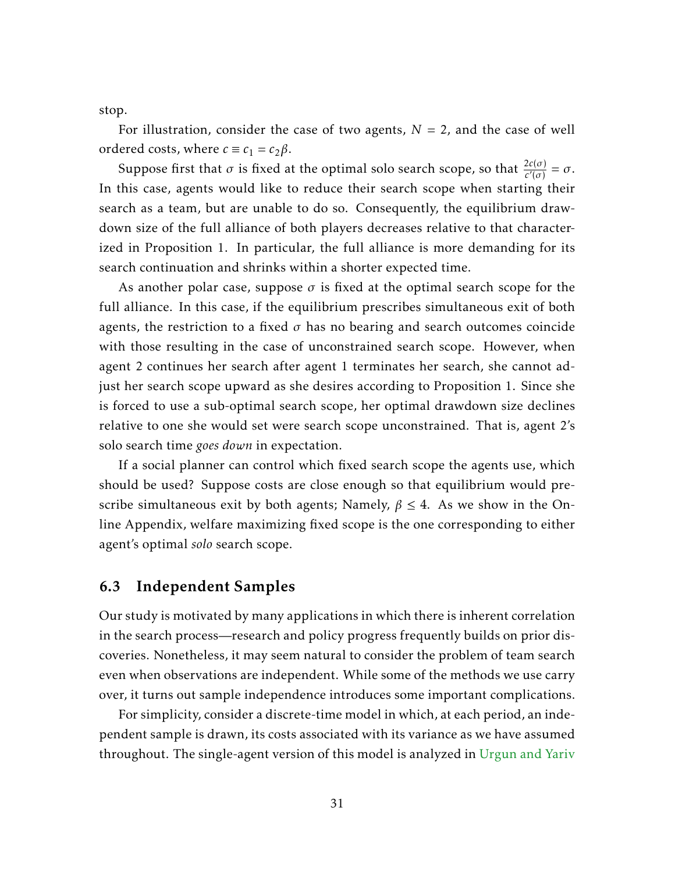stop.

For illustration, consider the case of two agents,  $N = 2$ , and the case of well ordered costs, where  $c \equiv c_1 = c_2 \beta$ .

Suppose first that  $\sigma$  is fixed at the optimal solo search scope, so that  $\frac{2c(\sigma)}{c'(\sigma)} = \sigma$ . In this case, agents would like to reduce their search scope when starting their search as a team, but are unable to do so. Consequently, the equilibrium drawdown size of the full alliance of both players decreases relative to that characterized in Proposition 1. In particular, the full alliance is more demanding for its search continuation and shrinks within a shorter expected time.

As another polar case, suppose *σ* is fixed at the optimal search scope for the full alliance. In this case, if the equilibrium prescribes simultaneous exit of both agents, the restriction to a fixed  $\sigma$  has no bearing and search outcomes coincide with those resulting in the case of unconstrained search scope. However, when agent 2 continues her search after agent 1 terminates her search, she cannot adjust her search scope upward as she desires according to Proposition 1. Since she is forced to use a sub-optimal search scope, her optimal drawdown size declines relative to one she would set were search scope unconstrained. That is, agent 2's solo search time *goes down* in expectation.

If a social planner can control which fixed search scope the agents use, which should be used? Suppose costs are close enough so that equilibrium would prescribe simultaneous exit by both agents; Namely,  $\beta \leq 4$ . As we show in the Online Appendix, welfare maximizing fixed scope is the one corresponding to either agent's optimal *solo* search scope.

#### <span id="page-31-0"></span>6.3 Independent Samples

Our study is motivated by many applications in which there is inherent correlation in the search process—research and policy progress frequently builds on prior discoveries. Nonetheless, it may seem natural to consider the problem of team search even when observations are independent. While some of the methods we use carry over, it turns out sample independence introduces some important complications.

For simplicity, consider a discrete-time model in which, at each period, an independent sample is drawn, its costs associated with its variance as we have assumed throughout. The single-agent version of this model is analyzed in [Urgun and Yariv](#page-55-16)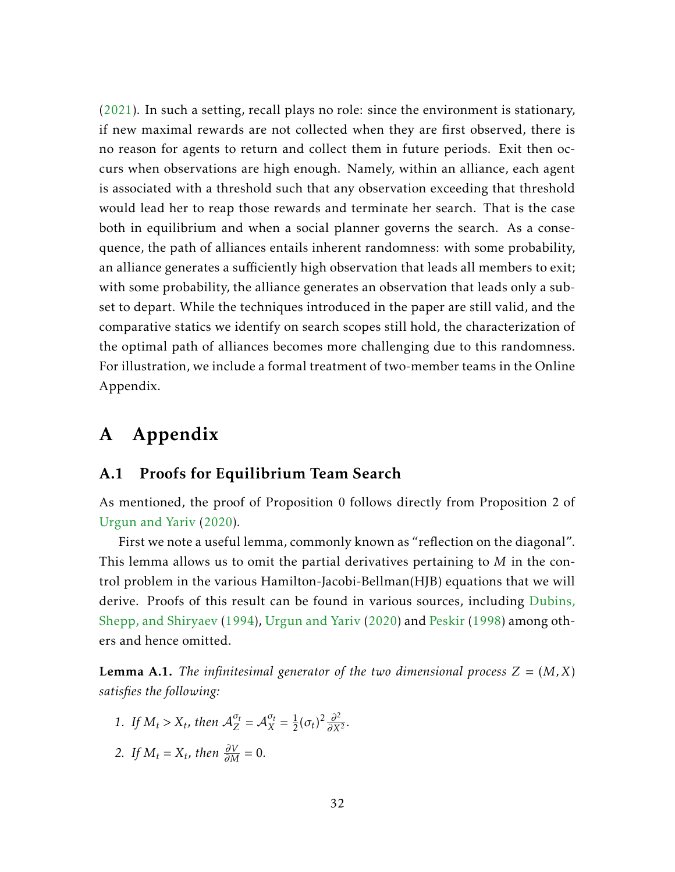[\(2021\)](#page-55-16). In such a setting, recall plays no role: since the environment is stationary, if new maximal rewards are not collected when they are first observed, there is no reason for agents to return and collect them in future periods. Exit then occurs when observations are high enough. Namely, within an alliance, each agent is associated with a threshold such that any observation exceeding that threshold would lead her to reap those rewards and terminate her search. That is the case both in equilibrium and when a social planner governs the search. As a consequence, the path of alliances entails inherent randomness: with some probability, an alliance generates a sufficiently high observation that leads all members to exit; with some probability, the alliance generates an observation that leads only a subset to depart. While the techniques introduced in the paper are still valid, and the comparative statics we identify on search scopes still hold, the characterization of the optimal path of alliances becomes more challenging due to this randomness. For illustration, we include a formal treatment of two-member teams in the Online Appendix.

# A Appendix

### A.1 Proofs for Equilibrium Team Search

As mentioned, the proof of Proposition 0 follows directly from Proposition 2 of [Urgun and Yariv](#page-55-2) [\(2020\)](#page-55-2).

First we note a useful lemma, commonly known as "reflection on the diagonal". This lemma allows us to omit the partial derivatives pertaining to *M* in the control problem in the various Hamilton-Jacobi-Bellman(HJB) equations that we will derive. Proofs of this result can be found in various sources, including [Dubins,](#page-54-13) [Shepp, and Shiryaev](#page-54-13) [\(1994\)](#page-54-13), [Urgun and Yariv](#page-55-2) [\(2020\)](#page-55-2) and [Peskir](#page-55-17) [\(1998\)](#page-55-17) among others and hence omitted.

**Lemma A.1.** *The infinitesimal generator of the two dimensional process*  $Z = (M, X)$ *satisfies the following:*

- *1. If*  $M_t > X_t$ , then  $A_Z^{\sigma_t} = A_X^{\sigma_t} = \frac{1}{2}$  $\frac{1}{2}(\sigma_t)^2 \frac{\partial^2}{\partial x^2}$  $\frac{\partial^2}{\partial X^2}$ .
- 2. *If*  $M_t = X_t$ , then  $\frac{\partial V}{\partial M} = 0$ .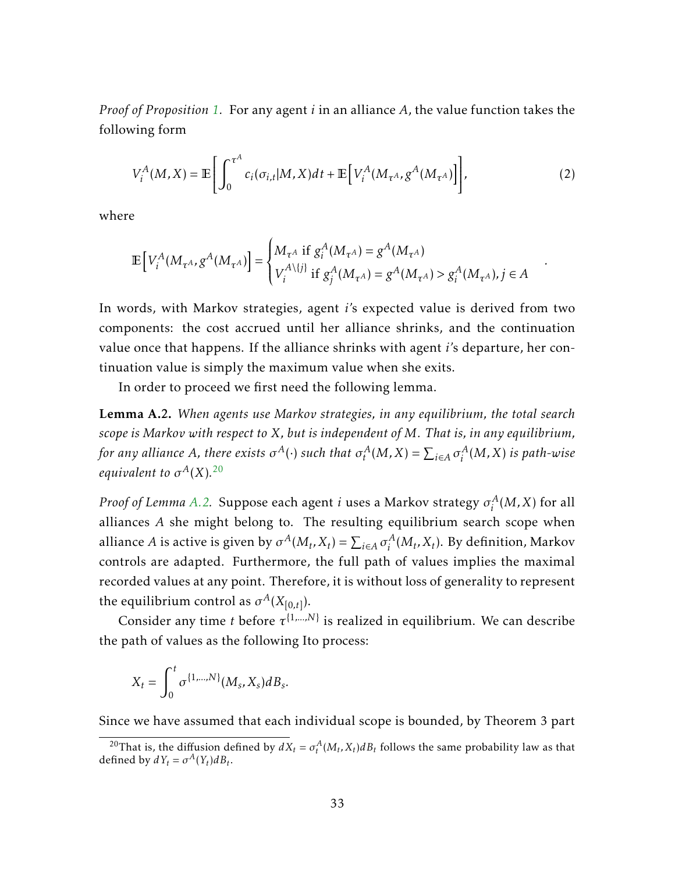*Proof of Proposition [1.](#page-10-1)* For any agent *i* in an alliance *A*, the value function takes the following form

<span id="page-33-2"></span>
$$
V_i^A(M, X) = \mathbb{E}\left[\int_0^{\tau^A} c_i(\sigma_{i,t}|M, X)dt + \mathbb{E}\left[V_i^A(M_{\tau^A}, g^A(M_{\tau^A})\right]\right],\tag{2}
$$

*.*

where

$$
\mathbb{E}\left[V_i^A(M_{\tau^A}, g^A(M_{\tau^A})\right] = \begin{cases} M_{\tau^A} & \text{if } g_i^A(M_{\tau^A}) = g^A(M_{\tau^A}) \\ V_i^{A\setminus\{j\}} & \text{if } g_j^A(M_{\tau^A}) = g^A(M_{\tau^A}) > g_i^A(M_{\tau^A}), j \in A \end{cases}
$$

In words, with Markov strategies, agent *i*'s expected value is derived from two components: the cost accrued until her alliance shrinks, and the continuation value once that happens. If the alliance shrinks with agent *i*'s departure, her continuation value is simply the maximum value when she exits.

In order to proceed we first need the following lemma.

<span id="page-33-1"></span>Lemma A.2. *When agents use Markov strategies, in any equilibrium, the total search scope is Markov with respect to X, but is independent of M. That is, in any equilibrium, for any alliance A, there exists*  $\sigma^A(\cdot)$  *<i>such that*  $\sigma^A_t(M,X) = \sum_{i \in A} \sigma^A_i$ *i* (*M,X*) *is path-wise equivalent to*  $\sigma^A(X)$ .<sup>[20](#page-33-0)</sup>

*Proof of Lemma [A.2.](#page-33-1)* Suppose each agent *i* uses a Markov strategy *σ A*  $i^A$  $(M, X)$  for all alliances *A* she might belong to. The resulting equilibrium search scope when alliance *A* is active is given by  $\sigma^A(M_t, X_t) = \sum_{i \in A} \sigma_i^A$  $\int_i^A (M_t, X_t)$ . By definition, Markov controls are adapted. Furthermore, the full path of values implies the maximal recorded values at any point. Therefore, it is without loss of generality to represent the equilibrium control as  $\sigma^A(X_{[0,t]})$ .

Consider any time *t* before  $\tau^{\{1,...,N\}}$  is realized in equilibrium. We can describe the path of values as the following Ito process:

$$
X_t = \int_0^t \sigma^{\{1,\dots,N\}}(M_s, X_s) dB_s.
$$

Since we have assumed that each individual scope is bounded, by Theorem 3 part

<span id="page-33-0"></span><sup>&</sup>lt;sup>20</sup>That is, the diffusion defined by  $dX_t = \sigma_t^A(M_t, X_t) dB_t$  follows the same probability law as that defined by  $dY_t = \sigma^A(Y_t)dB_t$ .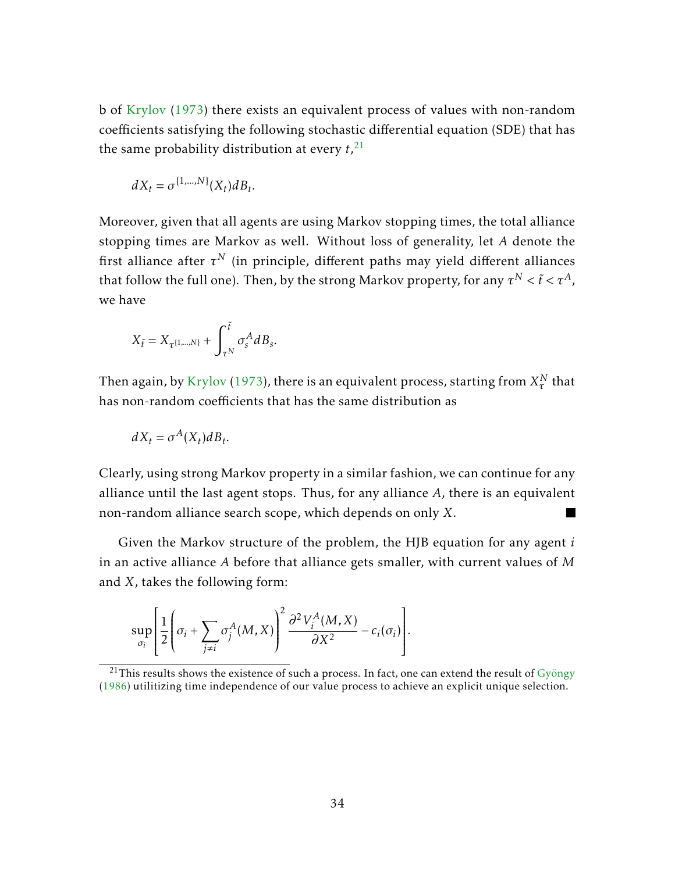b of [Krylov](#page-55-18) [\(1973\)](#page-55-18) there exists an equivalent process of values with non-random coefficients satisfying the following stochastic differential equation (SDE) that has the same probability distribution at every *t*, [21](#page-34-0)

$$
dX_t = \sigma^{\{1,\dots,N\}}(X_t)dB_t.
$$

Moreover, given that all agents are using Markov stopping times, the total alliance stopping times are Markov as well. Without loss of generality, let *A* denote the first alliance after  $\tau^N$  (in principle, different paths may yield different alliances that follow the full one). Then, by the strong Markov property, for any  $\tau^N < \tilde t < \tau^A$ , we have

$$
X_{\tilde{t}} = X_{\tau^{\{1,\dots,N\}}} + \int_{\tau^N}^{\tilde{t}} \sigma_s^A dB_s.
$$

Then again, by [Krylov](#page-55-18) [\(1973\)](#page-55-18), there is an equivalent process, starting from  $X_\tau^N$  that has non-random coefficients that has the same distribution as

$$
dX_t = \sigma^A(X_t) dB_t.
$$

Clearly, using strong Markov property in a similar fashion, we can continue for any alliance until the last agent stops. Thus, for any alliance *A*, there is an equivalent non-random alliance search scope, which depends on only *X*. **The Co** 

Given the Markov structure of the problem, the HJB equation for any agent *i* in an active alliance *A* before that alliance gets smaller, with current values of *M* and *X*, takes the following form:

$$
\sup_{\sigma_i} \left[ \frac{1}{2} \left( \sigma_i + \sum_{j \neq i} \sigma_j^A(M, X) \right)^2 \frac{\partial^2 V_i^A(M, X)}{\partial X^2} - c_i(\sigma_i) \right].
$$

<span id="page-34-0"></span> $^{21}$ This results shows the existence of such a process. In fact, one can extend the result of [Gyöngy](#page-55-19) [\(1986\)](#page-55-19) utilitizing time independence of our value process to achieve an explicit unique selection.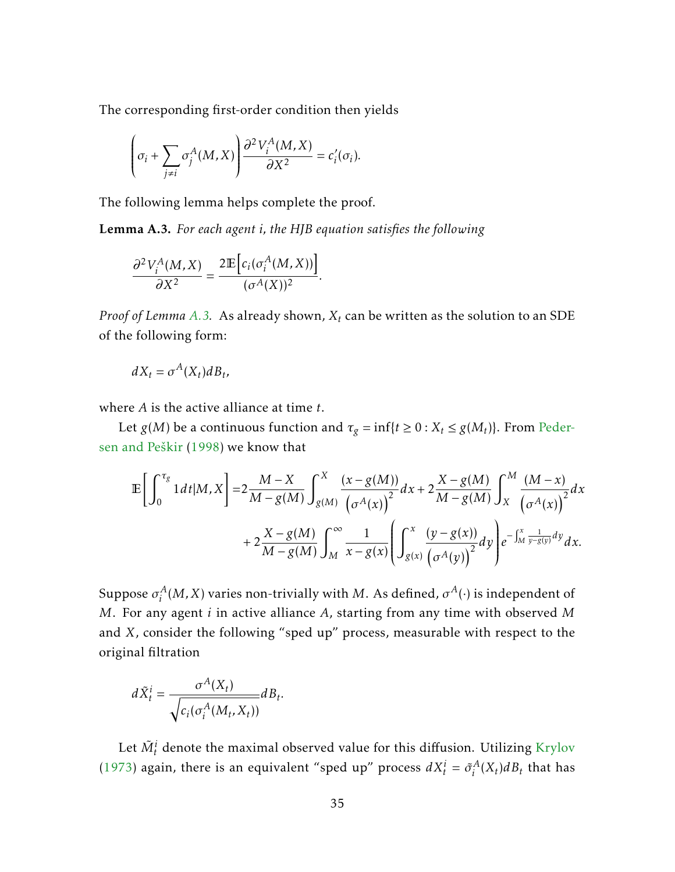The corresponding first-order condition then yields

$$
\left(\sigma_i + \sum_{j \neq i} \sigma_j^A(M, X)\right) \frac{\partial^2 V_i^A(M, X)}{\partial X^2} = c_i'(\sigma_i).
$$

The following lemma helps complete the proof.

<span id="page-35-0"></span>Lemma A.3. *For each agent i, the HJB equation satisfies the following*

$$
\frac{\partial^2 V_i^A(M,X)}{\partial X^2} = \frac{2 \mathbb{E} \Big[ c_i(\sigma_i^A(M,X)) \Big]}{(\sigma^A(X))^2}.
$$

*Proof of Lemma [A.3.](#page-35-0)* As already shown, *X<sup>t</sup>* can be written as the solution to an SDE of the following form:

$$
dX_t = \sigma^A(X_t)dB_t,
$$

where *A* is the active alliance at time *t*.

Let *g*(*M*) be a continuous function and  $\tau_g = \inf\{t \geq 0 : X_t \leq g(M_t)\}$ . From [Peder](#page-55-20)[sen and Peškir](#page-55-20) [\(1998\)](#page-55-20) we know that

$$
\mathbb{E}\bigg[\int_0^{\tau_g} 1 dt |M, X\bigg] = 2 \frac{M - X}{M - g(M)} \int_{g(M)}^X \frac{(x - g(M))}{(\sigma^A(x))} dx + 2 \frac{X - g(M)}{M - g(M)} \int_X^M \frac{(M - x)}{(\sigma^A(x))} dx + 2 \frac{X - g(M)}{M - g(M)} \int_M^\infty \frac{1}{x - g(x)} \left(\int_{g(x)}^x \frac{(y - g(x))}{(\sigma^A(y))} dy\right) e^{-\int_M^x \frac{1}{y - g(y)} dy} dx.
$$

Suppose  $\sigma^A_i$  $\mathcal{A}_i^A(M,X)$  varies non-trivially with  $M$ . As defined,  $\sigma^A(\cdot)$  is independent of *M*. For any agent *i* in active alliance *A*, starting from any time with observed *M* and *X*, consider the following "sped up" process, measurable with respect to the original filtration

$$
d\tilde{X}_t^i = \frac{\sigma^A(X_t)}{\sqrt{c_i(\sigma_i^A(M_t, X_t))}} dB_t.
$$

Let  $\tilde{M}_{t}^{i}$  denote the maximal observed value for this diffusion. Utilizing [Krylov](#page-55-18) [\(1973\)](#page-55-18) again, there is an equivalent "sped up" process  $dX_t^i = \tilde{\sigma}_i^A$  $\int_i^A (X_t) dB_t$  that has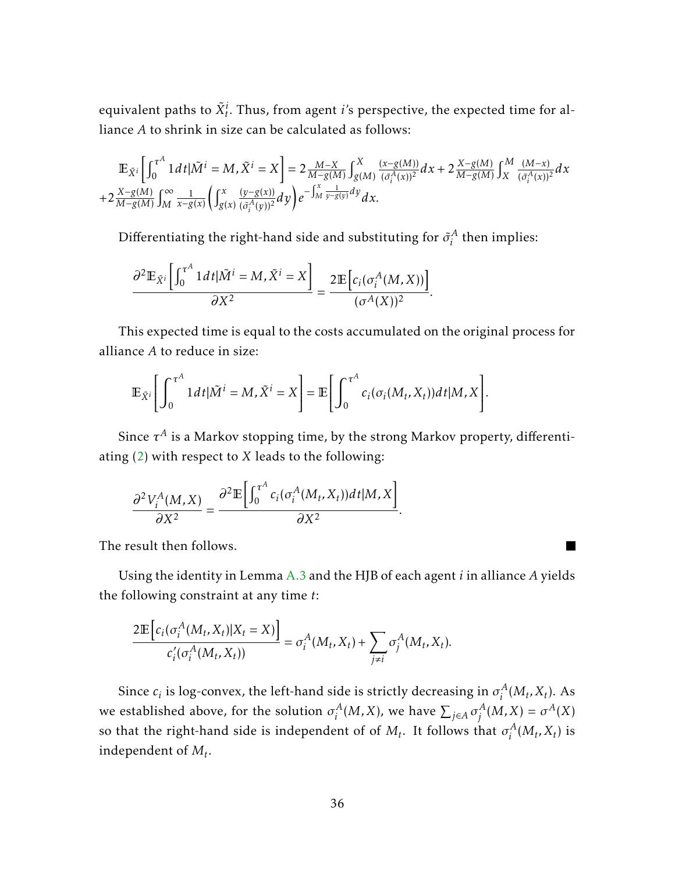equivalent paths to  $\tilde{X}_{t}^{i}$ . Thus, from agent  $i$ 's perspective, the expected time for alliance *A* to shrink in size can be calculated as follows:

$$
\mathbb{E}_{\tilde{X}^i} \left[ \int_0^{\tau^A} 1 \, dt \, |\tilde{M}^i = M, \tilde{X}^i = X \right] = 2 \frac{M - X}{M - g(M)} \int_{g(M)}^X \frac{(x - g(M))}{(\tilde{\sigma}_i^A(x))^2} dx + 2 \frac{X - g(M)}{M - g(M)} \int_X^M \frac{(M - x)}{(\tilde{\sigma}_i^A(x))^2} dx
$$
  
+2 \frac{X - g(M)}{M - g(M)} \int\_M^{\infty} \frac{1}{x - g(x)} \left( \int\_{g(x)}^x \frac{(y - g(x))}{(\tilde{\sigma}\_i^A(y))^2} dy \right) e^{-\int\_M^x \frac{1}{y - g(y)} dy} dx.

Differentiating the right-hand side and substituting for  $\tilde{\sigma}^A_i$  $i<sup>A</sup>$  then implies:

$$
\frac{\partial^2 \mathbb{E}_{\tilde{X}^i}\left[\int_0^{\tau^A} 1 dt | \tilde{M}^i = M, \tilde{X}^i = X\right]}{\partial X^2} = \frac{2 \mathbb{E}\left[c_i(\sigma_i^A(M, X))\right]}{(\sigma^A(X))^2}.
$$

This expected time is equal to the costs accumulated on the original process for alliance *A* to reduce in size:

$$
\mathbb{E}_{\tilde{X}^i}\Bigg[\int_0^{\tau^A} 1 dt |\tilde{M}^i = M, \tilde{X}^i = X\Bigg] = \mathbb{E}\Bigg[\int_0^{\tau^A} c_i(\sigma_i(M_t, X_t)) dt | M, X\Bigg].
$$

Since  $\tau^A$  is a Markov stopping time, by the strong Markov property, differentiating [\(2\)](#page-33-2) with respect to *X* leads to the following:

*.*

 $\blacksquare$ 

$$
\frac{\partial^2 V_i^A(M,X)}{\partial X^2} = \frac{\partial^2 \mathbb{E}\left[\int_0^{\tau^A} c_i(\sigma_i^A(M_t,X_t))dt|M,X\right]}{\partial X^2}
$$

The result then follows.

Using the identity in Lemma [A.3](#page-35-0) and the HJB of each agent *i* in alliance *A* yields the following constraint at any time *t*:

$$
\frac{2\mathbb{E}\Big[c_i(\sigma_i^A(M_t,X_t)|X_t=X)\Big]}{c'_i(\sigma_i^A(M_t,X_t))}=\sigma_i^A(M_t,X_t)+\sum_{j\neq i}\sigma_j^A(M_t,X_t).
$$

Since  $c_i$  is log-convex, the left-hand side is strictly decreasing in  $\sigma_i^A$  $\int_i^A (M_t, X_t)$ . As we established above, for the solution  $\sigma_i^A$  $\int_i^A (M,X)$ , we have  $\sum_{j\in A}\sigma_j^A$  $j^{A}(M,X) = \sigma^{A}(X)$ so that the right-hand side is independent of of  $M_t$ . It follows that  $\sigma_i^A$  $i^{A}(M_t, X_t)$  is independent of *M<sup>t</sup>* .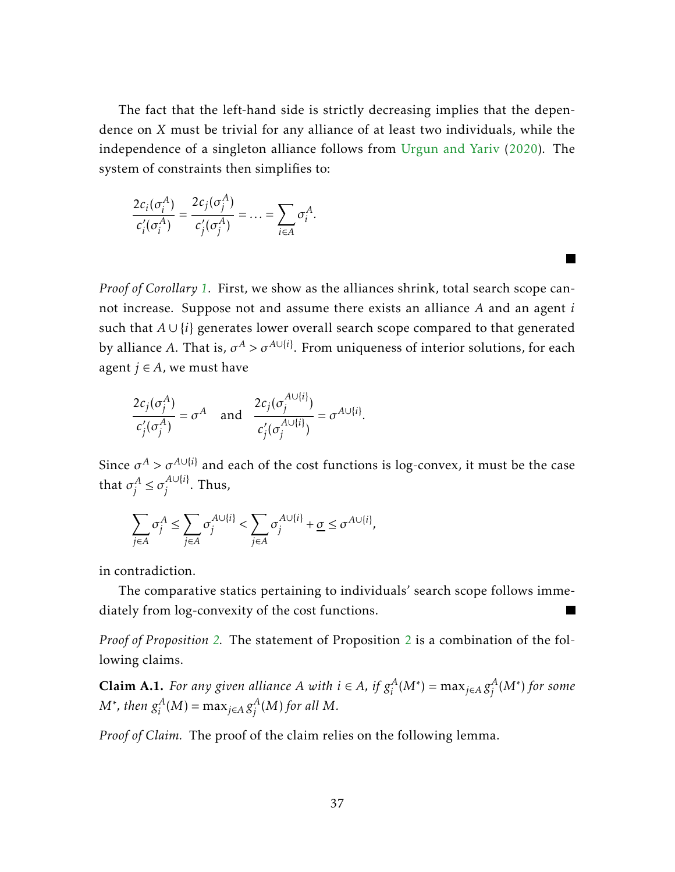The fact that the left-hand side is strictly decreasing implies that the dependence on *X* must be trivial for any alliance of at least two individuals, while the independence of a singleton alliance follows from [Urgun and Yariv](#page-55-2) [\(2020\)](#page-55-2). The system of constraints then simplifies to:

$$
\frac{2c_i(\sigma_i^A)}{c'_i(\sigma_i^A)} = \frac{2c_j(\sigma_j^A)}{c'_j(\sigma_j^A)} = \ldots = \sum_{i \in A} \sigma_i^A.
$$

*Proof of Corollary [1.](#page-11-1)* First, we show as the alliances shrink, total search scope cannot increase. Suppose not and assume there exists an alliance *A* and an agent *i* such that *A* ∪ {*i*} generates lower overall search scope compared to that generated by alliance *A*. That is,  $\sigma^{A} > \sigma^{A \cup \{i\}}$ . From uniqueness of interior solutions, for each agent  $j \in A$ , we must have

**Tale** 

$$
\frac{2c_j(\sigma_j^A)}{c'_j(\sigma_j^A)} = \sigma^A \quad \text{and} \quad \frac{2c_j(\sigma_j^{A\cup\{i\}})}{c'_j(\sigma_j^{A\cup\{i\}})} = \sigma^{A\cup\{i\}}.
$$

Since  $\sigma^A > \sigma^{A \cup \{i\}}$  and each of the cost functions is log-convex, it must be the case that  $\sigma_i^A$  $j^A \leq \sigma_j^{A \cup \{i\}}$  $j^{\text{AUP}}$ . Thus,

$$
\sum_{j\in A}\sigma_j^A\leq \sum_{j\in A}\sigma_j^{A\cup\{i\}}<\sum_{j\in A}\sigma_j^{A\cup\{i\}}+\underline{\sigma}\leq \sigma^{A\cup\{i\}},
$$

in contradiction.

The comparative statics pertaining to individuals' search scope follows immediately from log-convexity of the cost functions.

*Proof of Proposition [2.](#page-12-2)* The statement of Proposition [2](#page-12-2) is a combination of the following claims.

**Claim A.1.** *For any given alliance A with*  $i \in A$ *, if*  $g_i^A$  $i^A_i(M^*) = \max_{j \in A} g_j^A$ *j* (*M*<sup>∗</sup> ) *for some*  $M^*$ *, then*  $g_i^A$  $i^A_i(M) = \max_{j \in A} g_j^A$  $j^{A}(M)$  for all  $M$ .

*Proof of Claim.* The proof of the claim relies on the following lemma.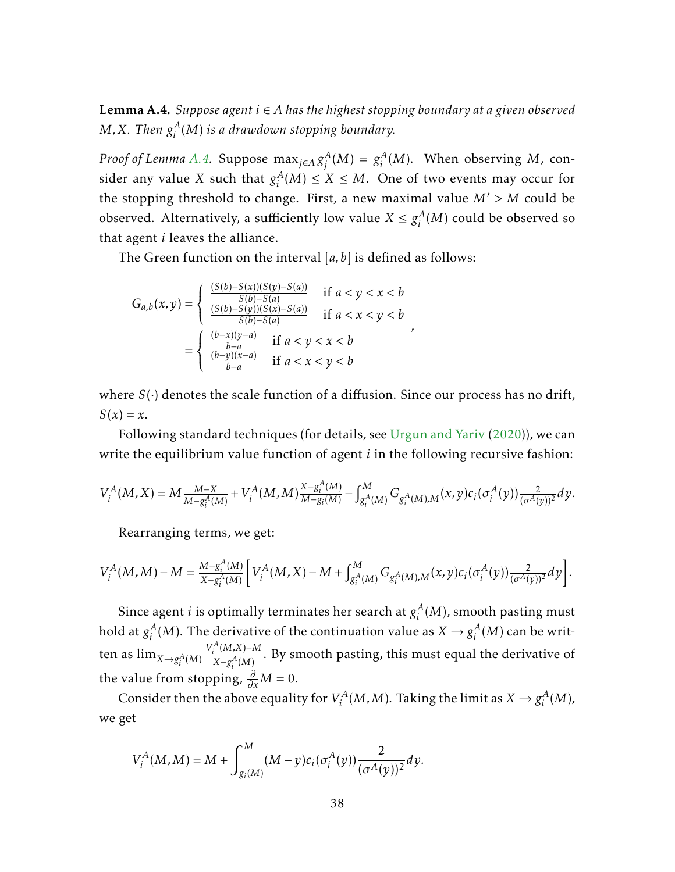<span id="page-38-0"></span>Lemma A.4. *Suppose agent i* ∈ *A has the highest stopping boundary at a given observed M*, *X. Then*  $g_i^A$ *i* (*M*) *is a drawdown stopping boundary.*

*Proof of Lemma [A.4.](#page-38-0)* Suppose  $\max_{j \in A} g_j^A$  $j^{A}(M) = g_{i}^{A}$  $i<sup>A</sup>(M)$ . When observing *M*, consider any value *X* such that  $g_i^A$  $i_A^A$ (*M*) ≤ *X* ≤ *M*. One of two events may occur for the stopping threshold to change. First, a new maximal value  $M' > M$  could be observed. Alternatively, a sufficiently low value  $X \leq g_i^A$  $i^A_i(M)$  could be observed so that agent *i* leaves the alliance.

The Green function on the interval [*a,b*] is defined as follows:

$$
G_{a,b}(x,y) = \begin{cases} \frac{(S(b)-S(x))(S(y)-S(a))}{S(b)-S(a)} & \text{if } a < y < x < b\\ \frac{(S(b)-S(y))(S(x)-S(a))}{S(b)-S(a)} & \text{if } a < x < y < b \end{cases}
$$

$$
= \begin{cases} \frac{(b-x)(y-a)}{b-a} & \text{if } a < y < x < b\\ \frac{(b-y)(x-a)}{b-a} & \text{if } a < x < y < b \end{cases}
$$

where  $S(\cdot)$  denotes the scale function of a diffusion. Since our process has no drift,  $S(x) = x$ .

*,*

Following standard techniques (for details, see [Urgun and Yariv](#page-55-2) [\(2020\)](#page-55-2)), we can write the equilibrium value function of agent *i* in the following recursive fashion:

$$
V_i^A(M,X) = M \frac{M-X}{M - g_i^A(M)} + V_i^A(M,M) \frac{X - g_i^A(M)}{M - g_i(M)} - \int_{g_i^A(M)}^M G_{g_i^A(M),M}(x,y) c_i(\sigma_i^A(y)) \frac{2}{(\sigma^A(y))^2} dy.
$$

Rearranging terms, we get:

$$
V_i^A(M,M) - M = \frac{M - g_i^A(M)}{X - g_i^A(M)} \left[ V_i^A(M,X) - M + \int_{g_i^A(M)}^M G_{g_i^A(M),M}(x,y) c_i(\sigma_i^A(y)) \frac{2}{(\sigma^A(y))^2} dy \right].
$$

Since agent *i* is optimally terminates her search at  $g_i^A$  $\binom{A}{i}(M)$ , smooth pasting must hold at  $g_i^A$  $\mathcal{L}_i^A(M)$ . The derivative of the continuation value as  $X \to g_i^A$  $i^A_i(M)$  can be written as  $\lim_{X \to g_i^A(M)}$  $V_i^A(M,X)$ −*M*  $\frac{N}{X-g_i^A(M)}$ . By smooth pasting, this must equal the derivative of the value from stopping,  $\frac{\partial}{\partial x}M = 0$ .

Consider then the above equality for  $V_i^A$  $g_i^{\prime A}(M,M)$ . Taking the limit as  $X \to g_i^A$  $i^A(M)$ , we get

$$
V_i^A(M, M) = M + \int_{g_i(M)}^M (M - y) c_i(\sigma_i^A(y)) \frac{2}{(\sigma^A(y))^2} dy.
$$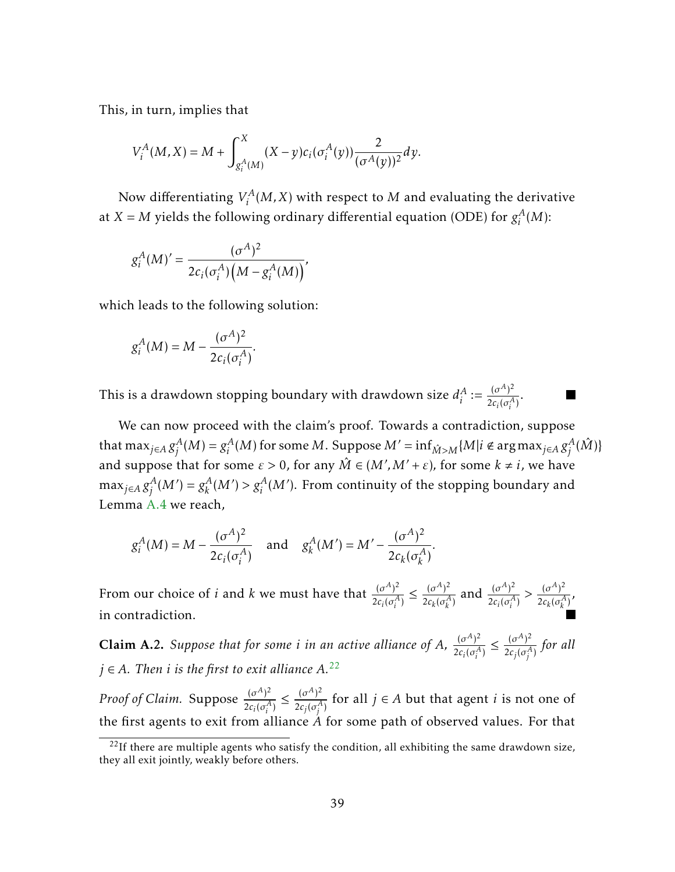This, in turn, implies that

$$
V_i^A(M,X) = M + \int_{g_i^A(M)}^X (X-y) c_i(\sigma_i^A(y)) \frac{2}{(\sigma^A(y))^2} dy.
$$

Now differentiating *V A*  $f_i^A(M,X)$  with respect to  $M$  and evaluating the derivative at  $X = M$  yields the following ordinary differential equation (ODE) for  $g_i^A$  $i^A(M)$ :

$$
g_i^A(M)' = \frac{(\sigma^A)^2}{2c_i(\sigma_i^A)\Big(M - g_i^A(M)\Big)},
$$

which leads to the following solution:

$$
g_i^A(M) = M - \frac{(\sigma^A)^2}{2c_i(\sigma_i^A)}.
$$

This is a drawdown stopping boundary with drawdown size  $d_i^A$  $A_i^A := \frac{(\sigma^A)^2}{2c_i(\sigma^A)}$  $\frac{(o)}{2c_i(\sigma_i^A)}$ .

We can now proceed with the claim's proof. Towards a contradiction, suppose that max $_{j\in A}\,g_j^A$  $j^{A}(M) = g_{i}^{A}$  $\int_i^A (M)$  for some  $M$ . Suppose  $M' = \inf_{\hat{M} > M} \{M | i \notin \argmax_{j \in A} g_j^A\}$  $^A_j(\hat{M})\}$ and suppose that for some  $\varepsilon > 0$ , for any  $\hat{M} \in (M', M' + \varepsilon)$ , for some  $k \neq i$ , we have  $\max_{j \in A} g_j^A$  $g_k^A(M') = g_k^A$  $g_k^A(M')$  >  $g_i^A(M')$ . From continuity of the stopping boundary and Lemma [A.4](#page-38-0) we reach,

$$
g_i^A(M) = M - \frac{(\sigma^A)^2}{2c_i(\sigma_i^A)}
$$
 and  $g_k^A(M') = M' - \frac{(\sigma^A)^2}{2c_k(\sigma_k^A)}$ .

From our choice of *i* and *k* we must have that  $\frac{(\sigma^A)^2}{2\sigma^2}$  $2c_i(\sigma_i^A)$  $\leq \frac{(\sigma^A)^2}{4}$  $\frac{(\sigma^A)^2}{2c_k(\sigma^A_k)}$  and  $\frac{(\sigma^A)^2}{2c_i(\sigma^A_i)}$  $\frac{(\sigma^A)^2}{2c_i(\sigma_i^A)} > \frac{(\sigma^A)^2}{2c_k(\sigma_k^A)}$  $\frac{0}{2c_k(\sigma_k^A)}$ in contradiction.

**Claim A.2.** Suppose that for some *i* in an active alliance of A,  $\frac{(\sigma^A)^2}{2\sigma^A\sigma^A}$  $2c_i(\sigma_i^A)$  $\leq \frac{(\sigma^A)^2}{4}$  $\frac{10}{2c_j(\sigma_j^A)}$  for all  $j \in A$ . Then *i* is the first to exit alliance  $A^{22}$  $A^{22}$  $A^{22}$ .

*Proof of Claim.* Suppose  $\frac{(\sigma^A)^2}{2\sigma^2}$  $2c_i(\sigma_i^A)$  $\leq \frac{(\sigma^A)^2}{4}$  $\frac{(\sigma^n)^2}{2c_j(\sigma_j^A)}$  for all  $j \in A$  but that agent *i* is not one of the first agents to exit from alliance *A* for some path of observed values. For that

<span id="page-39-0"></span> $^{22}$ If there are multiple agents who satisfy the condition, all exhibiting the same drawdown size, they all exit jointly, weakly before others.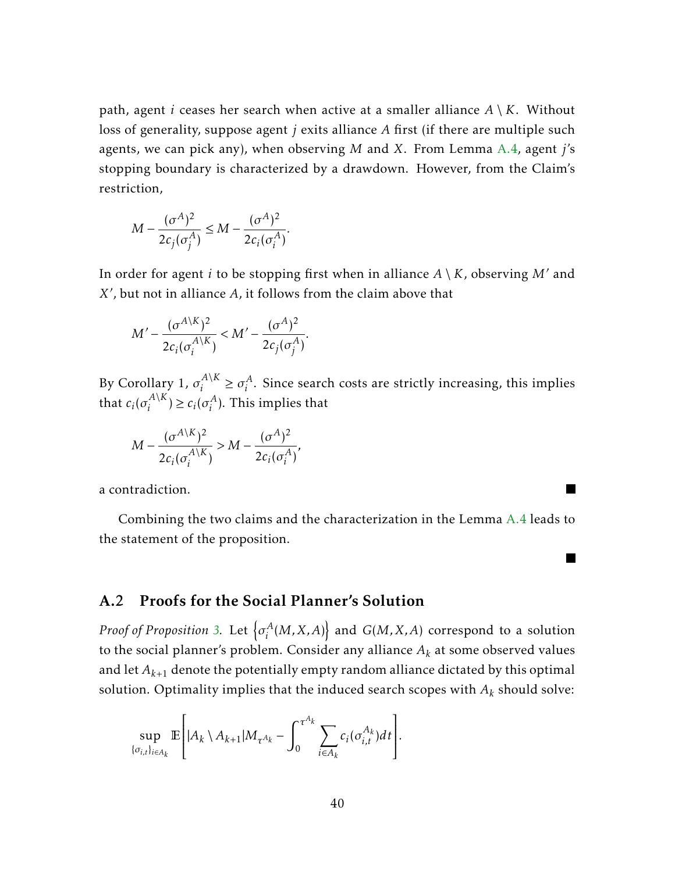path, agent *i* ceases her search when active at a smaller alliance  $A \setminus K$ . Without loss of generality, suppose agent *j* exits alliance *A* first (if there are multiple such agents, we can pick any), when observing *M* and *X*. From Lemma [A.4,](#page-38-0) agent *j*'s stopping boundary is characterized by a drawdown. However, from the Claim's restriction,

$$
M - \frac{(\sigma^A)^2}{2c_j(\sigma_j^A)} \le M - \frac{(\sigma^A)^2}{2c_i(\sigma_i^A)}.
$$

In order for agent *i* to be stopping first when in alliance  $A \setminus K$ , observing M' and X', but not in alliance A, it follows from the claim above that

$$
M' - \frac{(\sigma^{A\setminus K})^2}{2c_i(\sigma_i^{A\setminus K})} < M' - \frac{(\sigma^A)^2}{2c_j(\sigma_j^A)}.
$$

By Corollary 1,  $\sigma_i^{A\setminus K}$  $\sigma_i^{A \setminus K} \geq \sigma_i^A$  $i<sup>A</sup>$ . Since search costs are strictly increasing, this implies that  $c_i(\sigma_i^{A\setminus K})$  $c_i^{A\setminus K}$ )  $\geq c_i(\sigma_i^A)$  $i^A$ ). This implies that

$$
M - \frac{(\sigma^{A\setminus K})^2}{2c_i(\sigma^{A\setminus K}_i)} > M - \frac{(\sigma^A)^2}{2c_i(\sigma^A_i)},
$$

a contradiction.

Combining the two claims and the characterization in the Lemma [A.4](#page-38-0) leads to the statement of the proposition.

▉

#### A.2 Proofs for the Social Planner's Solution

*Proof of Proposition [3.](#page-20-0)* Let  $\lbrace \sigma_i^A \rbrace$  $\left\{ \begin{array}{l} A\left( M,X,A\right) \end{array}\right\}$  and  $G(M,X,A)$  correspond to a solution to the social planner's problem. Consider any alliance  $A_k$  at some observed values and let  $A_{k+1}$  denote the potentially empty random alliance dictated by this optimal solution. Optimality implies that the induced search scopes with *A<sup>k</sup>* should solve:

$$
\sup_{\{\sigma_{i,t}\}_{i\in A_k}} \mathbb{E}\Bigg[|A_k \setminus A_{k+1}|M_{\tau^{A_k}} - \int_0^{\tau^{A_k}} \sum_{i\in A_k} c_i(\sigma_{i,t}^{A_k})dt\Bigg].
$$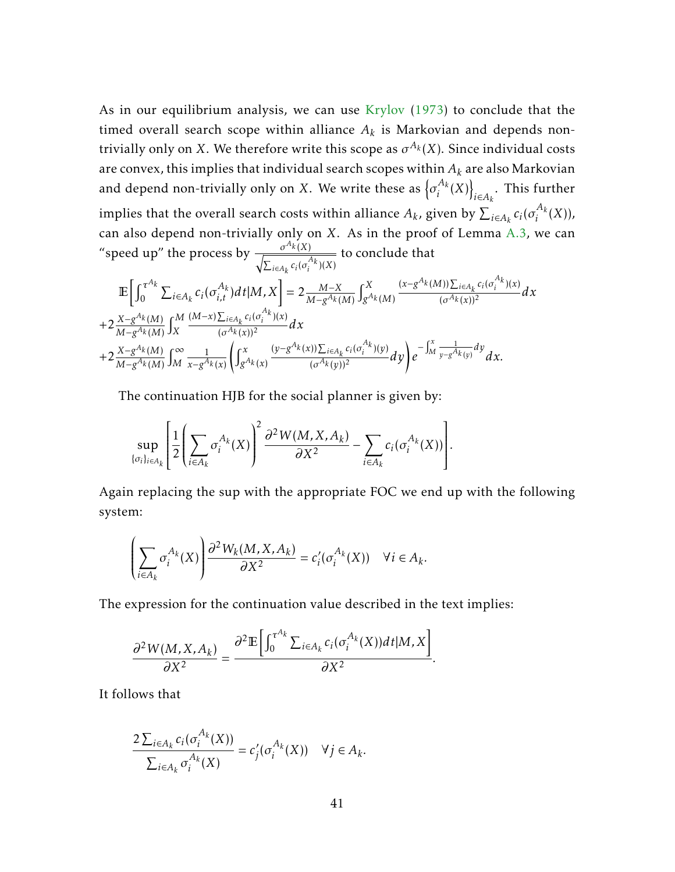As in our equilibrium analysis, we can use [Krylov](#page-55-18) [\(1973\)](#page-55-18) to conclude that the timed overall search scope within alliance  $A_k$  is Markovian and depends nontrivially only on *X*. We therefore write this scope as  $\sigma^{A_k}(X)$ . Since individual costs are convex, this implies that individual search scopes within *A<sup>k</sup>* are also Markovian and depend non-trivially only on *X*. We write these as  $\{\sigma_i^{A_k}\}$  $\frac{A_k}{i}(X)$  $\sum_{i \in A_k}$ . This further implies that the overall search costs within alliance  $A_k$ , given by  $\sum_{i\in A_k} c_i(\sigma_i^{A_k})$  $i^{2k}(X)$ ), can also depend non-trivially only on *X*. As in the proof of Lemma [A.3,](#page-35-0) we can "speed up" the process by  $\frac{\sigma^{A_k}(X)}{\sqrt{X_k}}$  $\sqrt{\sum_{i \in A_k} c_i(\sigma_i^{A_k})(X)}$ to conclude that

$$
\mathbb{E}\bigg[\int_{0}^{\tau^{A_{k}}}\sum_{i\in A_{k}}c_{i}(\sigma_{i,t}^{A_{k}})dt|M,X\bigg]=2\frac{M-X}{M-g^{A_{k}}(M)}\int_{g^{A_{k}}(M)}^{X}\frac{(x-g^{A_{k}}(M))\sum_{i\in A_{k}}c_{i}(\sigma_{i}^{A_{k}})(x)}{(\sigma^{A_{k}}(x))^{2}}dx \n+2\frac{X-g^{A_{k}}(M)}{M-g^{A_{k}}(M)}\int_{X}^{M}\frac{(M-x)\sum_{i\in A_{k}}c_{i}(\sigma_{i}^{A_{k}})(x)}{(\sigma^{A_{k}}(x))^{2}}dx \n+2\frac{X-g^{A_{k}}(M)}{M-g^{A_{k}}(M)}\int_{M}^{\infty}\frac{1}{x-g^{A_{k}}(x)}\bigg(\int_{g^{A_{k}}(x)}^{x}\frac{(y-g^{A_{k}}(x))\sum_{i\in A_{k}}c_{i}(\sigma_{i}^{A_{k}})(y)}{(\sigma^{A_{k}}(y))^{2}}dy\bigg)e^{-\int_{M}^{x}\frac{1}{y-g^{A_{k}}(y)}dy}dx.
$$

The continuation HJB for the social planner is given by:

$$
\sup_{\{\sigma_i\}_{i\in A_k}} \left[ \frac{1}{2} \left( \sum_{i\in A_k} \sigma_i^{A_k}(X) \right)^2 \frac{\partial^2 W(M,X,A_k)}{\partial X^2} - \sum_{i\in A_k} c_i(\sigma_i^{A_k}(X)) \right].
$$

Again replacing the sup with the appropriate FOC we end up with the following system:

$$
\left(\sum_{i\in A_k} \sigma_i^{A_k}(X)\right) \frac{\partial^2 W_k(M, X, A_k)}{\partial X^2} = c_i'(\sigma_i^{A_k}(X)) \quad \forall i \in A_k.
$$

The expression for the continuation value described in the text implies:

$$
\frac{\partial^2 W(M,X,A_k)}{\partial X^2} = \frac{\partial^2 \mathbb{E}\left[\int_0^{\tau^{A_k}} \sum_{i\in A_k} c_i(\sigma_i^{A_k}(X)) dt | M, X\right]}{\partial X^2}.
$$

It follows that

 $\overline{a}$ 

$$
\frac{2\sum_{i\in A_k}c_i(\sigma_i^{A_k}(X))}{\sum_{i\in A_k}\sigma_i^{A_k}(X)}=c'_j(\sigma_i^{A_k}(X))\quad\forall j\in A_k.
$$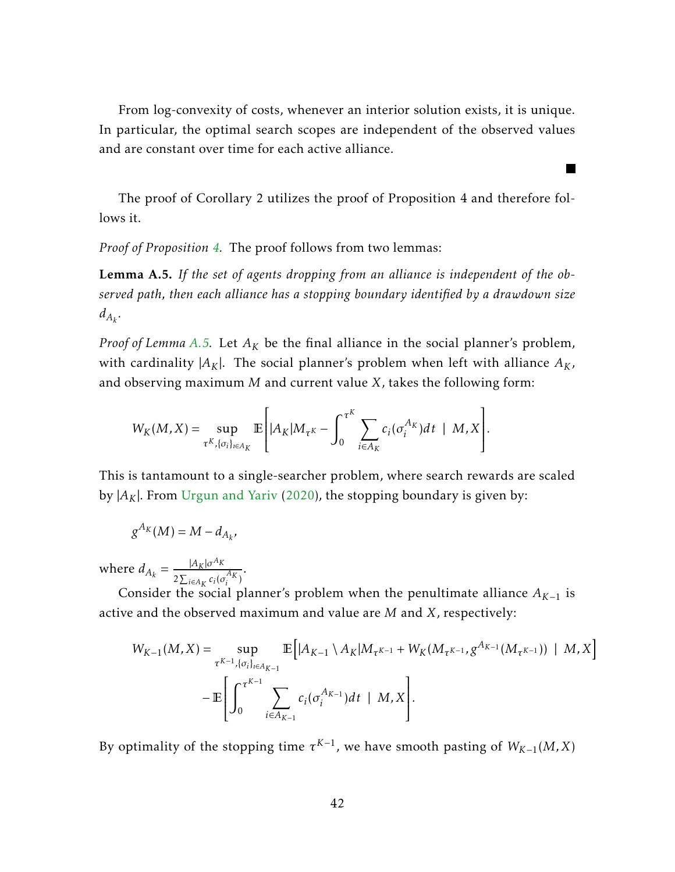From log-convexity of costs, whenever an interior solution exists, it is unique. In particular, the optimal search scopes are independent of the observed values and are constant over time for each active alliance.

The proof of Corollary 2 utilizes the proof of Proposition 4 and therefore follows it.

*Proof of Proposition [4.](#page-21-0)* The proof follows from two lemmas:

<span id="page-42-0"></span>Lemma A.5. *If the set of agents dropping from an alliance is independent of the observed path, then each alliance has a stopping boundary identified by a drawdown size*  $d_{A_k}$ .

*Proof of Lemma [A.5.](#page-42-0)* Let *A<sup>K</sup>* be the final alliance in the social planner's problem, with cardinality  $|A_K|$ . The social planner's problem when left with alliance  $A_K$ , and observing maximum *M* and current value *X*, takes the following form:

$$
W_K(M,X)=\sup_{\tau^K, \{\sigma_i\}_{i\in A_K}} \mathbb{E}\left[|A_K|M_{\tau^K}-\int_0^{\tau^K}\sum_{i\in A_K}c_i(\sigma_i^{A_K})dt\mid M,X\right].
$$

This is tantamount to a single-searcher problem, where search rewards are scaled by  $|A_K|$ . From [Urgun and Yariv](#page-55-2) [\(2020\)](#page-55-2), the stopping boundary is given by:

$$
g^{A_K}(M)=M-d_{A_k},
$$

where  $d_{A_k} = \frac{|A_k| \sigma^{A_k}}{2 \sum_{k=1}^k a_k^k}$  $\frac{P(K|0)K}{2\sum_{i\in A_K}c_i(\sigma_i^{A_K})}$ 

Consider the social planner's problem when the penultimate alliance  $A_{K-1}$  is active and the observed maximum and value are *M* and *X*, respectively:

$$
W_{K-1}(M, X) = \sup_{\tau^{K-1}, \{\sigma_i\}_{i \in A_{K-1}}} \mathbb{E}\Big[|A_{K-1} \setminus A_K| M_{\tau^{K-1}} + W_K(M_{\tau^{K-1}}, g^{A_{K-1}}(M_{\tau^{K-1}})) | M, X\Big]
$$
  
- 
$$
\mathbb{E}\Bigg[\int_0^{\tau^{K-1}} \sum_{i \in A_{K-1}} c_i(\sigma_i^{A_{K-1}}) dt | M, X\Bigg].
$$

By optimality of the stopping time  $\tau^{K-1}$ , we have smooth pasting of  $W_{K-1}(M,X)$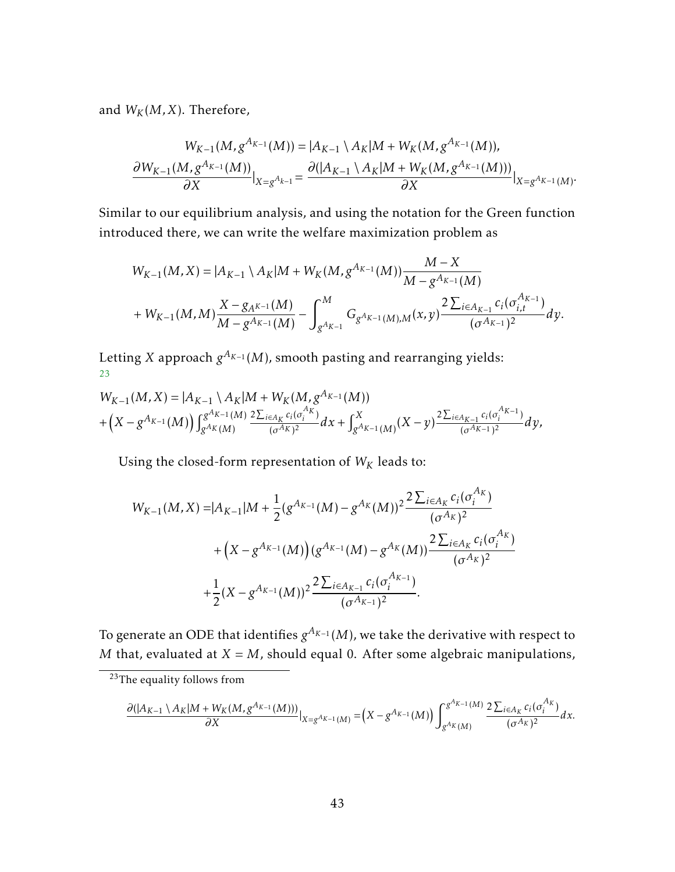and  $W_K(M,X)$ . Therefore,

$$
W_{K-1}(M, g^{A_{K-1}}(M)) = |A_{K-1} \setminus A_K|M + W_K(M, g^{A_{K-1}}(M)),
$$
  

$$
\frac{\partial W_{K-1}(M, g^{A_{K-1}}(M))}{\partial X}|_{X=g^{A_{K-1}}} = \frac{\partial (|A_{K-1} \setminus A_K|M + W_K(M, g^{A_{K-1}}(M)))}{\partial X}|_{X=g^{A_{K-1}}(M)}.
$$

Similar to our equilibrium analysis, and using the notation for the Green function introduced there, we can write the welfare maximization problem as

$$
\begin{aligned} &W_{K-1}(M,X)=|A_{K-1}\setminus A_K|M+W_K(M,g^{A_{K-1}}(M))\frac{M-X}{M-g^{A_{K-1}}(M)}\\&+W_{K-1}(M,M)\frac{X-g_{A^{K-1}}(M)}{M-g^{A_{K-1}}(M)}-\int_{g^{A_{K-1}}}^M G_{g^{A_{K-1}}(M),M}(x,y)\frac{2\sum_{i\in A_{K-1}}c_i(\sigma_{i,t}^{A_{K-1}})}{(\sigma^{A_{K-1}})^2}dy.\end{aligned}
$$

Letting *X* approach  $g^{A_{K-1}}(M)$ , smooth pasting and rearranging yields: [23](#page-43-0)

$$
W_{K-1}(M,X) = |A_{K-1} \setminus A_K|M + W_K(M,g^{A_{K-1}}(M)) + (X - g^{A_{K-1}}(M)) \int g^{A_{K-1}}(M) \frac{2 \sum_{i \in A_K} c_i(\sigma_i^{A_K})}{(\sigma^{A_K})^2} dx + \int g^{A_{K-1}}(M) (X - y) \frac{2 \sum_{i \in A_{K-1}} c_i(\sigma_i^{A_{K-1}})}{(\sigma^{A_{K-1}})^2} dy,
$$

Using the closed-form representation of  $W_K$  leads to:

$$
W_{K-1}(M, X) = |A_{K-1}|M + \frac{1}{2}(g^{A_{K-1}}(M) - g^{A_K}(M))^2 \frac{2 \sum_{i \in A_K} c_i(\sigma_i^{A_K})}{(\sigma^{A_K})^2} + (X - g^{A_{K-1}}(M))(g^{A_{K-1}}(M) - g^{A_K}(M)) \frac{2 \sum_{i \in A_K} c_i(\sigma_i^{A_K})}{(\sigma^{A_K})^2} + \frac{1}{2}(X - g^{A_{K-1}}(M))^2 \frac{2 \sum_{i \in A_{K-1}} c_i(\sigma_i^{A_{K-1}})}{(\sigma^{A_{K-1}})^2}.
$$

To generate an ODE that identifies  $g^{A_{K-1}}(M)$ , we take the derivative with respect to *M* that, evaluated at  $X = M$ , should equal 0. After some algebraic manipulations,

$$
\frac{\partial(|A_{K-1}\setminus A_K|M+W_K(M,g^{A_{K-1}}(M)))}{\partial X}|_{X=g^{A_{K-1}}(M)}=\left(X-g^{A_{K-1}}(M)\right)\int_{g^{A_K}(M)}^{g^{A_{K-1}}(M)}\frac{2\sum_{i\in A_K}c_i(\sigma_i^{A_K})}{(\sigma^{A_K})^2}dx.
$$

<span id="page-43-0"></span><sup>&</sup>lt;sup>23</sup>The equality follows from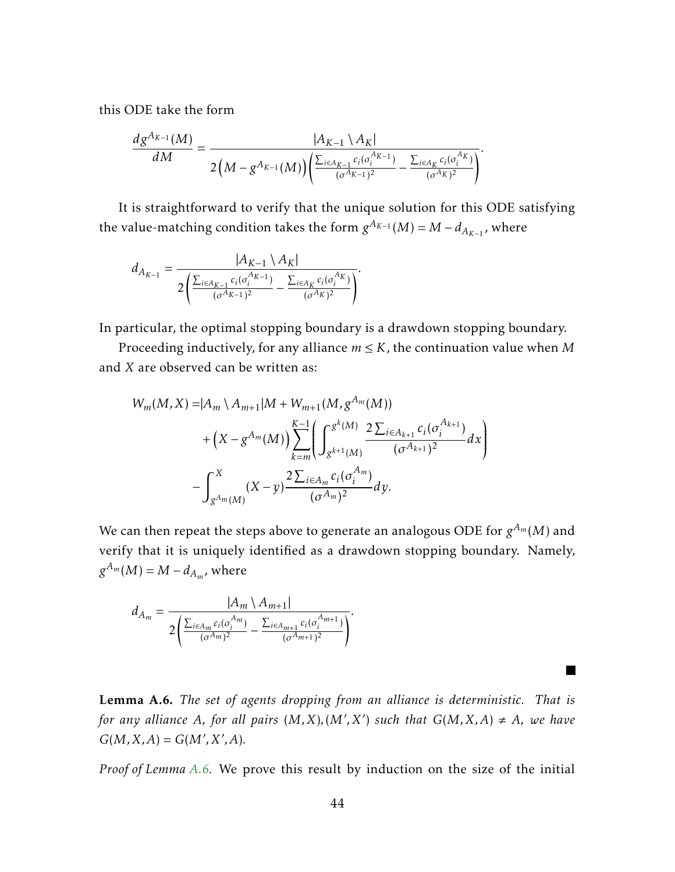this ODE take the form

$$
\frac{dg^{A_{K-1}}(M)}{dM} = \frac{|A_{K-1} \setminus A_K|}{2\left(M - g^{A_{K-1}}(M)\right) \left(\frac{\sum_{i \in A_{K-1}} c_i(\sigma_i^{A_{K-1}})}{(\sigma^{A_{K-1}})^2} - \frac{\sum_{i \in A_K} c_i(\sigma_i^{A_K})}{(\sigma^{A_K})^2}\right)}.
$$

It is straightforward to verify that the unique solution for this ODE satisfying the value-matching condition takes the form  $g^{A_{K-1}}(M) = M - d_{A_{K-1}}$ , where

$$
d_{A_{K-1}} = \frac{|A_{K-1} \setminus A_K|}{2 \left( \frac{\sum_{i \in A_{K-1}} c_i(\sigma_i^{A_{K-1}})}{(\sigma^{A_{K-1}})^2} - \frac{\sum_{i \in A_K} c_i(\sigma_i^{A_K})}{(\sigma^{A_K})^2} \right)}.
$$

In particular, the optimal stopping boundary is a drawdown stopping boundary.

Proceeding inductively, for any alliance  $m \leq K$ , the continuation value when M and *X* are observed can be written as:

$$
W_m(M, X) = |A_m \setminus A_{m+1}|M + W_{m+1}(M, g^{A_m}(M))
$$
  
+ 
$$
(X - g^{A_m}(M)) \sum_{k=m}^{K-1} \left( \int_{g^{k+1}(M)}^{g^k(M)} \frac{2 \sum_{i \in A_{k+1}} c_i(\sigma_i^{A_{k+1}})}{(\sigma^{A_{k+1}})^2} dx \right)
$$
  
- 
$$
\int_{g^{A_m}(M)}^{X} (X - y) \frac{2 \sum_{i \in A_m} c_i(\sigma_i^{A_m})}{(\sigma^{A_m})^2} dy.
$$

We can then repeat the steps above to generate an analogous ODE for  $g^{A_m}(M)$  and verify that it is uniquely identified as a drawdown stopping boundary. Namely,  $g^{A_m}(M) = M - d_{A_m}$ , where

$$
d_{A_m} = \frac{|A_m \setminus A_{m+1}|}{2 \left( \frac{\sum_{i \in A_m} c_i(\sigma_i^{A_m})}{(\sigma^{A_m})^2} - \frac{\sum_{i \in A_{m+1}} c_i(\sigma_i^{A_{m+1}})}{(\sigma^{A_{m+1}})^2} \right)}.
$$

<span id="page-44-0"></span>Lemma A.6. *The set of agents dropping from an alliance is deterministic. That is for any alliance A, for all pairs*  $(M, X)$ ,  $(M', X')$  such that  $G(M, X, A) \neq A$ , we have  $G(M, X, A) = G(M', X', A)$ *.* 

П

*Proof of Lemma [A.6.](#page-44-0)* We prove this result by induction on the size of the initial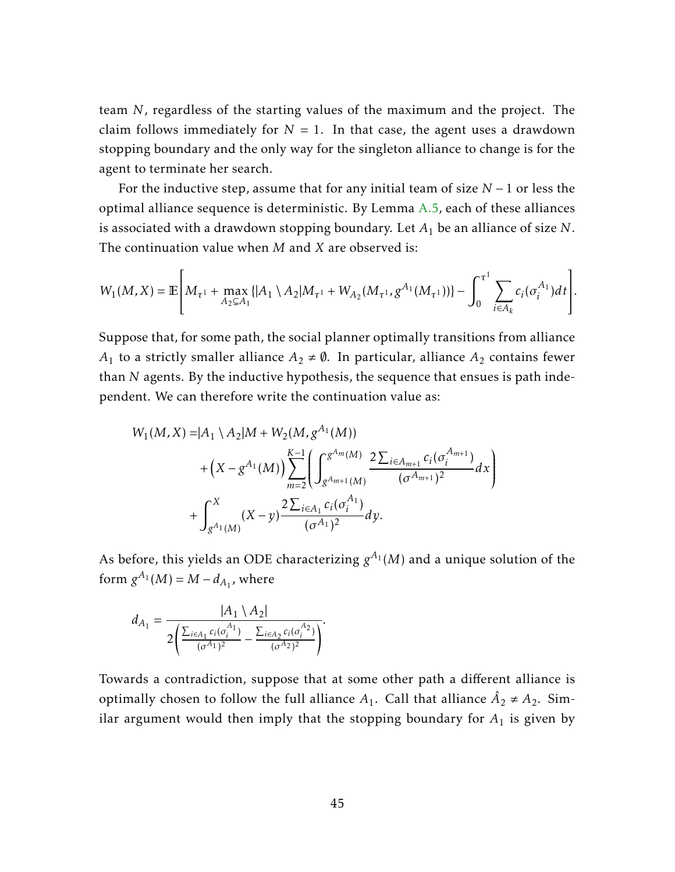team *N*, regardless of the starting values of the maximum and the project. The claim follows immediately for  $N = 1$ . In that case, the agent uses a drawdown stopping boundary and the only way for the singleton alliance to change is for the agent to terminate her search.

For the inductive step, assume that for any initial team of size *N* − 1 or less the optimal alliance sequence is deterministic. By Lemma [A.5,](#page-42-0) each of these alliances is associated with a drawdown stopping boundary. Let *A*<sup>1</sup> be an alliance of size *N*. The continuation value when *M* and *X* are observed is:

$$
W_1(M,X) = \mathbb{E}\left[M_{\tau^1} + \max_{A_2 \subsetneq A_1} \{|A_1 \setminus A_2|M_{\tau^1} + W_{A_2}(M_{\tau^1}, g^{A_1}(M_{\tau^1}))\} - \int_0^{\tau^1} \sum_{i \in A_k} c_i(\sigma_i^{A_1}) dt\right].
$$

Suppose that, for some path, the social planner optimally transitions from alliance *A*<sub>1</sub> to a strictly smaller alliance  $A_2 \neq \emptyset$ . In particular, alliance  $A_2$  contains fewer than *N* agents. By the inductive hypothesis, the sequence that ensues is path independent. We can therefore write the continuation value as:

$$
W_1(M, X) = |A_1 \setminus A_2|M + W_2(M, g^{A_1}(M)) + \left(X - g^{A_1}(M)\right) \sum_{m=2}^{K-1} \left( \int_{g^{A_{m+1}}(M)}^{g^{A_m}(M)} \frac{2 \sum_{i \in A_{m+1}} c_i(\sigma_i^{A_{m+1}})}{(\sigma^{A_{m+1}})^2} dx \right) + \int_{g^{A_1}(M)}^{X} (X - y) \frac{2 \sum_{i \in A_1} c_i(\sigma_i^{A_1})}{(\sigma^{A_1})^2} dy.
$$

As before, this yields an ODE characterizing  $g^{A_1}(M)$  and a unique solution of the form  $g^{A_1}(M) = M - d_{A_1}$ , where

$$
d_{A_1} = \frac{|A_1 \setminus A_2|}{2\left(\frac{\sum_{i \in A_1} c_i(\sigma_i^{A_1})}{(\sigma^{A_1})^2} - \frac{\sum_{i \in A_2} c_i(\sigma_i^{A_2})}{(\sigma^{A_2})^2}\right)}.
$$

Towards a contradiction, suppose that at some other path a different alliance is optimally chosen to follow the full alliance  $A_1$ . Call that alliance  $\hat{A}_2 \neq A_2$ . Similar argument would then imply that the stopping boundary for  $A_1$  is given by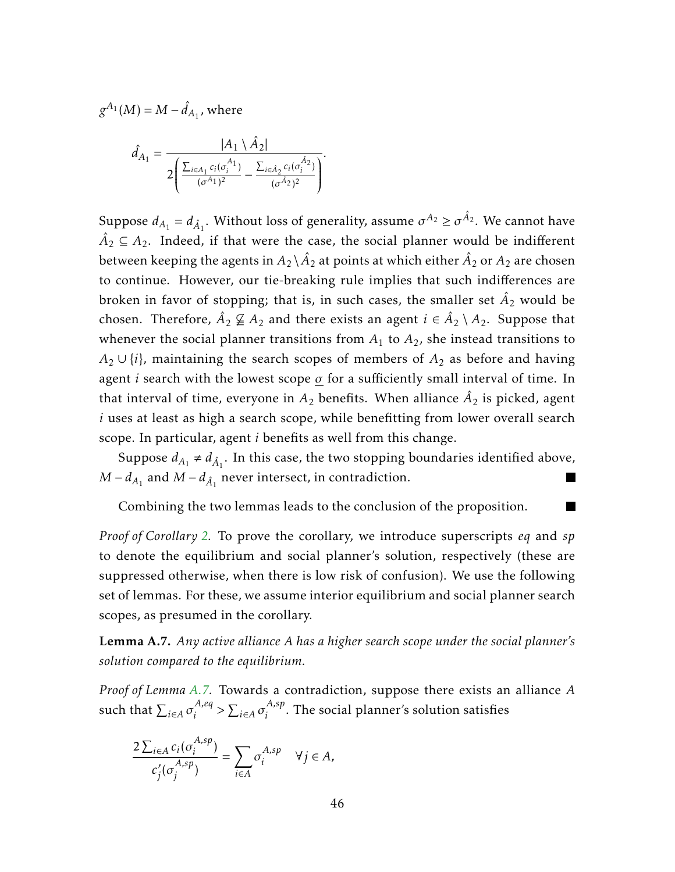$$
g^{A_1}(M) = M - \hat{d}_{A_1}
$$
, where

$$
\hat{d}_{A_1} = \frac{|A_1 \setminus \hat{A}_2|}{2 \left( \frac{\sum_{i \in A_1} c_i(\sigma_i^{A_1})}{(\sigma^{A_1})^2} - \frac{\sum_{i \in \hat{A}_2} c_i(\sigma_i^{\hat{A}_2})}{(\sigma^{\hat{A}_2})^2} \right)}.
$$

Suppose  $d_{A_1} = d_{\hat{A}_1}$ . Without loss of generality, assume  $\sigma^{A_2} \geq \sigma^{\hat{A}_2}$ . We cannot have  $\hat{A}_2 \subseteq A_2$ . Indeed, if that were the case, the social planner would be indifferent between keeping the agents in  $A_2 \backslash \hat{A_2}$  at points at which either  $\hat{A_2}$  or  $A_2$  are chosen to continue. However, our tie-breaking rule implies that such indifferences are broken in favor of stopping; that is, in such cases, the smaller set  $\hat{A}_2$  would be chosen. Therefore,  $\hat{A}_2 \not\subseteq A_2$  and there exists an agent  $i \in \hat{A}_2 \setminus A_2$ . Suppose that whenever the social planner transitions from  $A_1$  to  $A_2$ , she instead transitions to  $A_2 \cup \{i\}$ , maintaining the search scopes of members of  $A_2$  as before and having agent *i* search with the lowest scope *σ* for a sufficiently small interval of time. In that interval of time, everyone in  $A_2$  benefits. When alliance  $\hat{A}_2$  is picked, agent *i* uses at least as high a search scope, while benefitting from lower overall search scope. In particular, agent *i* benefits as well from this change.

Suppose  $d_{A_1} \neq d_{\hat{A}_1}$ . In this case, the two stopping boundaries identified above, *M* −  $d_{A_1}$  and *M* −  $d_{\hat{A}_1}$  never intersect, in contradiction.

Combining the two lemmas leads to the conclusion of the proposition.

*Proof of Corollary [2.](#page-21-1)* To prove the corollary, we introduce superscripts *eq* and *sp* to denote the equilibrium and social planner's solution, respectively (these are suppressed otherwise, when there is low risk of confusion). We use the following set of lemmas. For these, we assume interior equilibrium and social planner search scopes, as presumed in the corollary.

<span id="page-46-0"></span>Lemma A.7. *Any active alliance A has a higher search scope under the social planner's solution compared to the equilibrium.*

*Proof of Lemma [A.7.](#page-46-0)* Towards a contradiction, suppose there exists an alliance *A* such that  $\sum_{i \in A} \sigma_i^{A,eq}$  $\sum_{i \in A} A_i e_i$ *i* . The social planner's solution satisfies

$$
\frac{2\sum_{i\in A}c_i(\sigma_i^{A,sp})}{c'_j(\sigma_j^{A,sp})} = \sum_{i\in A}\sigma_i^{A,sp} \quad \forall j\in A,
$$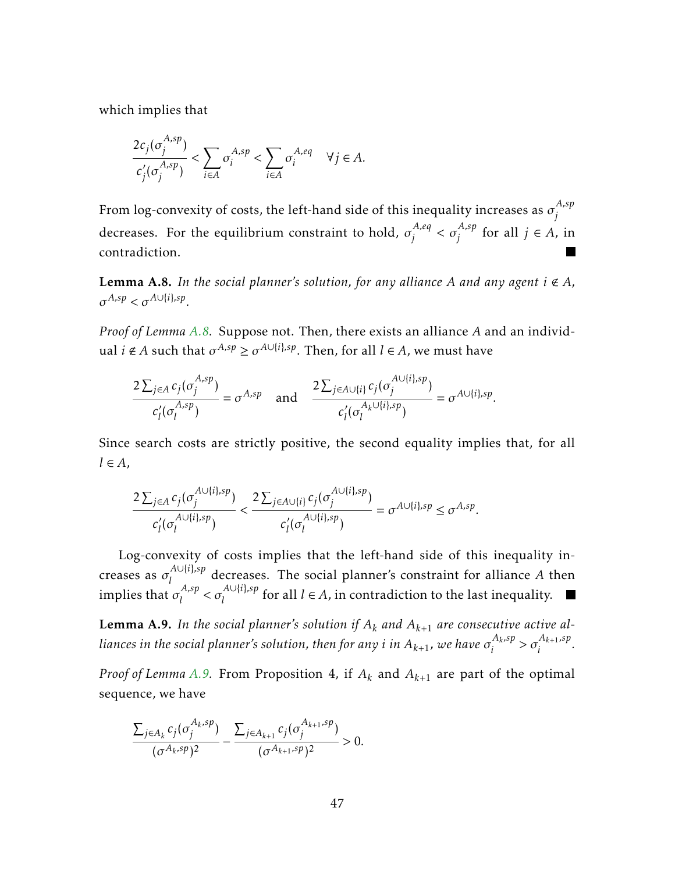which implies that

$$
\frac{2c_j(\sigma_j^{A,sp})}{c'_j(\sigma_j^{A,sp})} < \sum_{i \in A} \sigma_i^{A,sp} < \sum_{i \in A} \sigma_i^{A,eq} \quad \forall j \in A.
$$

From log-convexity of costs, the left-hand side of this inequality increases as  $\sigma_i^{A,sp}$ *j* decreases. For the equilibrium constraint to hold,  $\sigma_i^{A,eq}$  $\sigma_j^{A,eq} < \sigma_j^{A,sp}$  $j$ <sup>*A,sp*</sup> for all  $j \in A$ , in contradiction.

<span id="page-47-0"></span>**Lemma A.8.** In the social planner's solution, for any alliance A and any agent  $i \notin A$ ,  $\sigma^{A,sp} < \sigma^{A \cup \{i\},sp}$ .

*Proof of Lemma [A.8.](#page-47-0)* Suppose not. Then, there exists an alliance *A* and an individ- $\alpha$  *i*  $\notin$  *A* such that  $\sigma^{A,sp} \geq \sigma^{A \cup \{i\},sp}$ . Then, for all  $l \in A$ , we must have

$$
\frac{2\sum_{j\in A}c_j(\sigma_j^{A,sp})}{c'_l(\sigma_l^{A,sp})}=\sigma^{A,sp} \quad \text{and} \quad \frac{2\sum_{j\in A\cup\{i\}}c_j(\sigma_j^{A\cup\{i\},sp})}{c'_l(\sigma_l^{A_k\cup\{i\},sp})}=\sigma^{A\cup\{i\},sp}.
$$

Since search costs are strictly positive, the second equality implies that, for all *l* ∈ *A*,

$$
\frac{2\sum_{j\in A}c_j(\sigma_j^{A\cup\{i\},sp})}{c'_l(\sigma_l^{A\cup\{i\},sp})}<\frac{2\sum_{j\in A\cup\{i\}}c_j(\sigma_j^{A\cup\{i\},sp})}{c'_l(\sigma_l^{A\cup\{i\},sp})}=\sigma^{A\cup\{i\},sp}\leq \sigma^{A,sp}.
$$

Log-convexity of costs implies that the left-hand side of this inequality increases as  $\sigma_l^{A \cup \{i\}, sp}$  $\frac{d}{dx}$  decreases. The social planner's constraint for alliance *A* then implies that  $\sigma_l^{A,sp}$  $\sigma_l^{A,sp} < \sigma_l^{A \cup \{i\},sp}$  $\int_l^{A\cup\{i\},sp}$  for all  $l \in A$ , in contradiction to the last inequality.

<span id="page-47-1"></span>**Lemma A.9.** In the social planner's solution if  $A_k$  and  $A_{k+1}$  are consecutive active alliances in the social planner's solution, then for any  $i$  in  $A_{k+1}$ , we have  $\sigma^{A_k,sp}_i$  $\sigma_i^{A_k,sp} > \sigma_i^{A_{k+1},sp}$  $\frac{i^{2k+1}}{i}$ 

*Proof of Lemma [A.9.](#page-47-1)* From Proposition 4, if  $A_k$  and  $A_{k+1}$  are part of the optimal sequence, we have

$$
\frac{\sum_{j\in A_k}c_j(\sigma_j^{A_k,sp})}{(\sigma^{A_k,sp})^2}-\frac{\sum_{j\in A_{k+1}}c_j(\sigma_j^{A_{k+1},sp})}{(\sigma^{A_{k+1},sp})^2}>0.
$$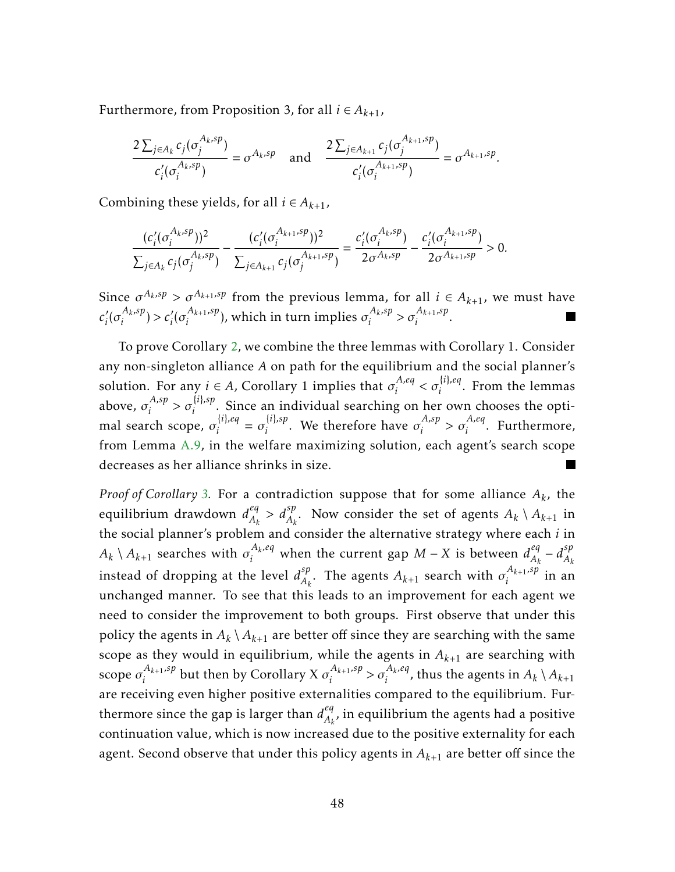Furthermore, from Proposition 3, for all  $i \in A_{k+1}$ ,

$$
\frac{2\sum_{j\in A_k}c_j(\sigma_j^{A_k,sp})}{c'_i(\sigma_i^{A_k,sp})}=\sigma^{A_k,sp} \quad \text{and} \quad \frac{2\sum_{j\in A_{k+1}}c_j(\sigma_j^{A_{k+1},sp})}{c'_i(\sigma_i^{A_{k+1},sp})}=\sigma^{A_{k+1},sp}.
$$

Combining these yields, for all  $i \in A_{k+1}$ ,

$$
\frac{(c_i'(\sigma_i^{A_k,sp}))^2}{\sum_{j\in A_k} c_j(\sigma_j^{A_k,sp})} - \frac{(c_i'(\sigma_i^{A_{k+1},sp}))^2}{\sum_{j\in A_{k+1}} c_j(\sigma_j^{A_{k+1},sp})} = \frac{c_i'(\sigma_i^{A_k,sp})}{2\sigma^{A_k,sp}} - \frac{c_i'(\sigma_i^{A_{k+1},sp})}{2\sigma^{A_{k+1},sp}} > 0.
$$

Since  $\sigma^{A_k,sp} > \sigma^{A_{k+1},sp}$  from the previous lemma, for all  $i \in A_{k+1}$ , we must have  $c_i'$  $\int_i^j (\sigma_i^{A_k,sp})$  $c_i^{\{A_k,sp\}} > c_i^{\prime}(\sigma_i^{A_{k+1},sp})$  $\binom{A_{k+1},sp}{i}$ , which in turn implies  $\sigma_i^{A_k,sp}$  $\sigma_i^{A_k,sp} > \sigma_i^{A_{k+1},sp}$  $\frac{i^{1}k+1^{1}p}{i}$ .

To prove Corollary [2,](#page-21-1) we combine the three lemmas with Corollary 1. Consider any non-singleton alliance *A* on path for the equilibrium and the social planner's solution. For any  $i \in A$ , Corollary 1 implies that  $\sigma_i^{A,eq}$  $\sigma_i^{A,eq} < \sigma_i^{\{i\},eq}$  $i^{1/(\mu)}$ . From the lemmas above,  $\sigma_i^{A,sp}$  $\sigma_i^{A,sp} > \sigma_i^{\{i\},sp}$  $\hat{i}^{(i),i}_{i}$ . Since an individual searching on her own chooses the optimal search scope, *σ* {*i*}*,eq*  $\sigma_i^{\{i\},eq} = \sigma_i^{\{i\},sp}$  $\sigma_i^{(i),sp}$ . We therefore have  $\sigma_i^{A,sp}$  $\sigma_i^{A,sp} > \sigma_i^{A,eq}$  $\int_{i}^{1,eq}$ . Furthermore, from Lemma [A.9,](#page-47-1) in the welfare maximizing solution, each agent's search scope decreases as her alliance shrinks in size.

*Proof of Corollary [3.](#page-23-0)* For a contradiction suppose that for some alliance *A<sup>k</sup>* , the equilibrium drawdown *d eq*  $A_k^{\neq q} > d_{A_k}^{\leq p}$ . Now consider the set of agents  $A_k \setminus A_{k+1}$  in the social planner's problem and consider the alternative strategy where each *i* in  $A_k \setminus A_{k+1}$  searches with  $\sigma^{A_k,eq}_i$  when the current gap  $M$  −  $X$  is between  $d_{A_k}^{eq}$  $\frac{eq}{A_k} - d_{A_k}^{sp}$ *Ak* instead of dropping at the level  $d_{A_i}^{sp}$  $A_k$ . The agents  $A_{k+1}$  search with  $\sigma_i^{A_{k+1},sp}$  $\int_i^{1/k+1/3}$  in an unchanged manner. To see that this leads to an improvement for each agent we need to consider the improvement to both groups. First observe that under this policy the agents in  $A_k \setminus A_{k+1}$  are better off since they are searching with the same scope as they would in equilibrium, while the agents in  $A_{k+1}$  are searching with scope  $\sigma_i^{A_{k+1},sp}$  $\int_i^{A_{k+1},sp}$  but then by Corollary X  $\sigma_i^{A_{k+1},sp}$  $\sigma_i^{A_{k+1},sp} > \sigma_i^{A_k,eq}$  $\int_{i}^{A_k,eq}$ , thus the agents in  $A_k \setminus A_{k+1}$ are receiving even higher positive externalities compared to the equilibrium. Furthermore since the gap is larger than  $d_{A_k}^{eq}$  $A_{k}$ , in equilibrium the agents had a positive continuation value, which is now increased due to the positive externality for each agent. Second observe that under this policy agents in *Ak*+1 are better off since the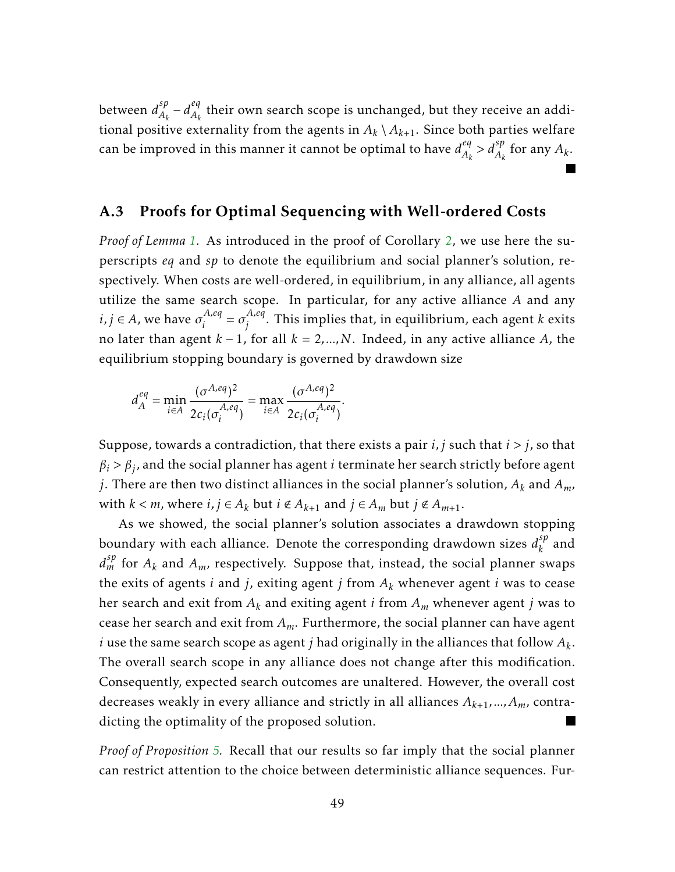between *d sp*  $A_k^{\text{sp}} - d_{A_k}^{\text{eq}}$  $A_k$  their own search scope is unchanged, but they receive an additional positive externality from the agents in  $A_k \setminus A_{k+1}$ . Since both parties welfare can be improved in this manner it cannot be optimal to have  $d_{A_k}^{eq}$  $A_k^{\neq} > d_{A_k}^{sp}$  for any  $A_k$ .

#### A.3 Proofs for Optimal Sequencing with Well-ordered Costs

*Proof of Lemma [1.](#page-23-1)* As introduced in the proof of Corollary [2,](#page-21-1) we use here the superscripts *eq* and *sp* to denote the equilibrium and social planner's solution, respectively. When costs are well-ordered, in equilibrium, in any alliance, all agents utilize the same search scope. In particular, for any active alliance *A* and any  $i, j \in A$ , we have  $\sigma_i^{A,eq}$  $\sigma_j^{A,eq} = \sigma_j^{A,eq}$ *j* . This implies that, in equilibrium, each agent *k* exits no later than agent *k* − 1, for all *k* = 2*,...,N*. Indeed, in any active alliance *A*, the equilibrium stopping boundary is governed by drawdown size

$$
d_A^{eq} = \min_{i \in A} \frac{(\sigma^{A,eq})^2}{2c_i(\sigma_i^{A,eq})} = \max_{i \in A} \frac{(\sigma^{A,eq})^2}{2c_i(\sigma_i^{A,eq})}.
$$

Suppose, towards a contradiction, that there exists a pair *i, j* such that *i > j*, so that  $\beta_i > \beta_j$ , and the social planner has agent *i* terminate her search strictly before agent *j*. There are then two distinct alliances in the social planner's solution, *A<sup>k</sup>* and *Am,* with  $k < m$ , where  $i, j \in A_k$  but  $i \notin A_{k+1}$  and  $j \in A_m$  but  $j \notin A_{m+1}$ .

As we showed, the social planner's solution associates a drawdown stopping boundary with each alliance. Denote the corresponding drawdown sizes  $d_k^{sp}$  $\binom{sp}{k}$  and  $d_m^{sp}$  for  $A_k$  and  $A_m$ , respectively. Suppose that, instead, the social planner swaps the exits of agents  $i$  and  $j$ , exiting agent  $j$  from  $A_k$  whenever agent  $i$  was to cease her search and exit from *A<sup>k</sup>* and exiting agent *i* from *A<sup>m</sup>* whenever agent *j* was to cease her search and exit from *Am*. Furthermore, the social planner can have agent *i* use the same search scope as agent *j* had originally in the alliances that follow *A<sup>k</sup>* . The overall search scope in any alliance does not change after this modification. Consequently, expected search outcomes are unaltered. However, the overall cost decreases weakly in every alliance and strictly in all alliances  $A_{k+1},...,A_m$ , contradicting the optimality of the proposed solution.

*Proof of Proposition [5.](#page-24-0)* Recall that our results so far imply that the social planner can restrict attention to the choice between deterministic alliance sequences. Fur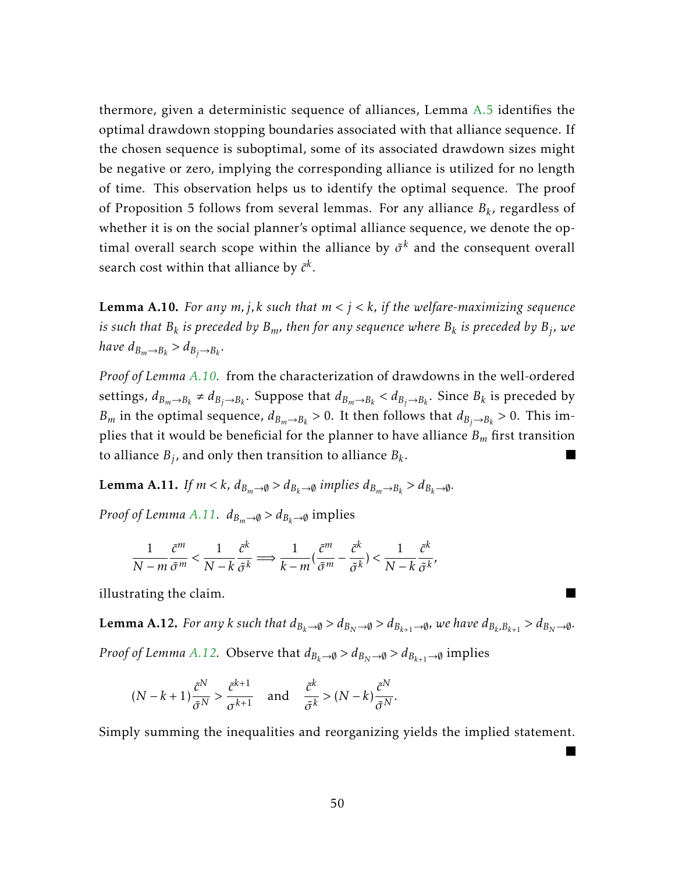thermore, given a deterministic sequence of alliances, Lemma [A.5](#page-42-0) identifies the optimal drawdown stopping boundaries associated with that alliance sequence. If the chosen sequence is suboptimal, some of its associated drawdown sizes might be negative or zero, implying the corresponding alliance is utilized for no length of time. This observation helps us to identify the optimal sequence. The proof of Proposition 5 follows from several lemmas. For any alliance *B<sup>k</sup>* , regardless of whether it is on the social planner's optimal alliance sequence, we denote the optimal overall search scope within the alliance by  $\tilde{\sigma}^k$  and the consequent overall search cost within that alliance by  $\tilde{c}^k.$ 

<span id="page-50-0"></span>Lemma A.10. *For any m, j,k such that m < j < k, if the welfare-maximizing sequence is such that B<sup>k</sup> is preceded by Bm, then for any sequence where B<sup>k</sup> is preceded by B<sup>j</sup> , we have*  $d_{B_m\to B_k} > d_{B_j\to B_k}$ .

*Proof of Lemma [A.10.](#page-50-0)* from the characterization of drawdowns in the well-ordered settings,  $d_{B_m\to B_k} \neq d_{B_j\to B_k}$ . Suppose that  $d_{B_m\to B_k} < d_{B_j\to B_k}$ . Since  $B_k$  is preceded by *B<sub>m</sub>* in the optimal sequence,  $d_{B_m \to B_k} > 0$ . It then follows that  $d_{B_j \to B_k} > 0$ . This implies that it would be beneficial for the planner to have alliance *B<sup>m</sup>* first transition to alliance  $B_j$ , and only then transition to alliance  $B_k$ .

<span id="page-50-1"></span>**Lemma A.11.** *If*  $m < k$ *,*  $d_{B_m \to \emptyset} > d_{B_k \to \emptyset}$  *implies*  $d_{B_m \to B_k} > d_{B_k \to \emptyset}$ *.* 

*Proof of Lemma [A.11.](#page-50-1)*  $d_{B_m\to\emptyset} > d_{B_k\to\emptyset}$  implies

$$
\frac{1}{N-m} \frac{\tilde{c}^m}{\tilde{\sigma}^m} < \frac{1}{N-k} \frac{\tilde{c}^k}{\tilde{\sigma}^k} \Longrightarrow \frac{1}{k-m} \left( \frac{\tilde{c}^m}{\tilde{\sigma}^m} - \frac{\tilde{c}^k}{\tilde{\sigma}^k} \right) < \frac{1}{N-k} \frac{\tilde{c}^k}{\tilde{\sigma}^k},
$$

illustrating the claim.

<span id="page-50-2"></span>**Lemma A.12.** For any  $k$  such that  $d_{B_k\to\emptyset} > d_{B_N\to\emptyset} > d_{B_{k+1}\to\emptyset}$ , we have  $d_{B_k,B_{k+1}} > d_{B_N\to\emptyset}$ . *Proof of Lemma [A.12.](#page-50-2)* Observe that  $d_{B_k \to \emptyset} > d_{B_N \to \emptyset} > d_{B_{k+1} \to \emptyset}$  implies

$$
(N-k+1)\frac{\tilde{c}^N}{\tilde{\sigma}^N} > \frac{\tilde{c}^{k+1}}{\sigma^{k+1}} \quad \text{and} \quad \frac{\tilde{c}^k}{\tilde{\sigma}^k} > (N-k)\frac{\tilde{c}^N}{\tilde{\sigma}^N}.
$$

Simply summing the inequalities and reorganizing yields the implied statement.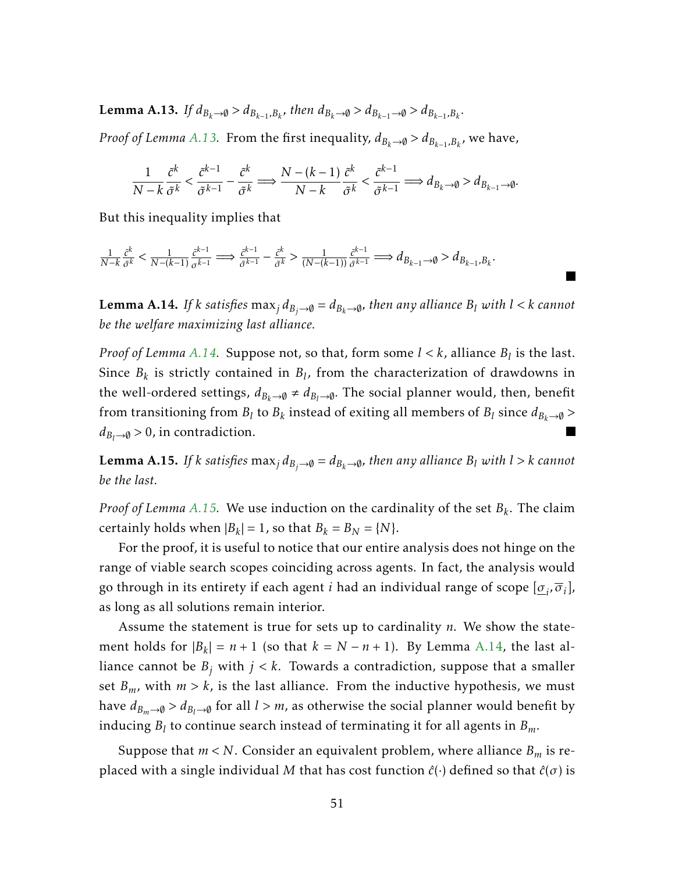<span id="page-51-0"></span>**Lemma A.13.** If  $d_{B_k\to\emptyset} > d_{B_{k-1},B_k}$ , then  $d_{B_k\to\emptyset} > d_{B_{k-1}\to\emptyset} > d_{B_{k-1},B_k}$ .

*Proof of Lemma [A.13.](#page-51-0)* From the first inequality,  $d_{B_k \to \emptyset} > d_{B_{k-1},B_k}$ , we have,

$$
\frac{1}{N-k}\frac{\tilde{c}^k}{\tilde{\sigma}^k}<\frac{\tilde{c}^{k-1}}{\tilde{\sigma}^{k-1}}-\frac{\tilde{c}^k}{\tilde{\sigma}^k}\Longrightarrow \frac{N-(k-1)}{N-k}\frac{\tilde{c}^k}{\tilde{\sigma}^k}<\frac{\tilde{c}^{k-1}}{\tilde{\sigma}^{k-1}}\Longrightarrow d_{B_k\to \emptyset}>d_{B_{k-1}\to \emptyset}.
$$

But this inequality implies that

$$
\tfrac{1}{N-k}\tfrac{\tilde{c}^k}{\tilde{\sigma}^k}<\tfrac{1}{N-(k-1)}\tfrac{\tilde{c}^{k-1}}{\sigma^{\tilde{k}-1}}\Longrightarrow\tfrac{\tilde{c}^{k-1}}{\tilde{\sigma}^{k-1}}-\tfrac{\tilde{c}^k}{\tilde{\sigma}^k}>\tfrac{1}{(N-(k-1))}\tfrac{\tilde{c}^{k-1}}{\tilde{\sigma}^{k-1}}\Longrightarrow d_{B_{k-1}\to\emptyset}>d_{B_{k-1},B_k}.
$$

<span id="page-51-1"></span>**Lemma A.14.** *If k satisfies* max<sub>*j*</sub>  $d_{B_i\rightarrow\emptyset} = d_{B_k\rightarrow\emptyset}$ *, then any alliance*  $B_l$  *with*  $l < k$  *cannot be the welfare maximizing last alliance.*

*Proof of Lemma [A.14.](#page-51-1)* Suppose not, so that, form some  $l < k$ , alliance  $B_l$  is the last. Since  $B_k$  is strictly contained in  $B_l$ , from the characterization of drawdowns in the well-ordered settings,  $d_{B_k\to\emptyset} \neq d_{B_l\to\emptyset}$ . The social planner would, then, benefit from transitioning from  $B_l$  to  $B_k$  instead of exiting all members of  $B_l$  since  $d_{B_k\to\emptyset}>$  $d_{B_l \to \emptyset} > 0$ , in contradiction.

<span id="page-51-2"></span>**Lemma A.15.** If *k satisfies*  $\max_j d_{B_j \to \emptyset} = d_{B_k \to \emptyset}$ *, then any alliance*  $B_l$  *with*  $l > k$  *cannot be the last.*

*Proof of Lemma [A.15.](#page-51-2)* We use induction on the cardinality of the set *B<sup>k</sup>* . The claim certainly holds when  $|B_k| = 1$ , so that  $B_k = B_N = \{N\}.$ 

For the proof, it is useful to notice that our entire analysis does not hinge on the range of viable search scopes coinciding across agents. In fact, the analysis would go through in its entirety if each agent *i* had an individual range of scope [*σ<sup>i</sup> ,σ<sup>i</sup>* ], as long as all solutions remain interior.

Assume the statement is true for sets up to cardinality *n*. We show the statement holds for  $|B_k| = n + 1$  (so that  $k = N - n + 1$ ). By Lemma [A.14,](#page-51-1) the last alliance cannot be  $B_j$  with  $j < k$ . Towards a contradiction, suppose that a smaller set  $B_m$ , with  $m > k$ , is the last alliance. From the inductive hypothesis, we must have  $d_{B_m\to\emptyset} > d_{B_l\to\emptyset}$  for all  $l > m$ , as otherwise the social planner would benefit by inducing *B<sup>l</sup>* to continue search instead of terminating it for all agents in *Bm*.

Suppose that  $m < N$ . Consider an equivalent problem, where alliance  $B_m$  is replaced with a single individual *M* that has cost function  $\hat{c}(\cdot)$  defined so that  $\hat{c}(\sigma)$  is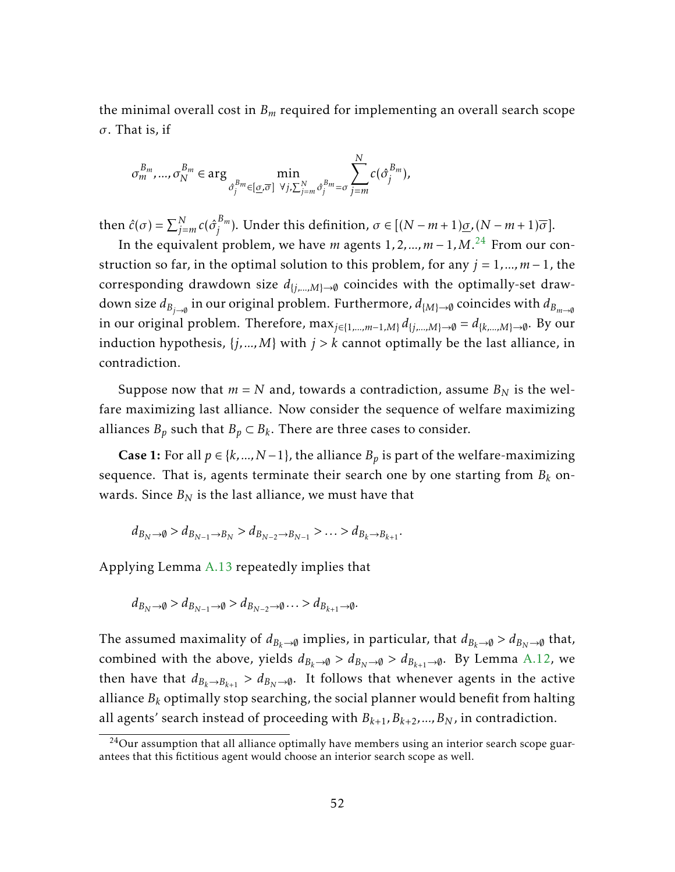the minimal overall cost in *B<sup>m</sup>* required for implementing an overall search scope *σ*. That is, if

$$
\sigma_m^{B_m},...,\sigma_N^{B_m} \in \arg\min_{\hat{\sigma}_j^{B_m} \in [\underline{\sigma},\overline{\sigma}]} \min_{\forall j,\sum_{j=m}^N \hat{\sigma}_j^{B_m} = \sigma} \sum_{j=m}^N c(\hat{\sigma}_j^{B_m}),
$$

then  $\hat{c}(\sigma) = \sum_{j=m}^{N} c(\hat{\sigma}_j^{B_m})$  $j^{B_m}$ ). Under this definition,  $\sigma \in [(N-m+1)\underline{\sigma}, (N-m+1)\overline{\sigma}].$ 

In the equivalent problem, we have *m* agents 1*,*2*,...,m* − 1*,M*. [24](#page-52-0) From our construction so far, in the optimal solution to this problem, for any  $j = 1, ..., m - 1$ , the corresponding drawdown size  $d_{\{i,...,M\}\to\emptyset}$  coincides with the optimally-set drawdown size  $d_{B_{j\to\emptyset}}$  in our original problem. Furthermore,  $d_{\{M\}\to\emptyset}$  coincides with  $d_{B_{m\to\emptyset}}$ in our original problem. Therefore, max<sub>*j*∈{1,...,*m*−1,*M*}  $d_{\{j,...,M\}→$ Ø =  $d_{\{k,...,M\}→$ Ø. By our</sub> induction hypothesis,  $\{j,...,M\}$  with  $j > k$  cannot optimally be the last alliance, in contradiction.

Suppose now that  $m = N$  and, towards a contradiction, assume  $B_N$  is the welfare maximizing last alliance. Now consider the sequence of welfare maximizing alliances  $B_p$  such that  $B_p \subset B_k$ . There are three cases to consider.

Case 1: For all  $p \in \{k,..., N-1\}$ , the alliance  $B_p$  is part of the welfare-maximizing sequence. That is, agents terminate their search one by one starting from *B<sup>k</sup>* onwards. Since  $B_N$  is the last alliance, we must have that

$$
d_{B_N \to \emptyset} > d_{B_{N-1} \to B_N} > d_{B_{N-2} \to B_{N-1}} > \ldots > d_{B_k \to B_{k+1}}.
$$

Applying Lemma [A.13](#page-51-0) repeatedly implies that

$$
d_{B_N\to\emptyset} > d_{B_{N-1}\to\emptyset} > d_{B_{N-2}\to\emptyset} \ldots > d_{B_{k+1}\to\emptyset}.
$$

The assumed maximality of  $d_{B_k\to\emptyset}$  implies, in particular, that  $d_{B_k\to\emptyset} > d_{B_N\to\emptyset}$  that, combined with the above, yields  $d_{B_k \to \emptyset} > d_{B_N \to \emptyset} > d_{B_{k+1} \to \emptyset}$ . By Lemma [A.12,](#page-50-2) we then have that  $d_{B_k \to B_{k+1}} > d_{B_N \to \emptyset}$ . It follows that whenever agents in the active alliance *B<sup>k</sup>* optimally stop searching, the social planner would benefit from halting all agents' search instead of proceeding with  $B_{k+1}, B_{k+2},...,B_N$ , in contradiction.

<span id="page-52-0"></span> $24$ Our assumption that all alliance optimally have members using an interior search scope guarantees that this fictitious agent would choose an interior search scope as well.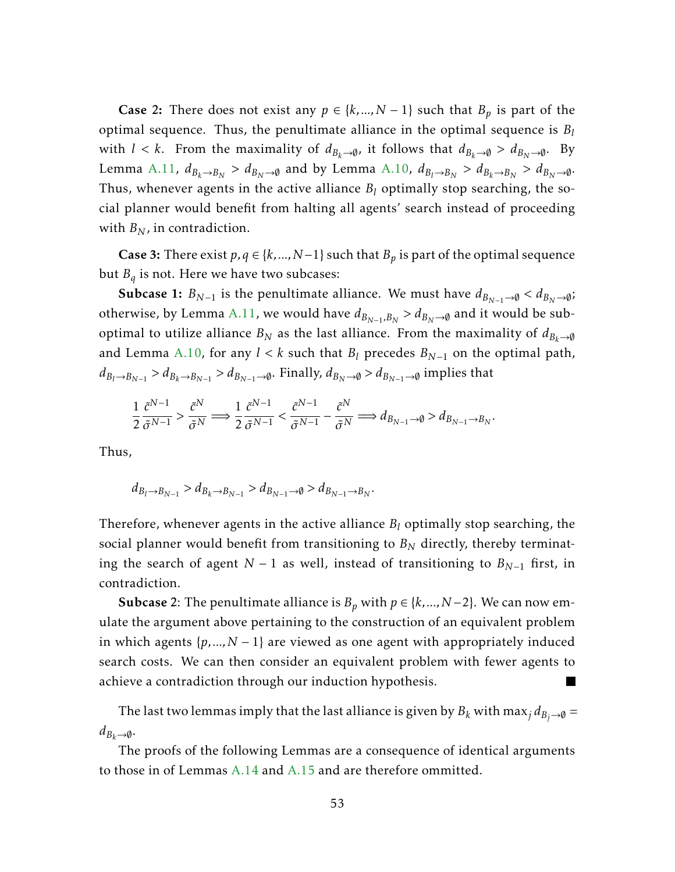**Case 2:** There does not exist any  $p \in \{k,..., N-1\}$  such that  $B_p$  is part of the optimal sequence. Thus, the penultimate alliance in the optimal sequence is *B<sup>l</sup>* with  $l < k$ . From the maximality of  $d_{B_k \to \emptyset}$ , it follows that  $d_{B_k \to \emptyset} > d_{B_N \to \emptyset}$ . By Lemma [A.11,](#page-50-1)  $d_{B_k\to B_N} > d_{B_N\to \emptyset}$  and by Lemma [A.10,](#page-50-0)  $d_{B_l\to B_N} > d_{B_k\to B_N} > d_{B_N\to \emptyset}.$ Thus, whenever agents in the active alliance *B<sup>l</sup>* optimally stop searching, the social planner would benefit from halting all agents' search instead of proceeding with  $B_N$ , in contradiction.

Case 3: There exist  $p, q ∈ {k, ..., N-1}$  such that  $B_p$  is part of the optimal sequence but *B<sup>q</sup>* is not. Here we have two subcases:

Subcase 1:  $B_{N-1}$  is the penultimate alliance. We must have  $d_{B_{N-1}\rightarrow\emptyset} < d_{B_N\rightarrow\emptyset}$ ; otherwise, by Lemma [A.11,](#page-50-1) we would have  $d_{B_{N-1},B_N}>d_{B_N\to\emptyset}$  and it would be suboptimal to utilize alliance  $B_N$  as the last alliance. From the maximality of  $d_{B_k\to\emptyset}$ and Lemma [A.10,](#page-50-0) for any  $l < k$  such that  $B_l$  precedes  $B_{N-1}$  on the optimal path,  $d_{B_l\to B_{N-1}}>d_{B_k\to B_{N-1}}>d_{B_{N-1}\to\emptyset}.$  Finally,  $d_{B_N\to\emptyset}>d_{B_{N-1}\to\emptyset}$  implies that

$$
\frac{1}{2}\frac{\tilde{c}^{N-1}}{\tilde{\sigma}^{N-1}} > \frac{\tilde{c}^N}{\tilde{\sigma}^N} \Longrightarrow \frac{1}{2}\frac{\tilde{c}^{N-1}}{\tilde{\sigma}^{N-1}} < \frac{\tilde{c}^{N-1}}{\tilde{\sigma}^{N-1}} - \frac{\tilde{c}^N}{\tilde{\sigma}^N} \Longrightarrow d_{B_{N-1} \to \emptyset} > d_{B_{N-1} \to B_N}.
$$

Thus,

$$
d_{B_l \to B_{N-1}} > d_{B_k \to B_{N-1}} > d_{B_{N-1} \to \emptyset} > d_{B_{N-1} \to B_N}.
$$

Therefore, whenever agents in the active alliance *B<sup>l</sup>* optimally stop searching, the social planner would benefit from transitioning to  $B_N$  directly, thereby terminating the search of agent *N* − 1 as well, instead of transitioning to  $B_{N-1}$  first, in contradiction.

**Subcase** 2: The penultimate alliance is  $B_p$  with  $p \in \{k,..., N-2\}$ . We can now emulate the argument above pertaining to the construction of an equivalent problem in which agents  $\{p,...,N-1\}$  are viewed as one agent with appropriately induced search costs. We can then consider an equivalent problem with fewer agents to achieve a contradiction through our induction hypothesis.

The last two lemmas imply that the last alliance is given by  $B_k$  with max<sub>*j*</sub>  $d_{B_i\rightarrow\emptyset}$  =  $d_{B_k \to \emptyset}$ .

The proofs of the following Lemmas are a consequence of identical arguments to those in of Lemmas [A.14](#page-51-1) and [A.15](#page-51-2) and are therefore ommitted.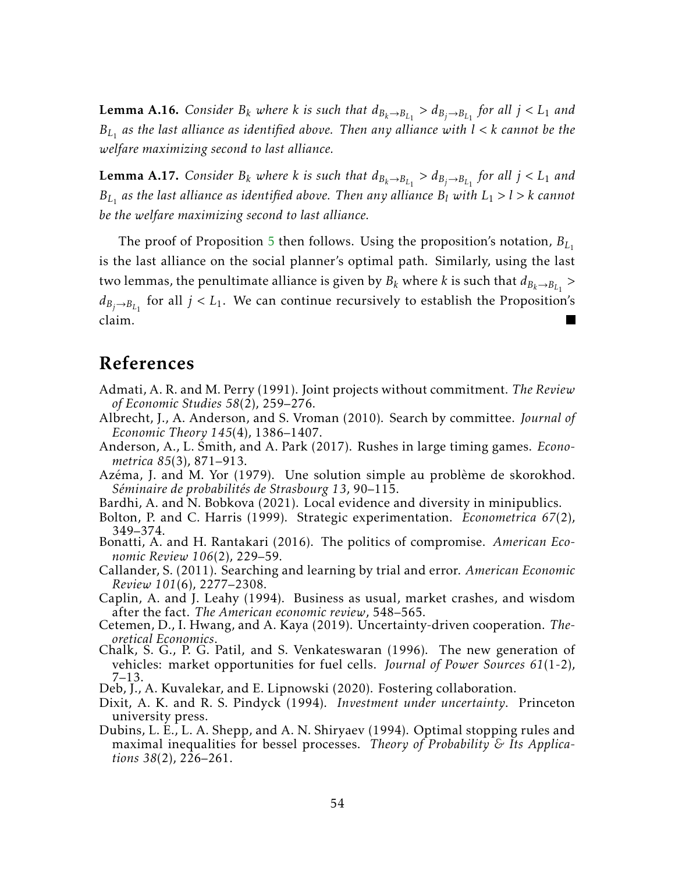**Lemma A.16.** Consider  $B_k$  where  $k$  is such that  $d_{B_k \to B_{L_1}} > d_{B_j \to B_{L_1}}$  for all  $j < L_1$  and *BL*<sup>1</sup> *as the last alliance as identified above. Then any alliance with l < k cannot be the welfare maximizing second to last alliance.*

**Lemma A.17.** Consider  $B_k$  where  $k$  is such that  $d_{B_k \to B_{L_1}} > d_{B_j \to B_{L_1}}$  for all  $j < L_1$  and *BL*<sup>1</sup> *as the last alliance as identified above. Then any alliance B<sup>l</sup> with L*<sup>1</sup> *> l > k cannot be the welfare maximizing second to last alliance.*

The proof of Proposition [5](#page-24-0) then follows. Using the proposition's notation, *BL*<sup>1</sup> is the last alliance on the social planner's optimal path. Similarly, using the last two lemmas, the penultimate alliance is given by  $B_k$  where  $k$  is such that  $d_{B_k\rightarrow B_{L_1}} >$  $d_{B_j\rightarrow B_{L_1}}$  for all  $j < L_1.$  We can continue recursively to establish the Proposition's claim.

# References

- <span id="page-54-9"></span>Admati, A. R. and M. Perry (1991). Joint projects without commitment. *The Review of Economic Studies 58*(2), 259–276.
- <span id="page-54-3"></span>Albrecht, J., A. Anderson, and S. Vroman (2010). Search by committee. *Journal of Economic Theory 145*(4), 1386–1407.
- <span id="page-54-8"></span>Anderson, A., L. Smith, and A. Park (2017). Rushes in large timing games. *Econometrica 85*(3), 871–913.
- <span id="page-54-12"></span>Azéma, J. and M. Yor (1979). Une solution simple au problème de skorokhod. *Séminaire de probabilités de Strasbourg 13*, 90–115.
- Bardhi, A. and N. Bobkova (2021). Local evidence and diversity in minipublics.
- <span id="page-54-11"></span><span id="page-54-2"></span>Bolton, P. and C. Harris (1999). Strategic experimentation. *Econometrica 67*(2), 349–374.
- <span id="page-54-4"></span>Bonatti, A. and H. Rantakari (2016). The politics of compromise. *American Economic Review 106*(2), 229–59.
- <span id="page-54-1"></span>Callander, S. (2011). Searching and learning by trial and error. *American Economic Review 101*(6), 2277–2308.
- <span id="page-54-6"></span>Caplin, A. and J. Leahy (1994). Business as usual, market crashes, and wisdom after the fact. *The American economic review*, 548–565.
- <span id="page-54-10"></span>Cetemen, D., I. Hwang, and A. Kaya (2019). Uncertainty-driven cooperation. *Theoretical Economics*.
- <span id="page-54-0"></span>Chalk, S. G., P. G. Patil, and S. Venkateswaran (1996). The new generation of vehicles: market opportunities for fuel cells. *Journal of Power Sources 61*(1-2), 7–13.
- Deb, J., A. Kuvalekar, and E. Lipnowski (2020). Fostering collaboration.
- <span id="page-54-7"></span><span id="page-54-5"></span>Dixit, A. K. and R. S. Pindyck (1994). *Investment under uncertainty*. Princeton university press.
- <span id="page-54-13"></span>Dubins, L. E., L. A. Shepp, and A. N. Shiryaev (1994). Optimal stopping rules and maximal inequalities for bessel processes. *Theory of Probability & Its Applications 38*(2), 226–261.